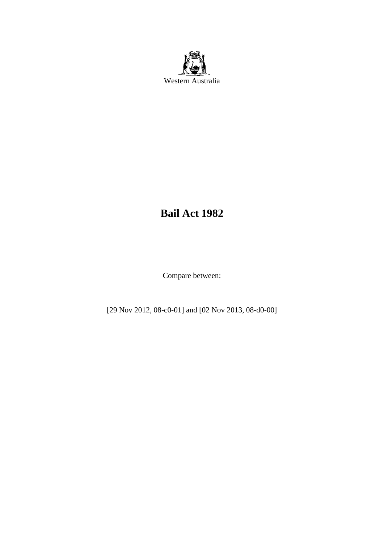

# **Bail Act 1982**

Compare between:

[29 Nov 2012, 08-c0-01] and [02 Nov 2013, 08-d0-00]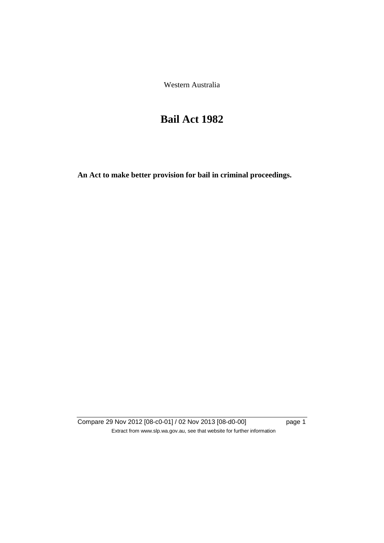Western Australia

# **Bail Act 1982**

**An Act to make better provision for bail in criminal proceedings.** 

Compare 29 Nov 2012 [08-c0-01] / 02 Nov 2013 [08-d0-00] page 1 Extract from www.slp.wa.gov.au, see that website for further information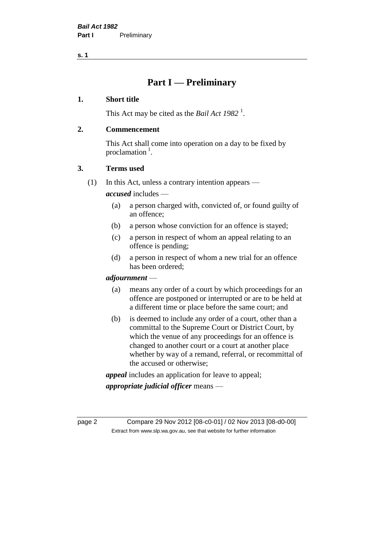**s. 1**

# **Part I — Preliminary**

#### **1. Short title**

This Act may be cited as the *Bail Act* 1982<sup>1</sup>.

#### **2. Commencement**

This Act shall come into operation on a day to be fixed by proclamation  $<sup>1</sup>$ .</sup>

#### **3. Terms used**

(1) In this Act, unless a contrary intention appears —

*accused* includes —

- (a) a person charged with, convicted of, or found guilty of an offence;
- (b) a person whose conviction for an offence is stayed;
- (c) a person in respect of whom an appeal relating to an offence is pending;
- (d) a person in respect of whom a new trial for an offence has been ordered;

#### *adjournment* —

- (a) means any order of a court by which proceedings for an offence are postponed or interrupted or are to be held at a different time or place before the same court; and
- (b) is deemed to include any order of a court, other than a committal to the Supreme Court or District Court, by which the venue of any proceedings for an offence is changed to another court or a court at another place whether by way of a remand, referral, or recommittal of the accused or otherwise;

*appeal* includes an application for leave to appeal;

*appropriate judicial officer* means —

page 2 Compare 29 Nov 2012 [08-c0-01] / 02 Nov 2013 [08-d0-00] Extract from www.slp.wa.gov.au, see that website for further information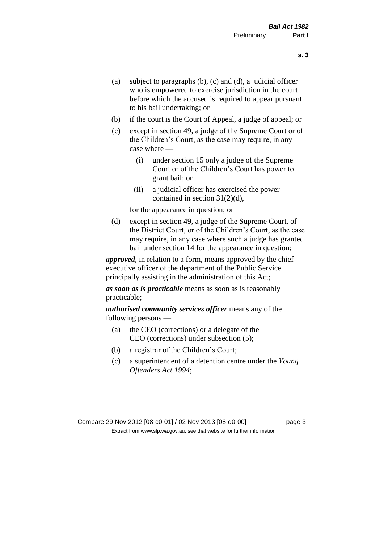- (a) subject to paragraphs (b), (c) and (d), a judicial officer who is empowered to exercise jurisdiction in the court before which the accused is required to appear pursuant to his bail undertaking; or
- (b) if the court is the Court of Appeal, a judge of appeal; or
- (c) except in section 49, a judge of the Supreme Court or of the Children's Court, as the case may require, in any case where —
	- (i) under section 15 only a judge of the Supreme Court or of the Children's Court has power to grant bail; or
	- (ii) a judicial officer has exercised the power contained in section 31(2)(d),

for the appearance in question; or

(d) except in section 49, a judge of the Supreme Court, of the District Court, or of the Children's Court, as the case may require, in any case where such a judge has granted bail under section 14 for the appearance in question;

*approved*, in relation to a form, means approved by the chief executive officer of the department of the Public Service principally assisting in the administration of this Act;

*as soon as is practicable* means as soon as is reasonably practicable;

*authorised community services officer* means any of the following persons —

- (a) the CEO (corrections) or a delegate of the CEO (corrections) under subsection (5);
- (b) a registrar of the Children's Court;
- (c) a superintendent of a detention centre under the *Young Offenders Act 1994*;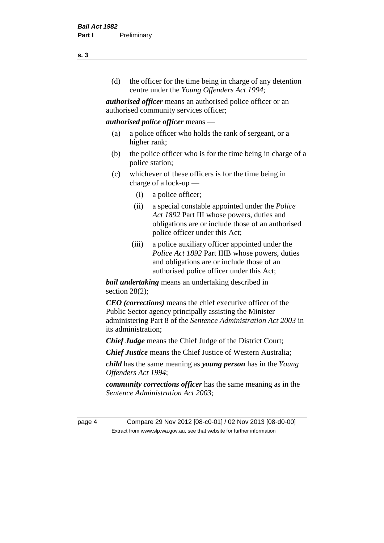(d) the officer for the time being in charge of any detention centre under the *Young Offenders Act 1994*;

*authorised officer* means an authorised police officer or an authorised community services officer;

#### *authorised police officer* means —

- (a) a police officer who holds the rank of sergeant, or a higher rank;
- (b) the police officer who is for the time being in charge of a police station;
- (c) whichever of these officers is for the time being in charge of a lock-up —
	- (i) a police officer;
	- (ii) a special constable appointed under the *Police Act 1892* Part III whose powers, duties and obligations are or include those of an authorised police officer under this Act;
	- (iii) a police auxiliary officer appointed under the *Police Act 1892* Part IIIB whose powers, duties and obligations are or include those of an authorised police officer under this Act;

*bail undertaking* means an undertaking described in section  $28(2)$ ;

*CEO (corrections)* means the chief executive officer of the Public Sector agency principally assisting the Minister administering Part 8 of the *Sentence Administration Act 2003* in its administration;

*Chief Judge* means the Chief Judge of the District Court;

*Chief Justice* means the Chief Justice of Western Australia;

*child* has the same meaning as *young person* has in the *Young Offenders Act 1994*;

*community corrections officer* has the same meaning as in the *Sentence Administration Act 2003*;

page 4 Compare 29 Nov 2012 [08-c0-01] / 02 Nov 2013 [08-d0-00] Extract from www.slp.wa.gov.au, see that website for further information

**s. 3**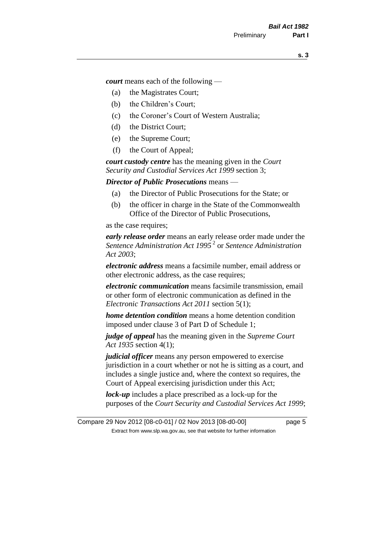*court* means each of the following —

- (a) the Magistrates Court;
- (b) the Children's Court;
- (c) the Coroner's Court of Western Australia;
- (d) the District Court;
- (e) the Supreme Court;
- (f) the Court of Appeal;

*court custody centre* has the meaning given in the *Court Security and Custodial Services Act 1999* section 3;

*Director of Public Prosecutions* means —

- (a) the Director of Public Prosecutions for the State; or
- (b) the officer in charge in the State of the Commonwealth Office of the Director of Public Prosecutions,

as the case requires;

*early release order* means an early release order made under the *Sentence Administration Act 1995* <sup>2</sup> or *Sentence Administration Act 2003*;

*electronic address* means a facsimile number, email address or other electronic address, as the case requires;

*electronic communication* means facsimile transmission, email or other form of electronic communication as defined in the *Electronic Transactions Act 2011* section 5(1);

*home detention condition* means a home detention condition imposed under clause 3 of Part D of Schedule 1;

*judge of appeal* has the meaning given in the *Supreme Court Act 1935* section 4(1);

*judicial officer* means any person empowered to exercise jurisdiction in a court whether or not he is sitting as a court, and includes a single justice and, where the context so requires, the Court of Appeal exercising jurisdiction under this Act;

*lock-up* includes a place prescribed as a lock-up for the purposes of the *Court Security and Custodial Services Act 1999*;

Compare 29 Nov 2012 [08-c0-01] / 02 Nov 2013 [08-d0-00] page 5 Extract from www.slp.wa.gov.au, see that website for further information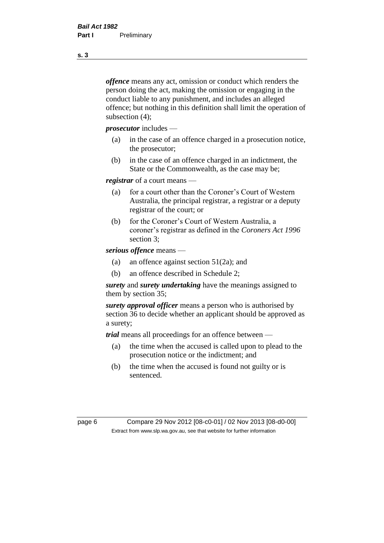*offence* means any act, omission or conduct which renders the person doing the act, making the omission or engaging in the conduct liable to any punishment, and includes an alleged offence; but nothing in this definition shall limit the operation of subsection (4);

*prosecutor* includes —

- (a) in the case of an offence charged in a prosecution notice, the prosecutor;
- (b) in the case of an offence charged in an indictment, the State or the Commonwealth, as the case may be;

*registrar* of a court means —

- (a) for a court other than the Coroner's Court of Western Australia, the principal registrar, a registrar or a deputy registrar of the court; or
- (b) for the Coroner's Court of Western Australia, a coroner's registrar as defined in the *Coroners Act 1996* section 3;

*serious offence* means —

- (a) an offence against section 51(2a); and
- (b) an offence described in Schedule 2;

*surety* and *surety undertaking* have the meanings assigned to them by section 35;

*surety approval officer* means a person who is authorised by section 36 to decide whether an applicant should be approved as a surety;

*trial* means all proceedings for an offence between —

- (a) the time when the accused is called upon to plead to the prosecution notice or the indictment; and
- (b) the time when the accused is found not guilty or is sentenced.

page 6 Compare 29 Nov 2012 [08-c0-01] / 02 Nov 2013 [08-d0-00] Extract from www.slp.wa.gov.au, see that website for further information

**s. 3**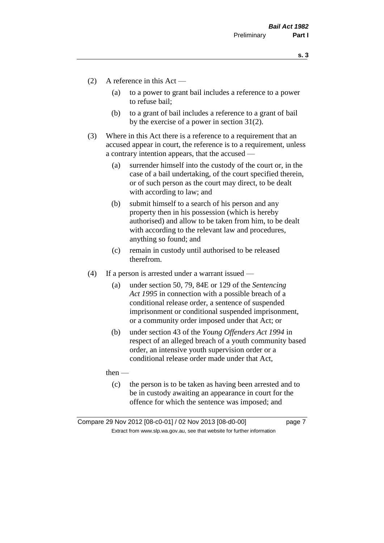**s. 3**

- (2) A reference in this Act
	- (a) to a power to grant bail includes a reference to a power to refuse bail;
	- (b) to a grant of bail includes a reference to a grant of bail by the exercise of a power in section 31(2).
- (3) Where in this Act there is a reference to a requirement that an accused appear in court, the reference is to a requirement, unless a contrary intention appears, that the accused —
	- (a) surrender himself into the custody of the court or, in the case of a bail undertaking, of the court specified therein, or of such person as the court may direct, to be dealt with according to law; and
	- (b) submit himself to a search of his person and any property then in his possession (which is hereby authorised) and allow to be taken from him, to be dealt with according to the relevant law and procedures, anything so found; and
	- (c) remain in custody until authorised to be released therefrom.
- (4) If a person is arrested under a warrant issued
	- (a) under section 50, 79, 84E or 129 of the *Sentencing Act 1995* in connection with a possible breach of a conditional release order, a sentence of suspended imprisonment or conditional suspended imprisonment, or a community order imposed under that Act; or
	- (b) under section 43 of the *Young Offenders Act 1994* in respect of an alleged breach of a youth community based order, an intensive youth supervision order or a conditional release order made under that Act,

then —

(c) the person is to be taken as having been arrested and to be in custody awaiting an appearance in court for the offence for which the sentence was imposed; and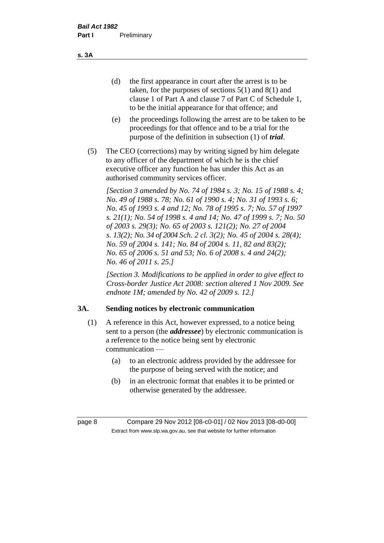(d) the first appearance in court after the arrest is to be taken, for the purposes of sections 5(1) and 8(1) and clause 1 of Part A and clause 7 of Part C of Schedule 1, to be the initial appearance for that offence; and

- (e) the proceedings following the arrest are to be taken to be proceedings for that offence and to be a trial for the purpose of the definition in subsection (1) of *trial*.
- (5) The CEO (corrections) may by writing signed by him delegate to any officer of the department of which he is the chief executive officer any function he has under this Act as an authorised community services officer.

*[Section 3 amended by No. 74 of 1984 s. 3; No. 15 of 1988 s. 4; No. 49 of 1988 s. 78; No. 61 of 1990 s. 4; No. 31 of 1993 s. 6; No. 45 of 1993 s. 4 and 12; No. 78 of 1995 s. 7; No. 57 of 1997 s. 21(1); No. 54 of 1998 s. 4 and 14; No. 47 of 1999 s. 7; No. 50 of 2003 s. 29(3); No. 65 of 2003 s. 121(2); No. 27 of 2004 s. 13(2); No. 34 of 2004 Sch. 2 cl. 3(2); No. 45 of 2004 s. 28(4); No. 59 of 2004 s. 141; No. 84 of 2004 s. 11, 82 and 83(2); No. 65 of 2006 s. 51 and 53; No. 6 of 2008 s. 4 and 24(2); No. 46 of 2011 s. 25.]* 

*[Section 3. Modifications to be applied in order to give effect to Cross-border Justice Act 2008: section altered 1 Nov 2009. See endnote 1M; amended by No. 42 of 2009 s. 12.]*

# **3A. Sending notices by electronic communication**

- (1) A reference in this Act, however expressed, to a notice being sent to a person (the *addressee*) by electronic communication is a reference to the notice being sent by electronic communication —
	- (a) to an electronic address provided by the addressee for the purpose of being served with the notice; and
	- (b) in an electronic format that enables it to be printed or otherwise generated by the addressee.

**s. 3A**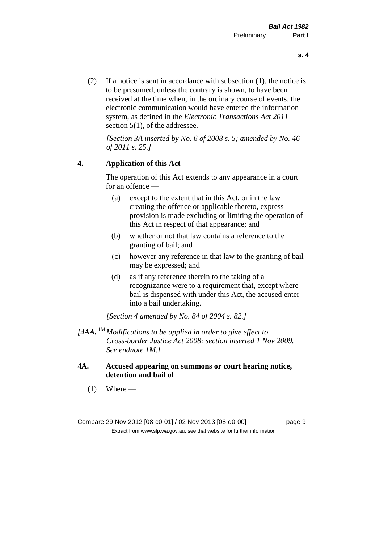(2) If a notice is sent in accordance with subsection (1), the notice is to be presumed, unless the contrary is shown, to have been received at the time when, in the ordinary course of events, the electronic communication would have entered the information system, as defined in the *Electronic Transactions Act 2011* section 5(1), of the addressee.

*[Section 3A inserted by No. 6 of 2008 s. 5; amended by No. 46 of 2011 s. 25.]*

#### **4. Application of this Act**

The operation of this Act extends to any appearance in a court for an offence —

- (a) except to the extent that in this Act, or in the law creating the offence or applicable thereto, express provision is made excluding or limiting the operation of this Act in respect of that appearance; and
- (b) whether or not that law contains a reference to the granting of bail; and
- (c) however any reference in that law to the granting of bail may be expressed; and
- (d) as if any reference therein to the taking of a recognizance were to a requirement that, except where bail is dispensed with under this Act, the accused enter into a bail undertaking.

*[Section 4 amended by No. 84 of 2004 s. 82.]*

- *[4AA.* 1M *Modifications to be applied in order to give effect to Cross-border Justice Act 2008: section inserted 1 Nov 2009. See endnote 1M.]*
- **4A. Accused appearing on summons or court hearing notice, detention and bail of**
	- $(1)$  Where —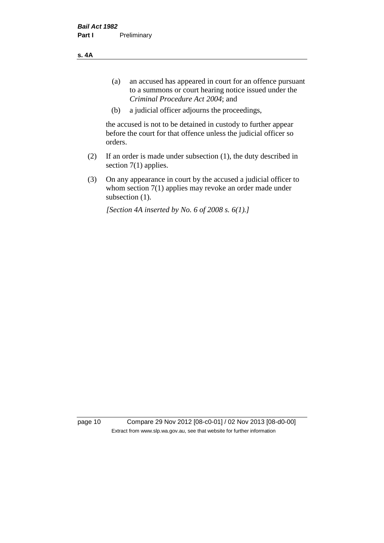**s. 4A**

- (a) an accused has appeared in court for an offence pursuant to a summons or court hearing notice issued under the *Criminal Procedure Act 2004*; and
- (b) a judicial officer adjourns the proceedings,

the accused is not to be detained in custody to further appear before the court for that offence unless the judicial officer so orders.

- (2) If an order is made under subsection (1), the duty described in section 7(1) applies.
- (3) On any appearance in court by the accused a judicial officer to whom section 7(1) applies may revoke an order made under subsection (1).

*[Section 4A inserted by No. 6 of 2008 s. 6(1).]*

page 10 Compare 29 Nov 2012 [08-c0-01] / 02 Nov 2013 [08-d0-00] Extract from www.slp.wa.gov.au, see that website for further information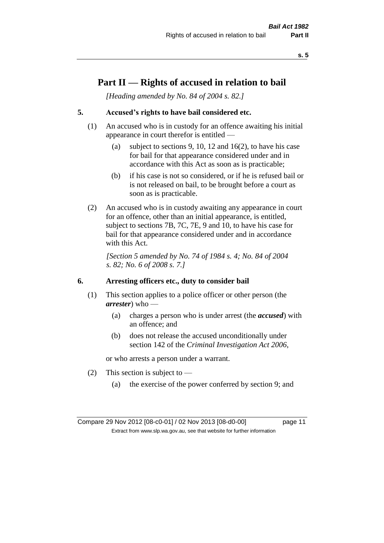**s. 5**

# **Part II — Rights of accused in relation to bail**

*[Heading amended by No. 84 of 2004 s. 82.]* 

# **5. Accused's rights to have bail considered etc.**

- (1) An accused who is in custody for an offence awaiting his initial appearance in court therefor is entitled —
	- (a) subject to sections 9, 10, 12 and 16(2), to have his case for bail for that appearance considered under and in accordance with this Act as soon as is practicable;
	- (b) if his case is not so considered, or if he is refused bail or is not released on bail, to be brought before a court as soon as is practicable.
- (2) An accused who is in custody awaiting any appearance in court for an offence, other than an initial appearance, is entitled, subject to sections 7B, 7C, 7E, 9 and 10, to have his case for bail for that appearance considered under and in accordance with this Act.

*[Section 5 amended by No. 74 of 1984 s. 4; No. 84 of 2004 s. 82; No. 6 of 2008 s. 7.]* 

#### **6. Arresting officers etc., duty to consider bail**

- (1) This section applies to a police officer or other person (the *arrester*) who —
	- (a) charges a person who is under arrest (the *accused*) with an offence; and
	- (b) does not release the accused unconditionally under section 142 of the *Criminal Investigation Act 2006*,

or who arrests a person under a warrant.

- (2) This section is subject to  $-$ 
	- (a) the exercise of the power conferred by section 9; and

Compare 29 Nov 2012 [08-c0-01] / 02 Nov 2013 [08-d0-00] page 11 Extract from www.slp.wa.gov.au, see that website for further information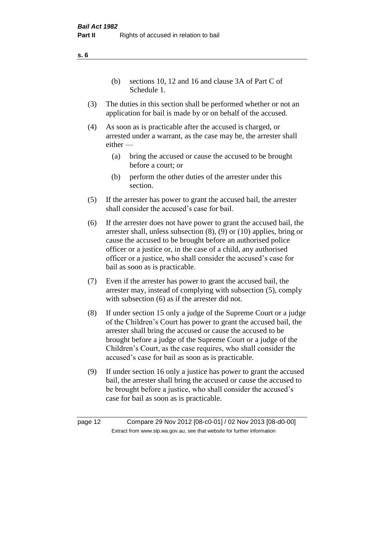(b) sections 10, 12 and 16 and clause 3A of Part C of Schedule 1.

- (3) The duties in this section shall be performed whether or not an application for bail is made by or on behalf of the accused.
- (4) As soon as is practicable after the accused is charged, or arrested under a warrant, as the case may be, the arrester shall either —
	- (a) bring the accused or cause the accused to be brought before a court; or
	- (b) perform the other duties of the arrester under this section.
- (5) If the arrester has power to grant the accused bail, the arrester shall consider the accused's case for bail.
- (6) If the arrester does not have power to grant the accused bail, the arrester shall, unless subsection (8), (9) or (10) applies, bring or cause the accused to be brought before an authorised police officer or a justice or, in the case of a child, any authorised officer or a justice, who shall consider the accused's case for bail as soon as is practicable.
- (7) Even if the arrester has power to grant the accused bail, the arrester may, instead of complying with subsection (5), comply with subsection  $(6)$  as if the arrester did not.
- (8) If under section 15 only a judge of the Supreme Court or a judge of the Children's Court has power to grant the accused bail, the arrester shall bring the accused or cause the accused to be brought before a judge of the Supreme Court or a judge of the Children's Court, as the case requires, who shall consider the accused's case for bail as soon as is practicable.
- (9) If under section 16 only a justice has power to grant the accused bail, the arrester shall bring the accused or cause the accused to be brought before a justice, who shall consider the accused's case for bail as soon as is practicable.

**s. 6**

page 12 Compare 29 Nov 2012 [08-c0-01] / 02 Nov 2013 [08-d0-00] Extract from www.slp.wa.gov.au, see that website for further information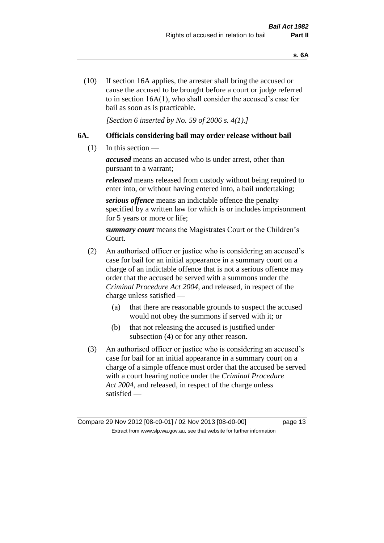(10) If section 16A applies, the arrester shall bring the accused or cause the accused to be brought before a court or judge referred to in section 16A(1), who shall consider the accused's case for bail as soon as is practicable.

*[Section 6 inserted by No. 59 of 2006 s. 4(1).]* 

## **6A. Officials considering bail may order release without bail**

(1) In this section —

*accused* means an accused who is under arrest, other than pursuant to a warrant;

*released* means released from custody without being required to enter into, or without having entered into, a bail undertaking;

*serious offence* means an indictable offence the penalty specified by a written law for which is or includes imprisonment for 5 years or more or life;

*summary court* means the Magistrates Court or the Children's Court.

- (2) An authorised officer or justice who is considering an accused's case for bail for an initial appearance in a summary court on a charge of an indictable offence that is not a serious offence may order that the accused be served with a summons under the *Criminal Procedure Act 2004*, and released, in respect of the charge unless satisfied —
	- (a) that there are reasonable grounds to suspect the accused would not obey the summons if served with it; or
	- (b) that not releasing the accused is justified under subsection (4) or for any other reason.
- (3) An authorised officer or justice who is considering an accused's case for bail for an initial appearance in a summary court on a charge of a simple offence must order that the accused be served with a court hearing notice under the *Criminal Procedure Act 2004*, and released, in respect of the charge unless satisfied —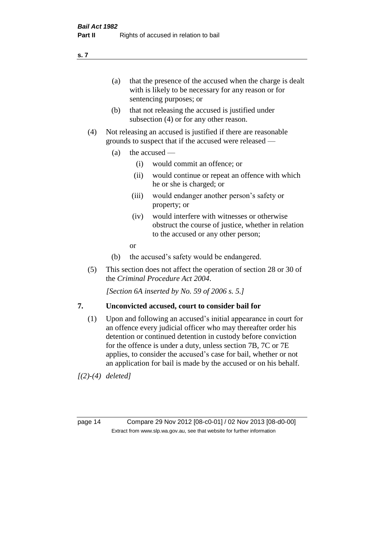(a) that the presence of the accused when the charge is dealt with is likely to be necessary for any reason or for sentencing purposes; or

- (b) that not releasing the accused is justified under subsection (4) or for any other reason.
- (4) Not releasing an accused is justified if there are reasonable grounds to suspect that if the accused were released —
	- (a) the accused  $\equiv$ 
		- (i) would commit an offence; or
		- (ii) would continue or repeat an offence with which he or she is charged; or
		- (iii) would endanger another person's safety or property; or
		- (iv) would interfere with witnesses or otherwise obstruct the course of justice, whether in relation to the accused or any other person;
		- or
	- (b) the accused's safety would be endangered.
- (5) This section does not affect the operation of section 28 or 30 of the *Criminal Procedure Act 2004*.

*[Section 6A inserted by No. 59 of 2006 s. 5.]* 

#### **7. Unconvicted accused, court to consider bail for**

(1) Upon and following an accused's initial appearance in court for an offence every judicial officer who may thereafter order his detention or continued detention in custody before conviction for the offence is under a duty, unless section 7B, 7C or 7E applies, to consider the accused's case for bail, whether or not an application for bail is made by the accused or on his behalf.

*[(2)-(4) deleted]*

page 14 Compare 29 Nov 2012 [08-c0-01] / 02 Nov 2013 [08-d0-00] Extract from www.slp.wa.gov.au, see that website for further information

**s. 7**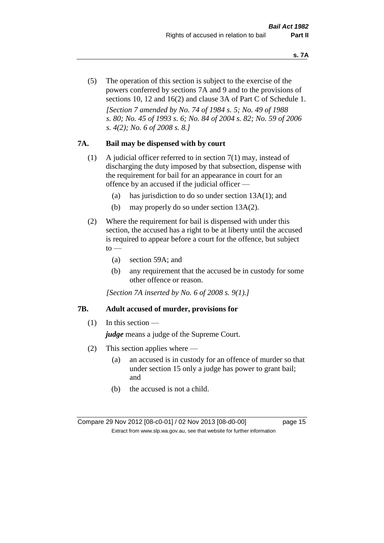(5) The operation of this section is subject to the exercise of the powers conferred by sections 7A and 9 and to the provisions of sections 10, 12 and 16(2) and clause 3A of Part C of Schedule 1. *[Section 7 amended by No. 74 of 1984 s. 5; No. 49 of 1988 s. 80; No. 45 of 1993 s. 6; No. 84 of 2004 s. 82; No. 59 of 2006 s. 4(2); No. 6 of 2008 s. 8.]* 

#### **7A. Bail may be dispensed with by court**

- (1) A judicial officer referred to in section 7(1) may, instead of discharging the duty imposed by that subsection, dispense with the requirement for bail for an appearance in court for an offence by an accused if the judicial officer —
	- (a) has jurisdiction to do so under section 13A(1); and
	- (b) may properly do so under section 13A(2).
- (2) Where the requirement for bail is dispensed with under this section, the accused has a right to be at liberty until the accused is required to appear before a court for the offence, but subject  $to$ 
	- (a) section 59A; and
	- (b) any requirement that the accused be in custody for some other offence or reason.

*[Section 7A inserted by No. 6 of 2008 s. 9(1).]*

#### **7B. Adult accused of murder, provisions for**

 $(1)$  In this section —

*judge* means a judge of the Supreme Court.

- (2) This section applies where
	- (a) an accused is in custody for an offence of murder so that under section 15 only a judge has power to grant bail; and
	- (b) the accused is not a child.

Compare 29 Nov 2012 [08-c0-01] / 02 Nov 2013 [08-d0-00] page 15 Extract from www.slp.wa.gov.au, see that website for further information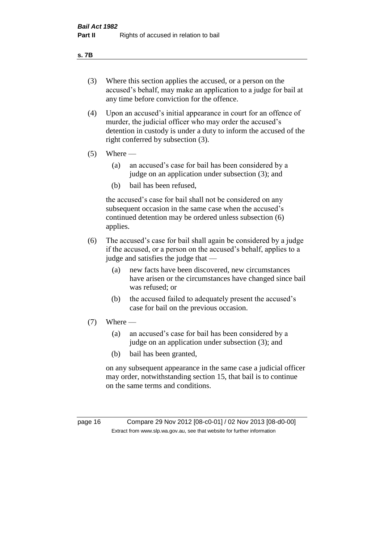#### **s. 7B**

- (3) Where this section applies the accused, or a person on the accused's behalf, may make an application to a judge for bail at any time before conviction for the offence.
- (4) Upon an accused's initial appearance in court for an offence of murder, the judicial officer who may order the accused's detention in custody is under a duty to inform the accused of the right conferred by subsection (3).
- $(5)$  Where
	- (a) an accused's case for bail has been considered by a judge on an application under subsection (3); and
	- (b) bail has been refused,

the accused's case for bail shall not be considered on any subsequent occasion in the same case when the accused's continued detention may be ordered unless subsection (6) applies.

- (6) The accused's case for bail shall again be considered by a judge if the accused, or a person on the accused's behalf, applies to a judge and satisfies the judge that —
	- (a) new facts have been discovered, new circumstances have arisen or the circumstances have changed since bail was refused; or
	- (b) the accused failed to adequately present the accused's case for bail on the previous occasion.
- $(7)$  Where
	- (a) an accused's case for bail has been considered by a judge on an application under subsection (3); and
	- (b) bail has been granted,

on any subsequent appearance in the same case a judicial officer may order, notwithstanding section 15, that bail is to continue on the same terms and conditions.

page 16 Compare 29 Nov 2012 [08-c0-01] / 02 Nov 2013 [08-d0-00] Extract from www.slp.wa.gov.au, see that website for further information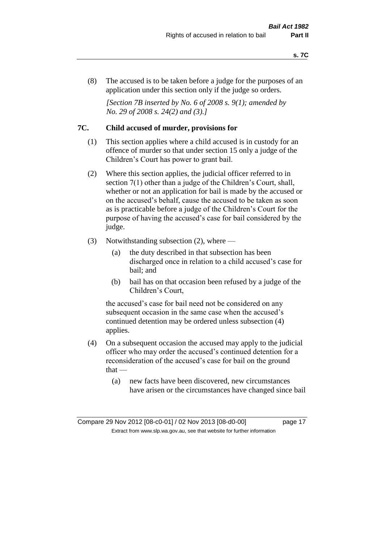(8) The accused is to be taken before a judge for the purposes of an application under this section only if the judge so orders.

*[Section 7B inserted by No. 6 of 2008 s. 9(1); amended by No. 29 of 2008 s. 24(2) and (3).]*

#### **7C. Child accused of murder, provisions for**

- (1) This section applies where a child accused is in custody for an offence of murder so that under section 15 only a judge of the Children's Court has power to grant bail.
- (2) Where this section applies, the judicial officer referred to in section 7(1) other than a judge of the Children's Court, shall, whether or not an application for bail is made by the accused or on the accused's behalf, cause the accused to be taken as soon as is practicable before a judge of the Children's Court for the purpose of having the accused's case for bail considered by the judge.
- (3) Notwithstanding subsection (2), where
	- (a) the duty described in that subsection has been discharged once in relation to a child accused's case for bail; and
	- (b) bail has on that occasion been refused by a judge of the Children's Court,

the accused's case for bail need not be considered on any subsequent occasion in the same case when the accused's continued detention may be ordered unless subsection (4) applies.

- (4) On a subsequent occasion the accused may apply to the judicial officer who may order the accused's continued detention for a reconsideration of the accused's case for bail on the ground that —
	- (a) new facts have been discovered, new circumstances have arisen or the circumstances have changed since bail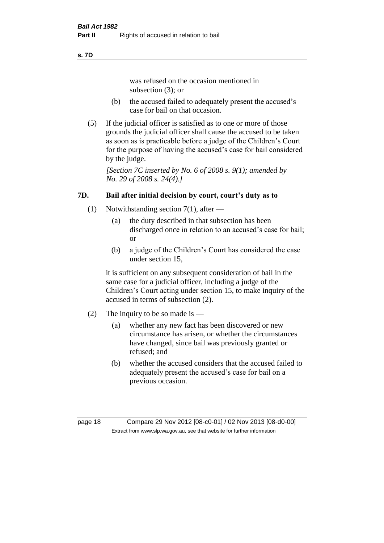#### **s. 7D**

was refused on the occasion mentioned in subsection (3); or

- (b) the accused failed to adequately present the accused's case for bail on that occasion.
- (5) If the judicial officer is satisfied as to one or more of those grounds the judicial officer shall cause the accused to be taken as soon as is practicable before a judge of the Children's Court for the purpose of having the accused's case for bail considered by the judge.

*[Section 7C inserted by No. 6 of 2008 s. 9(1); amended by No. 29 of 2008 s. 24(4).]*

# **7D. Bail after initial decision by court, court's duty as to**

- (1) Notwithstanding section 7(1), after
	- (a) the duty described in that subsection has been discharged once in relation to an accused's case for bail; or
	- (b) a judge of the Children's Court has considered the case under section 15,

it is sufficient on any subsequent consideration of bail in the same case for a judicial officer, including a judge of the Children's Court acting under section 15, to make inquiry of the accused in terms of subsection (2).

- (2) The inquiry to be so made is
	- (a) whether any new fact has been discovered or new circumstance has arisen, or whether the circumstances have changed, since bail was previously granted or refused; and
	- (b) whether the accused considers that the accused failed to adequately present the accused's case for bail on a previous occasion.

page 18 Compare 29 Nov 2012 [08-c0-01] / 02 Nov 2013 [08-d0-00] Extract from www.slp.wa.gov.au, see that website for further information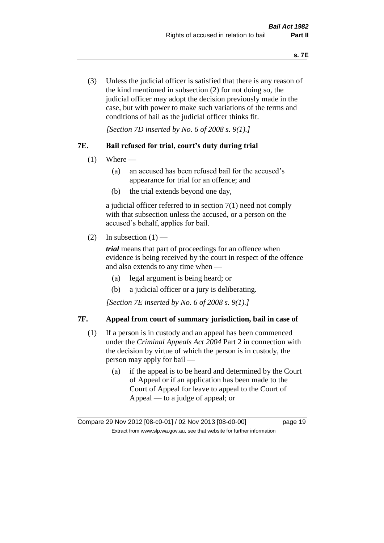(3) Unless the judicial officer is satisfied that there is any reason of the kind mentioned in subsection (2) for not doing so, the judicial officer may adopt the decision previously made in the case, but with power to make such variations of the terms and conditions of bail as the judicial officer thinks fit.

*[Section 7D inserted by No. 6 of 2008 s. 9(1).]*

#### **7E. Bail refused for trial, court's duty during trial**

- $(1)$  Where
	- (a) an accused has been refused bail for the accused's appearance for trial for an offence; and
	- (b) the trial extends beyond one day,

a judicial officer referred to in section 7(1) need not comply with that subsection unless the accused, or a person on the accused's behalf, applies for bail.

(2) In subsection  $(1)$  —

*trial* means that part of proceedings for an offence when evidence is being received by the court in respect of the offence and also extends to any time when —

- (a) legal argument is being heard; or
- (b) a judicial officer or a jury is deliberating.

*[Section 7E inserted by No. 6 of 2008 s. 9(1).]*

#### **7F. Appeal from court of summary jurisdiction, bail in case of**

- (1) If a person is in custody and an appeal has been commenced under the *Criminal Appeals Act 2004* Part 2 in connection with the decision by virtue of which the person is in custody, the person may apply for bail —
	- (a) if the appeal is to be heard and determined by the Court of Appeal or if an application has been made to the Court of Appeal for leave to appeal to the Court of Appeal — to a judge of appeal; or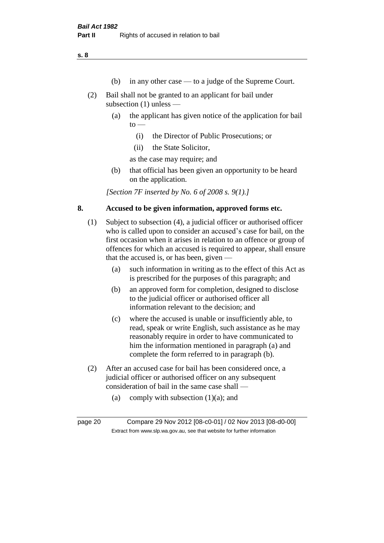**s. 8**

- (b) in any other case to a judge of the Supreme Court.
- (2) Bail shall not be granted to an applicant for bail under subsection (1) unless —
	- (a) the applicant has given notice of the application for bail  $to -$ 
		- (i) the Director of Public Prosecutions; or
		- (ii) the State Solicitor,

as the case may require; and

(b) that official has been given an opportunity to be heard on the application.

*[Section 7F inserted by No. 6 of 2008 s. 9(1).]*

#### **8. Accused to be given information, approved forms etc.**

- (1) Subject to subsection (4), a judicial officer or authorised officer who is called upon to consider an accused's case for bail, on the first occasion when it arises in relation to an offence or group of offences for which an accused is required to appear, shall ensure that the accused is, or has been, given —
	- (a) such information in writing as to the effect of this Act as is prescribed for the purposes of this paragraph; and
	- (b) an approved form for completion, designed to disclose to the judicial officer or authorised officer all information relevant to the decision; and
	- (c) where the accused is unable or insufficiently able, to read, speak or write English, such assistance as he may reasonably require in order to have communicated to him the information mentioned in paragraph (a) and complete the form referred to in paragraph (b).
- (2) After an accused case for bail has been considered once, a judicial officer or authorised officer on any subsequent consideration of bail in the same case shall —
	- (a) comply with subsection  $(1)(a)$ ; and

page 20 Compare 29 Nov 2012 [08-c0-01] / 02 Nov 2013 [08-d0-00] Extract from www.slp.wa.gov.au, see that website for further information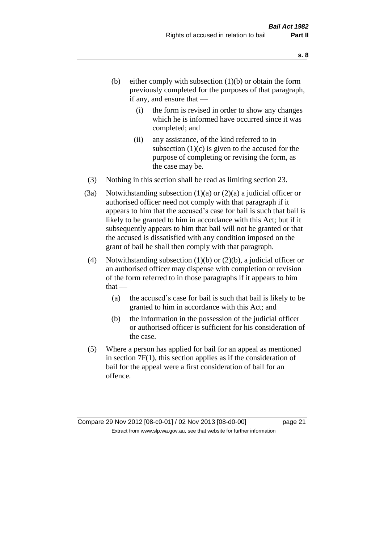- (b) either comply with subsection  $(1)(b)$  or obtain the form previously completed for the purposes of that paragraph, if any, and ensure that —
	- (i) the form is revised in order to show any changes which he is informed have occurred since it was completed; and
	- (ii) any assistance, of the kind referred to in subsection  $(1)(c)$  is given to the accused for the purpose of completing or revising the form, as the case may be.
- (3) Nothing in this section shall be read as limiting section 23.
- (3a) Notwithstanding subsection  $(1)(a)$  or  $(2)(a)$  a judicial officer or authorised officer need not comply with that paragraph if it appears to him that the accused's case for bail is such that bail is likely to be granted to him in accordance with this Act; but if it subsequently appears to him that bail will not be granted or that the accused is dissatisfied with any condition imposed on the grant of bail he shall then comply with that paragraph.
- (4) Notwithstanding subsection (1)(b) or (2)(b), a judicial officer or an authorised officer may dispense with completion or revision of the form referred to in those paragraphs if it appears to him  $that -$ 
	- (a) the accused's case for bail is such that bail is likely to be granted to him in accordance with this Act; and
	- (b) the information in the possession of the judicial officer or authorised officer is sufficient for his consideration of the case.
- (5) Where a person has applied for bail for an appeal as mentioned in section 7F(1), this section applies as if the consideration of bail for the appeal were a first consideration of bail for an offence.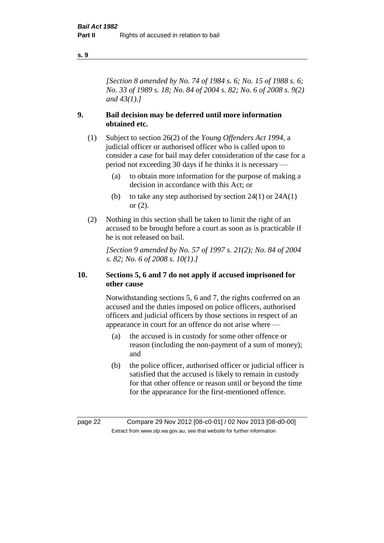#### **s. 9**

*[Section 8 amended by No. 74 of 1984 s. 6; No. 15 of 1988 s. 6; No. 33 of 1989 s. 18; No. 84 of 2004 s. 82; No. 6 of 2008 s. 9(2) and 43(1).]* 

#### **9. Bail decision may be deferred until more information obtained etc.**

- (1) Subject to section 26(2) of the *Young Offenders Act 1994*, a judicial officer or authorised officer who is called upon to consider a case for bail may defer consideration of the case for a period not exceeding 30 days if he thinks it is necessary —
	- (a) to obtain more information for the purpose of making a decision in accordance with this Act; or
	- (b) to take any step authorised by section  $24(1)$  or  $24A(1)$ or (2).
- (2) Nothing in this section shall be taken to limit the right of an accused to be brought before a court as soon as is practicable if he is not released on bail.

*[Section 9 amended by No. 57 of 1997 s. 21(2); No. 84 of 2004 s. 82; No. 6 of 2008 s. 10(1).]*

#### **10. Sections 5, 6 and 7 do not apply if accused imprisoned for other cause**

Notwithstanding sections 5, 6 and 7, the rights conferred on an accused and the duties imposed on police officers, authorised officers and judicial officers by those sections in respect of an appearance in court for an offence do not arise where —

- (a) the accused is in custody for some other offence or reason (including the non-payment of a sum of money); and
- (b) the police officer, authorised officer or judicial officer is satisfied that the accused is likely to remain in custody for that other offence or reason until or beyond the time for the appearance for the first-mentioned offence.

page 22 Compare 29 Nov 2012 [08-c0-01] / 02 Nov 2013 [08-d0-00] Extract from www.slp.wa.gov.au, see that website for further information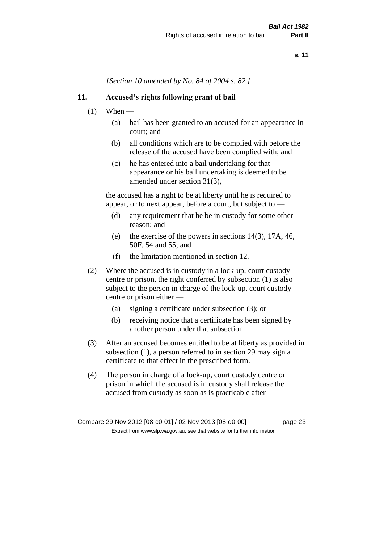*[Section 10 amended by No. 84 of 2004 s. 82.]*

#### **11. Accused's rights following grant of bail**

- $(1)$  When
	- (a) bail has been granted to an accused for an appearance in court; and
	- (b) all conditions which are to be complied with before the release of the accused have been complied with; and
	- (c) he has entered into a bail undertaking for that appearance or his bail undertaking is deemed to be amended under section 31(3),

the accused has a right to be at liberty until he is required to appear, or to next appear, before a court, but subject to —

- (d) any requirement that he be in custody for some other reason; and
- (e) the exercise of the powers in sections 14(3), 17A, 46, 50F, 54 and 55; and
- (f) the limitation mentioned in section 12.
- (2) Where the accused is in custody in a lock-up, court custody centre or prison, the right conferred by subsection (1) is also subject to the person in charge of the lock-up, court custody centre or prison either —
	- (a) signing a certificate under subsection (3); or
	- (b) receiving notice that a certificate has been signed by another person under that subsection.
- (3) After an accused becomes entitled to be at liberty as provided in subsection (1), a person referred to in section 29 may sign a certificate to that effect in the prescribed form.
- (4) The person in charge of a lock-up, court custody centre or prison in which the accused is in custody shall release the accused from custody as soon as is practicable after —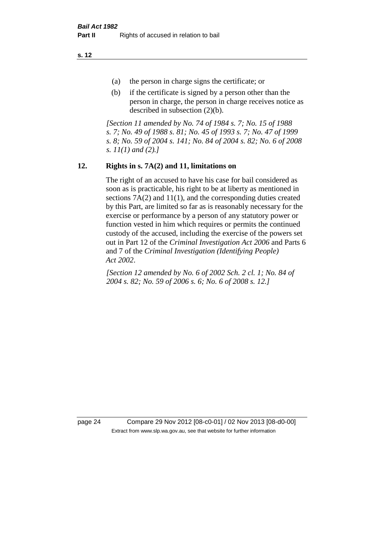**s. 12**

- (a) the person in charge signs the certificate; or
- (b) if the certificate is signed by a person other than the person in charge, the person in charge receives notice as described in subsection (2)(b).

*[Section 11 amended by No. 74 of 1984 s. 7; No. 15 of 1988 s. 7; No. 49 of 1988 s. 81; No. 45 of 1993 s. 7; No. 47 of 1999 s. 8; No. 59 of 2004 s. 141; No. 84 of 2004 s. 82; No. 6 of 2008 s. 11(1) and (2).]* 

# **12. Rights in s. 7A(2) and 11, limitations on**

The right of an accused to have his case for bail considered as soon as is practicable, his right to be at liberty as mentioned in sections 7A(2) and 11(1), and the corresponding duties created by this Part, are limited so far as is reasonably necessary for the exercise or performance by a person of any statutory power or function vested in him which requires or permits the continued custody of the accused, including the exercise of the powers set out in Part 12 of the *Criminal Investigation Act 2006* and Parts 6 and 7 of the *Criminal Investigation (Identifying People) Act 2002*.

*[Section 12 amended by No. 6 of 2002 Sch. 2 cl. 1; No. 84 of 2004 s. 82; No. 59 of 2006 s. 6; No. 6 of 2008 s. 12.]*

page 24 Compare 29 Nov 2012 [08-c0-01] / 02 Nov 2013 [08-d0-00] Extract from www.slp.wa.gov.au, see that website for further information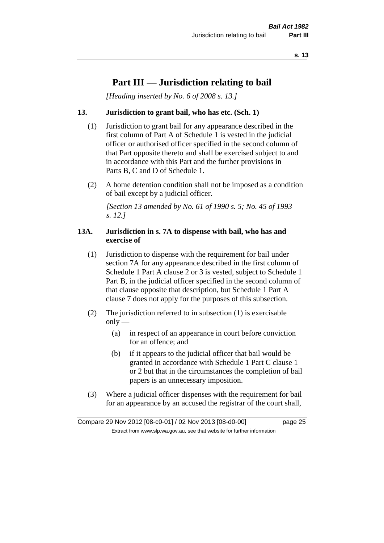# **Part III — Jurisdiction relating to bail**

*[Heading inserted by No. 6 of 2008 s. 13.]*

#### **13. Jurisdiction to grant bail, who has etc. (Sch. 1)**

- (1) Jurisdiction to grant bail for any appearance described in the first column of Part A of Schedule 1 is vested in the judicial officer or authorised officer specified in the second column of that Part opposite thereto and shall be exercised subject to and in accordance with this Part and the further provisions in Parts B, C and D of Schedule 1.
- (2) A home detention condition shall not be imposed as a condition of bail except by a judicial officer.

*[Section 13 amended by No. 61 of 1990 s. 5; No. 45 of 1993 s. 12.]* 

#### **13A. Jurisdiction in s. 7A to dispense with bail, who has and exercise of**

- (1) Jurisdiction to dispense with the requirement for bail under section 7A for any appearance described in the first column of Schedule 1 Part A clause 2 or 3 is vested, subject to Schedule 1 Part B, in the judicial officer specified in the second column of that clause opposite that description, but Schedule 1 Part A clause 7 does not apply for the purposes of this subsection.
- (2) The jurisdiction referred to in subsection (1) is exercisable  $only$ —
	- (a) in respect of an appearance in court before conviction for an offence; and
	- (b) if it appears to the judicial officer that bail would be granted in accordance with Schedule 1 Part C clause 1 or 2 but that in the circumstances the completion of bail papers is an unnecessary imposition.
- (3) Where a judicial officer dispenses with the requirement for bail for an appearance by an accused the registrar of the court shall,

Compare 29 Nov 2012 [08-c0-01] / 02 Nov 2013 [08-d0-00] page 25 Extract from www.slp.wa.gov.au, see that website for further information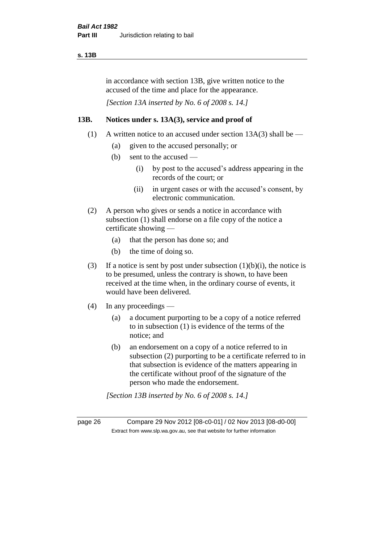#### **s. 13B**

in accordance with section 13B, give written notice to the accused of the time and place for the appearance.

*[Section 13A inserted by No. 6 of 2008 s. 14.]*

#### **13B. Notices under s. 13A(3), service and proof of**

- (1) A written notice to an accused under section  $13A(3)$  shall be
	- (a) given to the accused personally; or
	- (b) sent to the accused
		- (i) by post to the accused's address appearing in the records of the court; or
		- (ii) in urgent cases or with the accused's consent, by electronic communication.
- (2) A person who gives or sends a notice in accordance with subsection (1) shall endorse on a file copy of the notice a certificate showing —
	- (a) that the person has done so; and
	- (b) the time of doing so.
- (3) If a notice is sent by post under subsection  $(1)(b)(i)$ , the notice is to be presumed, unless the contrary is shown, to have been received at the time when, in the ordinary course of events, it would have been delivered.
- (4) In any proceedings
	- (a) a document purporting to be a copy of a notice referred to in subsection (1) is evidence of the terms of the notice; and
	- (b) an endorsement on a copy of a notice referred to in subsection (2) purporting to be a certificate referred to in that subsection is evidence of the matters appearing in the certificate without proof of the signature of the person who made the endorsement.

*[Section 13B inserted by No. 6 of 2008 s. 14.]*

page 26 Compare 29 Nov 2012 [08-c0-01] / 02 Nov 2013 [08-d0-00] Extract from www.slp.wa.gov.au, see that website for further information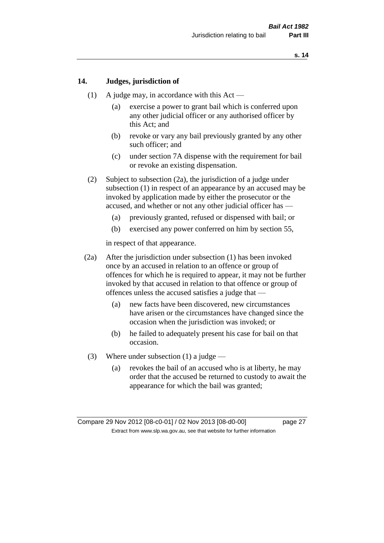#### **14. Judges, jurisdiction of**

- (1) A judge may, in accordance with this Act
	- (a) exercise a power to grant bail which is conferred upon any other judicial officer or any authorised officer by this Act; and
	- (b) revoke or vary any bail previously granted by any other such officer; and
	- (c) under section 7A dispense with the requirement for bail or revoke an existing dispensation.
- (2) Subject to subsection (2a), the jurisdiction of a judge under subsection (1) in respect of an appearance by an accused may be invoked by application made by either the prosecutor or the accused, and whether or not any other judicial officer has —
	- (a) previously granted, refused or dispensed with bail; or
	- (b) exercised any power conferred on him by section 55,

in respect of that appearance.

- (2a) After the jurisdiction under subsection (1) has been invoked once by an accused in relation to an offence or group of offences for which he is required to appear, it may not be further invoked by that accused in relation to that offence or group of offences unless the accused satisfies a judge that —
	- (a) new facts have been discovered, new circumstances have arisen or the circumstances have changed since the occasion when the jurisdiction was invoked; or
	- (b) he failed to adequately present his case for bail on that occasion.
- (3) Where under subsection (1) a judge
	- (a) revokes the bail of an accused who is at liberty, he may order that the accused be returned to custody to await the appearance for which the bail was granted;

Compare 29 Nov 2012 [08-c0-01] / 02 Nov 2013 [08-d0-00] page 27 Extract from www.slp.wa.gov.au, see that website for further information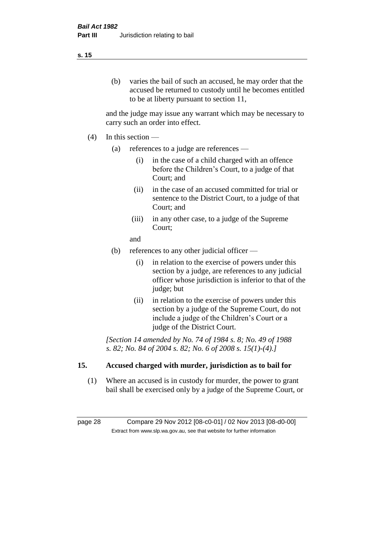# (b) varies the bail of such an accused, he may order that the accused be returned to custody until he becomes entitled to be at liberty pursuant to section 11,

and the judge may issue any warrant which may be necessary to carry such an order into effect.

- (4) In this section
	- (a) references to a judge are references
		- (i) in the case of a child charged with an offence before the Children's Court, to a judge of that Court; and
		- (ii) in the case of an accused committed for trial or sentence to the District Court, to a judge of that Court; and
		- (iii) in any other case, to a judge of the Supreme Court;
		- and
	- (b) references to any other judicial officer
		- (i) in relation to the exercise of powers under this section by a judge, are references to any judicial officer whose jurisdiction is inferior to that of the judge; but
		- (ii) in relation to the exercise of powers under this section by a judge of the Supreme Court, do not include a judge of the Children's Court or a judge of the District Court.

*[Section 14 amended by No. 74 of 1984 s. 8; No. 49 of 1988 s. 82; No. 84 of 2004 s. 82; No. 6 of 2008 s. 15(1)-(4).]* 

# **15. Accused charged with murder, jurisdiction as to bail for**

(1) Where an accused is in custody for murder, the power to grant bail shall be exercised only by a judge of the Supreme Court, or

page 28 Compare 29 Nov 2012 [08-c0-01] / 02 Nov 2013 [08-d0-00] Extract from www.slp.wa.gov.au, see that website for further information

#### **s. 15**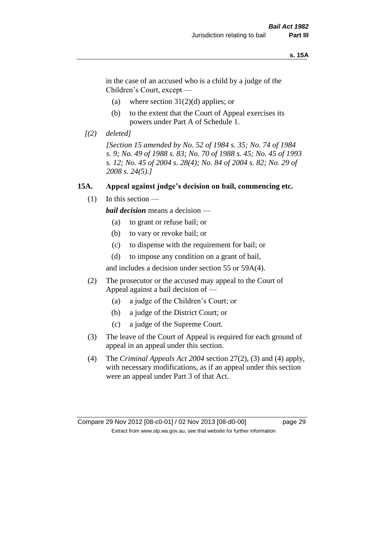#### **s. 15A**

in the case of an accused who is a child by a judge of the Children's Court, except —

- (a) where section  $31(2)(d)$  applies; or
- (b) to the extent that the Court of Appeal exercises its powers under Part A of Schedule 1.
- *[(2) deleted]*

*[Section 15 amended by No. 52 of 1984 s. 35; No. 74 of 1984 s. 9; No. 49 of 1988 s. 83; No. 70 of 1988 s. 45; No. 45 of 1993 s. 12; No. 45 of 2004 s. 28(4); No. 84 of 2004 s. 82; No. 29 of 2008 s. 24(5).]* 

#### **15A. Appeal against judge's decision on bail, commencing etc.**

 $(1)$  In this section —

*bail decision* means a decision —

- (a) to grant or refuse bail; or
- (b) to vary or revoke bail; or
- (c) to dispense with the requirement for bail; or
- (d) to impose any condition on a grant of bail,

and includes a decision under section 55 or 59A(4).

- (2) The prosecutor or the accused may appeal to the Court of Appeal against a bail decision of —
	- (a) a judge of the Children's Court; or
	- (b) a judge of the District Court; or
	- (c) a judge of the Supreme Court.
- (3) The leave of the Court of Appeal is required for each ground of appeal in an appeal under this section.
- (4) The *Criminal Appeals Act 2004* section 27(2), (3) and (4) apply, with necessary modifications, as if an appeal under this section were an appeal under Part 3 of that Act.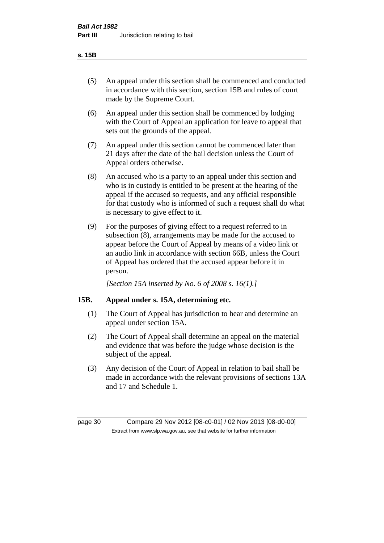#### **s. 15B**

- (5) An appeal under this section shall be commenced and conducted in accordance with this section, section 15B and rules of court made by the Supreme Court.
- (6) An appeal under this section shall be commenced by lodging with the Court of Appeal an application for leave to appeal that sets out the grounds of the appeal.
- (7) An appeal under this section cannot be commenced later than 21 days after the date of the bail decision unless the Court of Appeal orders otherwise.
- (8) An accused who is a party to an appeal under this section and who is in custody is entitled to be present at the hearing of the appeal if the accused so requests, and any official responsible for that custody who is informed of such a request shall do what is necessary to give effect to it.
- (9) For the purposes of giving effect to a request referred to in subsection (8), arrangements may be made for the accused to appear before the Court of Appeal by means of a video link or an audio link in accordance with section 66B, unless the Court of Appeal has ordered that the accused appear before it in person.

*[Section 15A inserted by No. 6 of 2008 s. 16(1).]*

#### **15B. Appeal under s. 15A, determining etc.**

- (1) The Court of Appeal has jurisdiction to hear and determine an appeal under section 15A.
- (2) The Court of Appeal shall determine an appeal on the material and evidence that was before the judge whose decision is the subject of the appeal.
- (3) Any decision of the Court of Appeal in relation to bail shall be made in accordance with the relevant provisions of sections 13A and 17 and Schedule 1.

page 30 Compare 29 Nov 2012 [08-c0-01] / 02 Nov 2013 [08-d0-00] Extract from www.slp.wa.gov.au, see that website for further information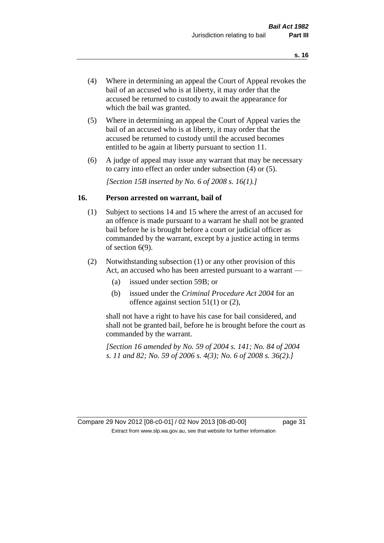- (4) Where in determining an appeal the Court of Appeal revokes the bail of an accused who is at liberty, it may order that the accused be returned to custody to await the appearance for which the bail was granted.
- (5) Where in determining an appeal the Court of Appeal varies the bail of an accused who is at liberty, it may order that the accused be returned to custody until the accused becomes entitled to be again at liberty pursuant to section 11.
- (6) A judge of appeal may issue any warrant that may be necessary to carry into effect an order under subsection (4) or (5).

*[Section 15B inserted by No. 6 of 2008 s. 16(1).]*

#### **16. Person arrested on warrant, bail of**

- (1) Subject to sections 14 and 15 where the arrest of an accused for an offence is made pursuant to a warrant he shall not be granted bail before he is brought before a court or judicial officer as commanded by the warrant, except by a justice acting in terms of section 6(9).
- (2) Notwithstanding subsection (1) or any other provision of this Act, an accused who has been arrested pursuant to a warrant —
	- (a) issued under section 59B; or
	- (b) issued under the *Criminal Procedure Act 2004* for an offence against section 51(1) or (2),

shall not have a right to have his case for bail considered, and shall not be granted bail, before he is brought before the court as commanded by the warrant.

*[Section 16 amended by No. 59 of 2004 s. 141; No. 84 of 2004 s. 11 and 82; No. 59 of 2006 s. 4(3); No. 6 of 2008 s. 36(2).]*

Compare 29 Nov 2012 [08-c0-01] / 02 Nov 2013 [08-d0-00] page 31 Extract from www.slp.wa.gov.au, see that website for further information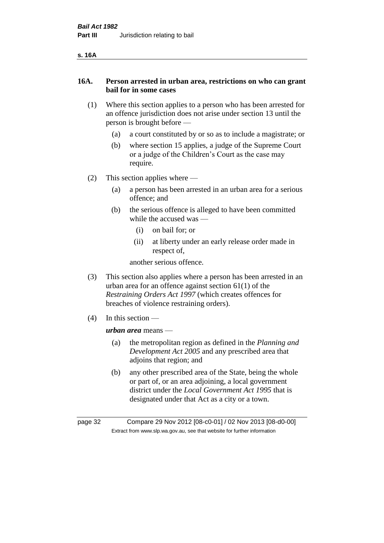| ۰.<br>v |
|---------|
|---------|

#### **16A. Person arrested in urban area, restrictions on who can grant bail for in some cases**

- (1) Where this section applies to a person who has been arrested for an offence jurisdiction does not arise under section 13 until the person is brought before —
	- (a) a court constituted by or so as to include a magistrate; or
	- (b) where section 15 applies, a judge of the Supreme Court or a judge of the Children's Court as the case may require.
- (2) This section applies where
	- (a) a person has been arrested in an urban area for a serious offence; and
	- (b) the serious offence is alleged to have been committed while the accused was —
		- (i) on bail for; or
		- (ii) at liberty under an early release order made in respect of,

another serious offence.

- (3) This section also applies where a person has been arrested in an urban area for an offence against section 61(1) of the *Restraining Orders Act 1997* (which creates offences for breaches of violence restraining orders).
- (4) In this section —

*urban area* means —

- (a) the metropolitan region as defined in the *Planning and Development Act 2005* and any prescribed area that adjoins that region; and
- (b) any other prescribed area of the State, being the whole or part of, or an area adjoining, a local government district under the *Local Government Act 1995* that is designated under that Act as a city or a town.

page 32 Compare 29 Nov 2012 [08-c0-01] / 02 Nov 2013 [08-d0-00] Extract from www.slp.wa.gov.au, see that website for further information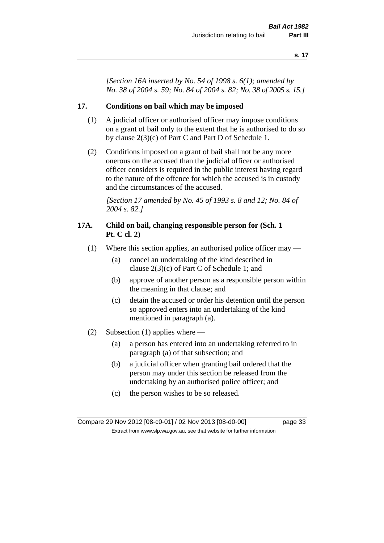*[Section 16A inserted by No. 54 of 1998 s. 6(1); amended by No. 38 of 2004 s. 59; No. 84 of 2004 s. 82; No. 38 of 2005 s. 15.]*

#### **17. Conditions on bail which may be imposed**

- (1) A judicial officer or authorised officer may impose conditions on a grant of bail only to the extent that he is authorised to do so by clause 2(3)(c) of Part C and Part D of Schedule 1.
- (2) Conditions imposed on a grant of bail shall not be any more onerous on the accused than the judicial officer or authorised officer considers is required in the public interest having regard to the nature of the offence for which the accused is in custody and the circumstances of the accused.

*[Section 17 amended by No. 45 of 1993 s. 8 and 12; No. 84 of 2004 s. 82.]* 

#### **17A. Child on bail, changing responsible person for (Sch. 1 Pt. C cl. 2)**

- (1) Where this section applies, an authorised police officer may
	- (a) cancel an undertaking of the kind described in clause 2(3)(c) of Part C of Schedule 1; and
	- (b) approve of another person as a responsible person within the meaning in that clause; and
	- (c) detain the accused or order his detention until the person so approved enters into an undertaking of the kind mentioned in paragraph (a).
- (2) Subsection (1) applies where
	- (a) a person has entered into an undertaking referred to in paragraph (a) of that subsection; and
	- (b) a judicial officer when granting bail ordered that the person may under this section be released from the undertaking by an authorised police officer; and
	- (c) the person wishes to be so released.

Compare 29 Nov 2012 [08-c0-01] / 02 Nov 2013 [08-d0-00] page 33 Extract from www.slp.wa.gov.au, see that website for further information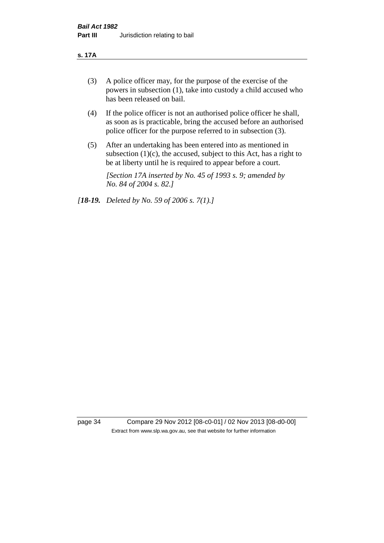#### **s. 17A**

- (3) A police officer may, for the purpose of the exercise of the powers in subsection (1), take into custody a child accused who has been released on bail.
- (4) If the police officer is not an authorised police officer he shall, as soon as is practicable, bring the accused before an authorised police officer for the purpose referred to in subsection (3).
- (5) After an undertaking has been entered into as mentioned in subsection  $(1)(c)$ , the accused, subject to this Act, has a right to be at liberty until he is required to appear before a court.

*[Section 17A inserted by No. 45 of 1993 s. 9; amended by No. 84 of 2004 s. 82.]* 

*[18-19. Deleted by No. 59 of 2006 s. 7(1).]*

page 34 Compare 29 Nov 2012 [08-c0-01] / 02 Nov 2013 [08-d0-00] Extract from www.slp.wa.gov.au, see that website for further information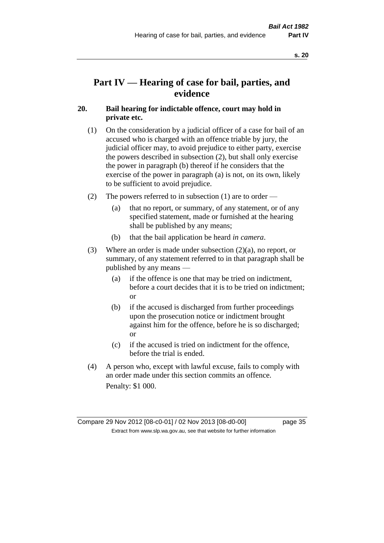# **Part IV — Hearing of case for bail, parties, and evidence**

# **20. Bail hearing for indictable offence, court may hold in private etc.**

- (1) On the consideration by a judicial officer of a case for bail of an accused who is charged with an offence triable by jury, the judicial officer may, to avoid prejudice to either party, exercise the powers described in subsection (2), but shall only exercise the power in paragraph (b) thereof if he considers that the exercise of the power in paragraph (a) is not, on its own, likely to be sufficient to avoid prejudice.
- (2) The powers referred to in subsection (1) are to order
	- (a) that no report, or summary, of any statement, or of any specified statement, made or furnished at the hearing shall be published by any means;
	- (b) that the bail application be heard *in camera*.
- (3) Where an order is made under subsection (2)(a), no report, or summary, of any statement referred to in that paragraph shall be published by any means —
	- (a) if the offence is one that may be tried on indictment, before a court decides that it is to be tried on indictment; or
	- (b) if the accused is discharged from further proceedings upon the prosecution notice or indictment brought against him for the offence, before he is so discharged; or
	- (c) if the accused is tried on indictment for the offence, before the trial is ended.
- (4) A person who, except with lawful excuse, fails to comply with an order made under this section commits an offence. Penalty: \$1 000.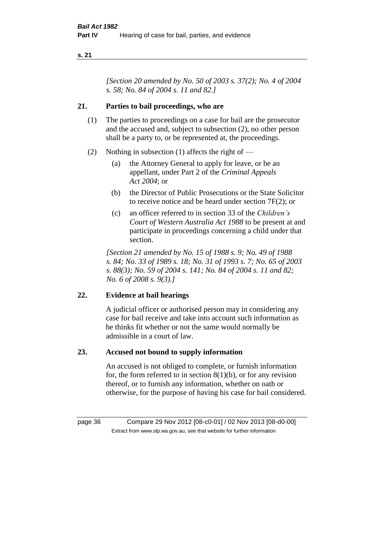*[Section 20 amended by No. 50 of 2003 s. 37(2); No. 4 of 2004 s. 58; No. 84 of 2004 s. 11 and 82.]*

# **21. Parties to bail proceedings, who are**

- (1) The parties to proceedings on a case for bail are the prosecutor and the accused and, subject to subsection (2), no other person shall be a party to, or be represented at, the proceedings.
- (2) Nothing in subsection (1) affects the right of
	- (a) the Attorney General to apply for leave, or be an appellant, under Part 2 of the *Criminal Appeals Act 2004*; or
	- (b) the Director of Public Prosecutions or the State Solicitor to receive notice and be heard under section 7F(2); or
	- (c) an officer referred to in section 33 of the *Children's Court of Western Australia Act 1988* to be present at and participate in proceedings concerning a child under that section.

*[Section 21 amended by No. 15 of 1988 s. 9; No. 49 of 1988 s. 84; No. 33 of 1989 s. 18; No. 31 of 1993 s. 7; No. 65 of 2003 s. 88(3); No. 59 of 2004 s. 141; No. 84 of 2004 s. 11 and 82; No. 6 of 2008 s. 9(3).]* 

# **22. Evidence at bail hearings**

A judicial officer or authorised person may in considering any case for bail receive and take into account such information as he thinks fit whether or not the same would normally be admissible in a court of law.

# **23. Accused not bound to supply information**

An accused is not obliged to complete, or furnish information for, the form referred to in section  $8(1)(b)$ , or for any revision thereof, or to furnish any information, whether on oath or otherwise, for the purpose of having his case for bail considered.

page 36 Compare 29 Nov 2012 [08-c0-01] / 02 Nov 2013 [08-d0-00] Extract from www.slp.wa.gov.au, see that website for further information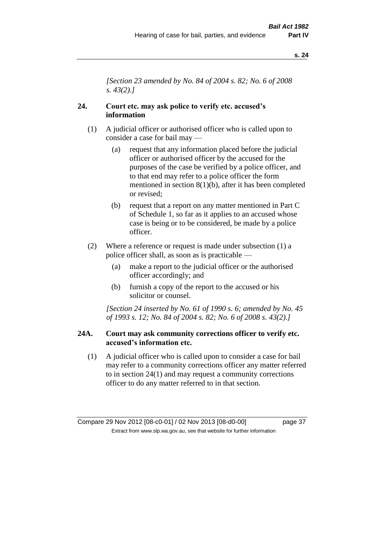*[Section 23 amended by No. 84 of 2004 s. 82; No. 6 of 2008 s. 43(2).]* 

# **24. Court etc. may ask police to verify etc. accused's information**

- (1) A judicial officer or authorised officer who is called upon to consider a case for bail may —
	- (a) request that any information placed before the judicial officer or authorised officer by the accused for the purposes of the case be verified by a police officer, and to that end may refer to a police officer the form mentioned in section 8(1)(b), after it has been completed or revised;
	- (b) request that a report on any matter mentioned in Part C of Schedule 1, so far as it applies to an accused whose case is being or to be considered, be made by a police officer.
- (2) Where a reference or request is made under subsection (1) a police officer shall, as soon as is practicable —
	- (a) make a report to the judicial officer or the authorised officer accordingly; and
	- (b) furnish a copy of the report to the accused or his solicitor or counsel.

*[Section 24 inserted by No. 61 of 1990 s. 6; amended by No. 45 of 1993 s. 12; No. 84 of 2004 s. 82; No. 6 of 2008 s. 43(2).]* 

## **24A. Court may ask community corrections officer to verify etc. accused's information etc.**

(1) A judicial officer who is called upon to consider a case for bail may refer to a community corrections officer any matter referred to in section 24(1) and may request a community corrections officer to do any matter referred to in that section.

Compare 29 Nov 2012 [08-c0-01] / 02 Nov 2013 [08-d0-00] page 37 Extract from www.slp.wa.gov.au, see that website for further information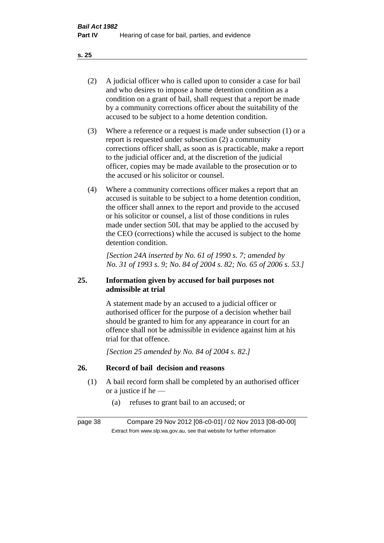- (2) A judicial officer who is called upon to consider a case for bail and who desires to impose a home detention condition as a condition on a grant of bail, shall request that a report be made by a community corrections officer about the suitability of the accused to be subject to a home detention condition.
- (3) Where a reference or a request is made under subsection (1) or a report is requested under subsection (2) a community corrections officer shall, as soon as is practicable, make a report to the judicial officer and, at the discretion of the judicial officer, copies may be made available to the prosecution or to the accused or his solicitor or counsel.
- (4) Where a community corrections officer makes a report that an accused is suitable to be subject to a home detention condition, the officer shall annex to the report and provide to the accused or his solicitor or counsel, a list of those conditions in rules made under section 50L that may be applied to the accused by the CEO (corrections) while the accused is subject to the home detention condition.

*[Section 24A inserted by No. 61 of 1990 s. 7; amended by No. 31 of 1993 s. 9; No. 84 of 2004 s. 82; No. 65 of 2006 s. 53.]* 

# **25. Information given by accused for bail purposes not admissible at trial**

A statement made by an accused to a judicial officer or authorised officer for the purpose of a decision whether bail should be granted to him for any appearance in court for an offence shall not be admissible in evidence against him at his trial for that offence.

*[Section 25 amended by No. 84 of 2004 s. 82.]* 

# **26. Record of bail decision and reasons**

- (1) A bail record form shall be completed by an authorised officer or a justice if he —
	- (a) refuses to grant bail to an accused; or

page 38 Compare 29 Nov 2012 [08-c0-01] / 02 Nov 2013 [08-d0-00] Extract from www.slp.wa.gov.au, see that website for further information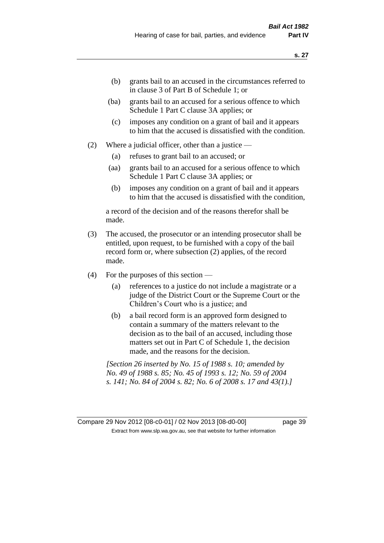- (b) grants bail to an accused in the circumstances referred to in clause 3 of Part B of Schedule 1; or
- (ba) grants bail to an accused for a serious offence to which Schedule 1 Part C clause 3A applies; or
- (c) imposes any condition on a grant of bail and it appears to him that the accused is dissatisfied with the condition.
- (2) Where a judicial officer, other than a justice
	- (a) refuses to grant bail to an accused; or
	- (aa) grants bail to an accused for a serious offence to which Schedule 1 Part C clause 3A applies; or
	- (b) imposes any condition on a grant of bail and it appears to him that the accused is dissatisfied with the condition,

a record of the decision and of the reasons therefor shall be made.

- (3) The accused, the prosecutor or an intending prosecutor shall be entitled, upon request, to be furnished with a copy of the bail record form or, where subsection (2) applies, of the record made.
- (4) For the purposes of this section
	- (a) references to a justice do not include a magistrate or a judge of the District Court or the Supreme Court or the Children's Court who is a justice; and
	- (b) a bail record form is an approved form designed to contain a summary of the matters relevant to the decision as to the bail of an accused, including those matters set out in Part C of Schedule 1, the decision made, and the reasons for the decision.

*[Section 26 inserted by No. 15 of 1988 s. 10; amended by No. 49 of 1988 s. 85; No. 45 of 1993 s. 12; No. 59 of 2004 s. 141; No. 84 of 2004 s. 82; No. 6 of 2008 s. 17 and 43(1).]* 

Compare 29 Nov 2012 [08-c0-01] / 02 Nov 2013 [08-d0-00] page 39 Extract from www.slp.wa.gov.au, see that website for further information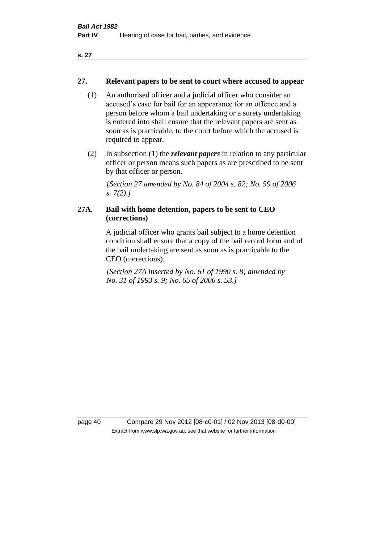## **27. Relevant papers to be sent to court where accused to appear**

- (1) An authorised officer and a judicial officer who consider an accused's case for bail for an appearance for an offence and a person before whom a bail undertaking or a surety undertaking is entered into shall ensure that the relevant papers are sent as soon as is practicable, to the court before which the accused is required to appear.
- (2) In subsection (1) the *relevant papers* in relation to any particular officer or person means such papers as are prescribed to be sent by that officer or person.

*[Section 27 amended by No. 84 of 2004 s. 82; No. 59 of 2006 s. 7(2).]* 

# **27A. Bail with home detention, papers to be sent to CEO (corrections)**

A judicial officer who grants bail subject to a home detention condition shall ensure that a copy of the bail record form and of the bail undertaking are sent as soon as is practicable to the CEO (corrections).

*[Section 27A inserted by No. 61 of 1990 s. 8; amended by No. 31 of 1993 s. 9; No. 65 of 2006 s. 53.]* 

page 40 Compare 29 Nov 2012 [08-c0-01] / 02 Nov 2013 [08-d0-00] Extract from www.slp.wa.gov.au, see that website for further information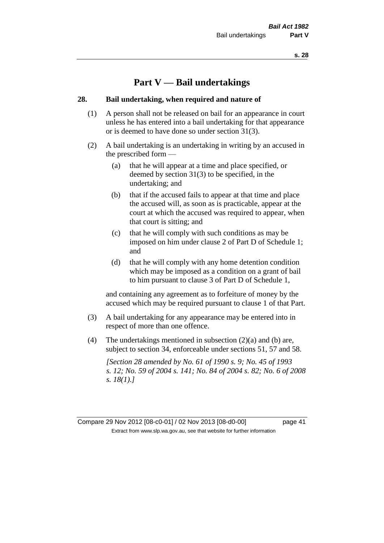# **Part V — Bail undertakings**

### **28. Bail undertaking, when required and nature of**

- (1) A person shall not be released on bail for an appearance in court unless he has entered into a bail undertaking for that appearance or is deemed to have done so under section 31(3).
- (2) A bail undertaking is an undertaking in writing by an accused in the prescribed form —
	- (a) that he will appear at a time and place specified, or deemed by section 31(3) to be specified, in the undertaking; and
	- (b) that if the accused fails to appear at that time and place the accused will, as soon as is practicable, appear at the court at which the accused was required to appear, when that court is sitting; and
	- (c) that he will comply with such conditions as may be imposed on him under clause 2 of Part D of Schedule 1; and
	- (d) that he will comply with any home detention condition which may be imposed as a condition on a grant of bail to him pursuant to clause 3 of Part D of Schedule 1,

and containing any agreement as to forfeiture of money by the accused which may be required pursuant to clause 1 of that Part.

- (3) A bail undertaking for any appearance may be entered into in respect of more than one offence.
- (4) The undertakings mentioned in subsection  $(2)(a)$  and  $(b)$  are, subject to section 34, enforceable under sections 51, 57 and 58.

*[Section 28 amended by No. 61 of 1990 s. 9; No. 45 of 1993 s. 12; No. 59 of 2004 s. 141; No. 84 of 2004 s. 82; No. 6 of 2008 s. 18(1).]*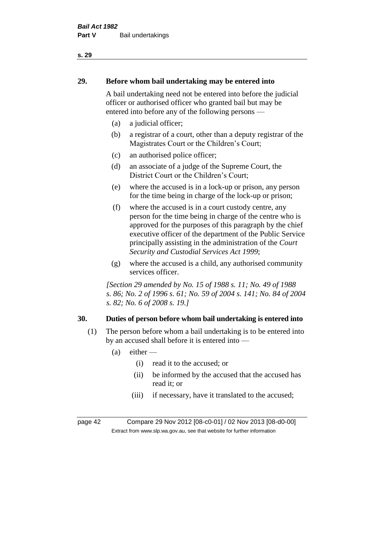# **29. Before whom bail undertaking may be entered into**

A bail undertaking need not be entered into before the judicial officer or authorised officer who granted bail but may be entered into before any of the following persons —

- (a) a judicial officer;
- (b) a registrar of a court, other than a deputy registrar of the Magistrates Court or the Children's Court;
- (c) an authorised police officer;
- (d) an associate of a judge of the Supreme Court, the District Court or the Children's Court;
- (e) where the accused is in a lock-up or prison, any person for the time being in charge of the lock-up or prison;
- (f) where the accused is in a court custody centre, any person for the time being in charge of the centre who is approved for the purposes of this paragraph by the chief executive officer of the department of the Public Service principally assisting in the administration of the *Court Security and Custodial Services Act 1999*;
- (g) where the accused is a child, any authorised community services officer.

*[Section 29 amended by No. 15 of 1988 s. 11; No. 49 of 1988 s. 86; No. 2 of 1996 s. 61; No. 59 of 2004 s. 141; No. 84 of 2004 s. 82; No. 6 of 2008 s. 19.]* 

# **30. Duties of person before whom bail undertaking is entered into**

- (1) The person before whom a bail undertaking is to be entered into by an accused shall before it is entered into —
	- $(a)$  either
		- (i) read it to the accused; or
		- (ii) be informed by the accused that the accused has read it; or
		- (iii) if necessary, have it translated to the accused;

page 42 Compare 29 Nov 2012 [08-c0-01] / 02 Nov 2013 [08-d0-00] Extract from www.slp.wa.gov.au, see that website for further information

#### **s. 29**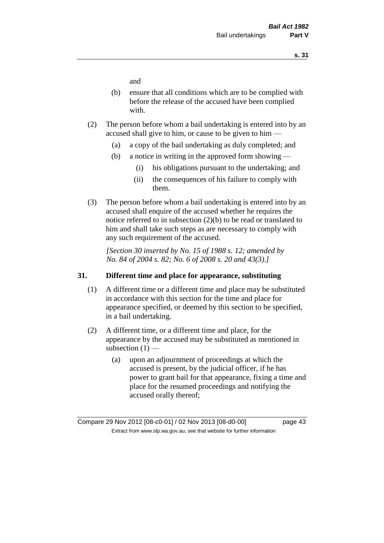and

- (b) ensure that all conditions which are to be complied with before the release of the accused have been complied with.
- (2) The person before whom a bail undertaking is entered into by an accused shall give to him, or cause to be given to him —
	- (a) a copy of the bail undertaking as duly completed; and
	- (b) a notice in writing in the approved form showing
		- (i) his obligations pursuant to the undertaking; and
		- (ii) the consequences of his failure to comply with them.
- (3) The person before whom a bail undertaking is entered into by an accused shall enquire of the accused whether he requires the notice referred to in subsection (2)(b) to be read or translated to him and shall take such steps as are necessary to comply with any such requirement of the accused.

*[Section 30 inserted by No. 15 of 1988 s. 12; amended by No. 84 of 2004 s. 82; No. 6 of 2008 s. 20 and 43(3).]* 

## **31. Different time and place for appearance, substituting**

- (1) A different time or a different time and place may be substituted in accordance with this section for the time and place for appearance specified, or deemed by this section to be specified, in a bail undertaking.
- (2) A different time, or a different time and place, for the appearance by the accused may be substituted as mentioned in subsection  $(1)$  —
	- (a) upon an adjournment of proceedings at which the accused is present, by the judicial officer, if he has power to grant bail for that appearance, fixing a time and place for the resumed proceedings and notifying the accused orally thereof;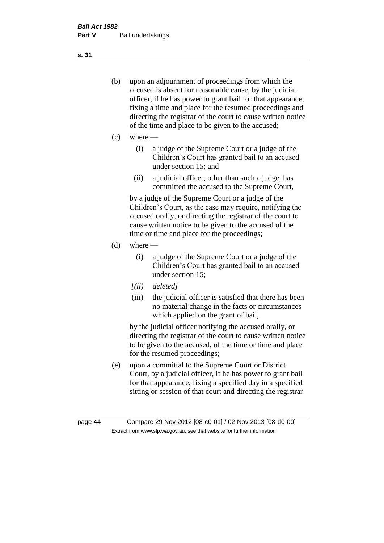- (b) upon an adjournment of proceedings from which the accused is absent for reasonable cause, by the judicial officer, if he has power to grant bail for that appearance, fixing a time and place for the resumed proceedings and directing the registrar of the court to cause written notice of the time and place to be given to the accused;
- (c) where
	- (i) a judge of the Supreme Court or a judge of the Children's Court has granted bail to an accused under section 15; and
	- (ii) a judicial officer, other than such a judge, has committed the accused to the Supreme Court,

by a judge of the Supreme Court or a judge of the Children's Court, as the case may require, notifying the accused orally, or directing the registrar of the court to cause written notice to be given to the accused of the time or time and place for the proceedings;

- $(d)$  where
	- (i) a judge of the Supreme Court or a judge of the Children's Court has granted bail to an accused under section 15;
	- *[(ii) deleted]*
	- (iii) the judicial officer is satisfied that there has been no material change in the facts or circumstances which applied on the grant of bail,

by the judicial officer notifying the accused orally, or directing the registrar of the court to cause written notice to be given to the accused, of the time or time and place for the resumed proceedings;

(e) upon a committal to the Supreme Court or District Court, by a judicial officer, if he has power to grant bail for that appearance, fixing a specified day in a specified sitting or session of that court and directing the registrar

**s. 31**

page 44 Compare 29 Nov 2012 [08-c0-01] / 02 Nov 2013 [08-d0-00] Extract from www.slp.wa.gov.au, see that website for further information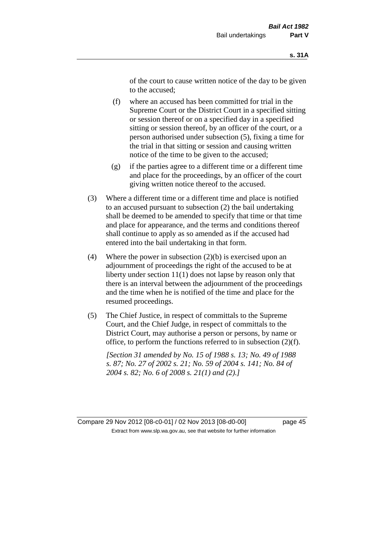of the court to cause written notice of the day to be given to the accused;

- (f) where an accused has been committed for trial in the Supreme Court or the District Court in a specified sitting or session thereof or on a specified day in a specified sitting or session thereof, by an officer of the court, or a person authorised under subsection (5), fixing a time for the trial in that sitting or session and causing written notice of the time to be given to the accused;
- (g) if the parties agree to a different time or a different time and place for the proceedings, by an officer of the court giving written notice thereof to the accused.
- (3) Where a different time or a different time and place is notified to an accused pursuant to subsection (2) the bail undertaking shall be deemed to be amended to specify that time or that time and place for appearance, and the terms and conditions thereof shall continue to apply as so amended as if the accused had entered into the bail undertaking in that form.
- (4) Where the power in subsection  $(2)(b)$  is exercised upon an adjournment of proceedings the right of the accused to be at liberty under section 11(1) does not lapse by reason only that there is an interval between the adjournment of the proceedings and the time when he is notified of the time and place for the resumed proceedings.
- (5) The Chief Justice, in respect of committals to the Supreme Court, and the Chief Judge, in respect of committals to the District Court, may authorise a person or persons, by name or office, to perform the functions referred to in subsection (2)(f).

*[Section 31 amended by No. 15 of 1988 s. 13; No. 49 of 1988 s. 87; No. 27 of 2002 s. 21; No. 59 of 2004 s. 141; No. 84 of 2004 s. 82; No. 6 of 2008 s. 21(1) and (2).]*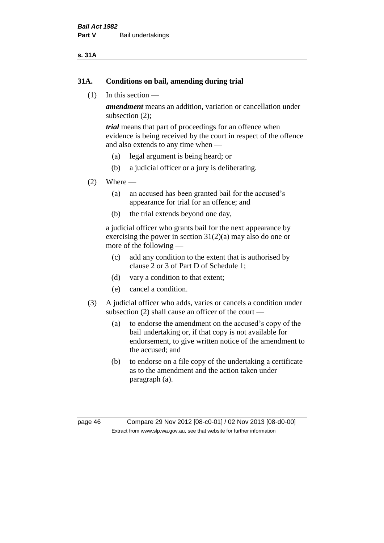#### **s. 31A**

### **31A. Conditions on bail, amending during trial**

(1) In this section —

*amendment* means an addition, variation or cancellation under subsection (2);

*trial* means that part of proceedings for an offence when evidence is being received by the court in respect of the offence and also extends to any time when —

- (a) legal argument is being heard; or
- (b) a judicial officer or a jury is deliberating.

### $(2)$  Where —

- (a) an accused has been granted bail for the accused's appearance for trial for an offence; and
- (b) the trial extends beyond one day,

a judicial officer who grants bail for the next appearance by exercising the power in section  $31(2)(a)$  may also do one or more of the following —

- (c) add any condition to the extent that is authorised by clause 2 or 3 of Part D of Schedule 1;
- (d) vary a condition to that extent;
- (e) cancel a condition.
- (3) A judicial officer who adds, varies or cancels a condition under subsection (2) shall cause an officer of the court —
	- (a) to endorse the amendment on the accused's copy of the bail undertaking or, if that copy is not available for endorsement, to give written notice of the amendment to the accused; and
	- (b) to endorse on a file copy of the undertaking a certificate as to the amendment and the action taken under paragraph (a).

page 46 Compare 29 Nov 2012 [08-c0-01] / 02 Nov 2013 [08-d0-00] Extract from www.slp.wa.gov.au, see that website for further information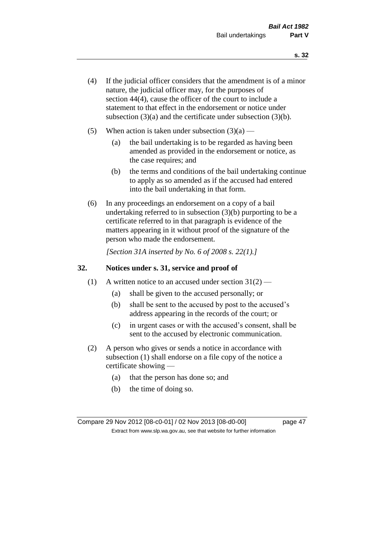- (4) If the judicial officer considers that the amendment is of a minor nature, the judicial officer may, for the purposes of section 44(4), cause the officer of the court to include a statement to that effect in the endorsement or notice under subsection (3)(a) and the certificate under subsection (3)(b).
- (5) When action is taken under subsection  $(3)(a)$ 
	- (a) the bail undertaking is to be regarded as having been amended as provided in the endorsement or notice, as the case requires; and
	- (b) the terms and conditions of the bail undertaking continue to apply as so amended as if the accused had entered into the bail undertaking in that form.
- (6) In any proceedings an endorsement on a copy of a bail undertaking referred to in subsection (3)(b) purporting to be a certificate referred to in that paragraph is evidence of the matters appearing in it without proof of the signature of the person who made the endorsement.

*[Section 31A inserted by No. 6 of 2008 s. 22(1).]*

## **32. Notices under s. 31, service and proof of**

- (1) A written notice to an accused under section  $31(2)$ 
	- (a) shall be given to the accused personally; or
	- (b) shall be sent to the accused by post to the accused's address appearing in the records of the court; or
	- (c) in urgent cases or with the accused's consent, shall be sent to the accused by electronic communication.
- (2) A person who gives or sends a notice in accordance with subsection (1) shall endorse on a file copy of the notice a certificate showing —
	- (a) that the person has done so; and
	- (b) the time of doing so.

Compare 29 Nov 2012 [08-c0-01] / 02 Nov 2013 [08-d0-00] page 47 Extract from www.slp.wa.gov.au, see that website for further information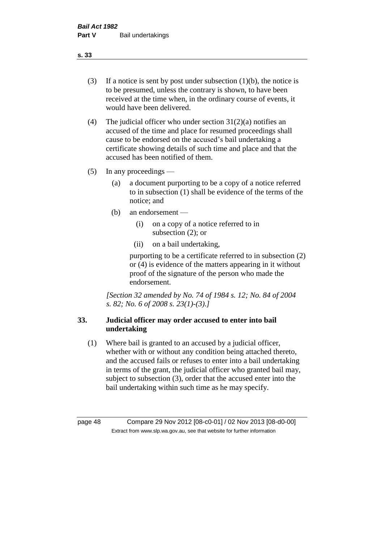- (3) If a notice is sent by post under subsection  $(1)(b)$ , the notice is to be presumed, unless the contrary is shown, to have been received at the time when, in the ordinary course of events, it would have been delivered.
- (4) The judicial officer who under section  $31(2)(a)$  notifies an accused of the time and place for resumed proceedings shall cause to be endorsed on the accused's bail undertaking a certificate showing details of such time and place and that the accused has been notified of them.
- (5) In any proceedings
	- (a) a document purporting to be a copy of a notice referred to in subsection (1) shall be evidence of the terms of the notice; and
	- (b) an endorsement
		- (i) on a copy of a notice referred to in subsection (2); or
		- (ii) on a bail undertaking,

purporting to be a certificate referred to in subsection (2) or (4) is evidence of the matters appearing in it without proof of the signature of the person who made the endorsement.

*[Section 32 amended by No. 74 of 1984 s. 12; No. 84 of 2004 s. 82; No. 6 of 2008 s. 23(1)-(3).]* 

# **33. Judicial officer may order accused to enter into bail undertaking**

(1) Where bail is granted to an accused by a judicial officer, whether with or without any condition being attached thereto, and the accused fails or refuses to enter into a bail undertaking in terms of the grant, the judicial officer who granted bail may, subject to subsection (3), order that the accused enter into the bail undertaking within such time as he may specify.

page 48 Compare 29 Nov 2012 [08-c0-01] / 02 Nov 2013 [08-d0-00] Extract from www.slp.wa.gov.au, see that website for further information

**s. 33**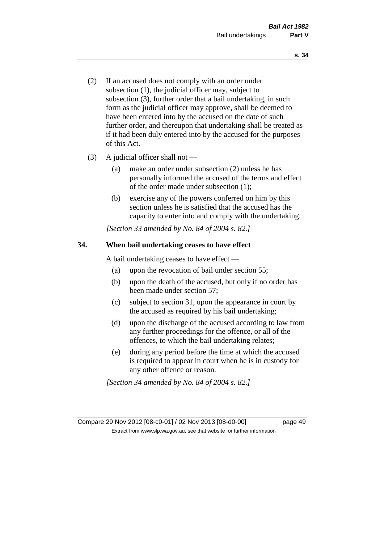- (2) If an accused does not comply with an order under subsection (1), the judicial officer may, subject to subsection (3), further order that a bail undertaking, in such form as the judicial officer may approve, shall be deemed to have been entered into by the accused on the date of such further order, and thereupon that undertaking shall be treated as if it had been duly entered into by the accused for the purposes of this Act.
- (3) A judicial officer shall not
	- (a) make an order under subsection (2) unless he has personally informed the accused of the terms and effect of the order made under subsection (1);
	- (b) exercise any of the powers conferred on him by this section unless he is satisfied that the accused has the capacity to enter into and comply with the undertaking.

*[Section 33 amended by No. 84 of 2004 s. 82.]* 

# **34. When bail undertaking ceases to have effect**

A bail undertaking ceases to have effect —

- (a) upon the revocation of bail under section 55;
- (b) upon the death of the accused, but only if no order has been made under section 57;
- (c) subject to section 31, upon the appearance in court by the accused as required by his bail undertaking;
- (d) upon the discharge of the accused according to law from any further proceedings for the offence, or all of the offences, to which the bail undertaking relates;
- (e) during any period before the time at which the accused is required to appear in court when he is in custody for any other offence or reason.

*[Section 34 amended by No. 84 of 2004 s. 82.]* 

Compare 29 Nov 2012 [08-c0-01] / 02 Nov 2013 [08-d0-00] page 49 Extract from www.slp.wa.gov.au, see that website for further information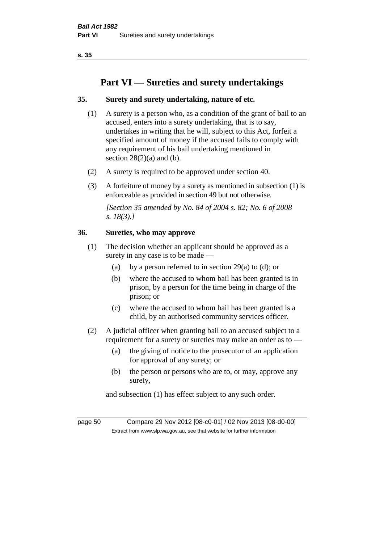# **Part VI — Sureties and surety undertakings**

## **35. Surety and surety undertaking, nature of etc.**

- (1) A surety is a person who, as a condition of the grant of bail to an accused, enters into a surety undertaking, that is to say, undertakes in writing that he will, subject to this Act, forfeit a specified amount of money if the accused fails to comply with any requirement of his bail undertaking mentioned in section  $28(2)(a)$  and (b).
- (2) A surety is required to be approved under section 40.
- (3) A forfeiture of money by a surety as mentioned in subsection (1) is enforceable as provided in section 49 but not otherwise.

*[Section 35 amended by No. 84 of 2004 s. 82; No. 6 of 2008 s. 18(3).]* 

## **36. Sureties, who may approve**

- (1) The decision whether an applicant should be approved as a surety in any case is to be made —
	- (a) by a person referred to in section 29(a) to (d); or
	- (b) where the accused to whom bail has been granted is in prison, by a person for the time being in charge of the prison; or
	- (c) where the accused to whom bail has been granted is a child, by an authorised community services officer.
- (2) A judicial officer when granting bail to an accused subject to a requirement for a surety or sureties may make an order as to —
	- (a) the giving of notice to the prosecutor of an application for approval of any surety; or
	- (b) the person or persons who are to, or may, approve any surety,

and subsection (1) has effect subject to any such order.

page 50 Compare 29 Nov 2012 [08-c0-01] / 02 Nov 2013 [08-d0-00] Extract from www.slp.wa.gov.au, see that website for further information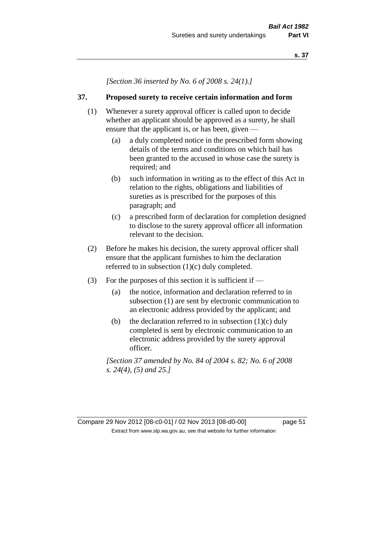*[Section 36 inserted by No. 6 of 2008 s. 24(1).]*

## **37. Proposed surety to receive certain information and form**

- (1) Whenever a surety approval officer is called upon to decide whether an applicant should be approved as a surety, he shall ensure that the applicant is, or has been, given -
	- (a) a duly completed notice in the prescribed form showing details of the terms and conditions on which bail has been granted to the accused in whose case the surety is required; and
	- (b) such information in writing as to the effect of this Act in relation to the rights, obligations and liabilities of sureties as is prescribed for the purposes of this paragraph; and
	- (c) a prescribed form of declaration for completion designed to disclose to the surety approval officer all information relevant to the decision.
- (2) Before he makes his decision, the surety approval officer shall ensure that the applicant furnishes to him the declaration referred to in subsection (1)(c) duly completed.
- (3) For the purposes of this section it is sufficient if
	- (a) the notice, information and declaration referred to in subsection (1) are sent by electronic communication to an electronic address provided by the applicant; and
	- (b) the declaration referred to in subsection  $(1)(c)$  duly completed is sent by electronic communication to an electronic address provided by the surety approval officer.

*[Section 37 amended by No. 84 of 2004 s. 82; No. 6 of 2008 s. 24(4), (5) and 25.]*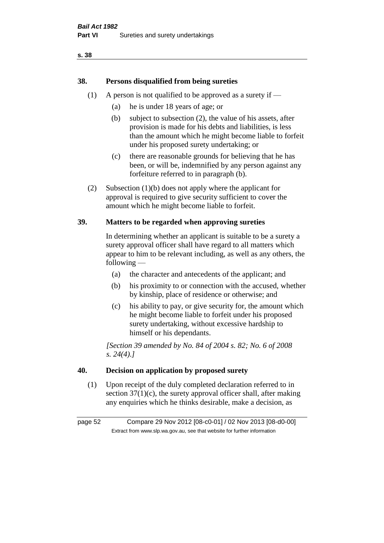# **38. Persons disqualified from being sureties**

- (1) A person is not qualified to be approved as a surety if  $-$ 
	- (a) he is under 18 years of age; or
	- (b) subject to subsection (2), the value of his assets, after provision is made for his debts and liabilities, is less than the amount which he might become liable to forfeit under his proposed surety undertaking; or
	- (c) there are reasonable grounds for believing that he has been, or will be, indemnified by any person against any forfeiture referred to in paragraph (b).
- (2) Subsection (1)(b) does not apply where the applicant for approval is required to give security sufficient to cover the amount which he might become liable to forfeit.

# **39. Matters to be regarded when approving sureties**

In determining whether an applicant is suitable to be a surety a surety approval officer shall have regard to all matters which appear to him to be relevant including, as well as any others, the following —

- (a) the character and antecedents of the applicant; and
- (b) his proximity to or connection with the accused, whether by kinship, place of residence or otherwise; and
- (c) his ability to pay, or give security for, the amount which he might become liable to forfeit under his proposed surety undertaking, without excessive hardship to himself or his dependants.

*[Section 39 amended by No. 84 of 2004 s. 82; No. 6 of 2008 s. 24(4).]* 

## **40. Decision on application by proposed surety**

(1) Upon receipt of the duly completed declaration referred to in section  $37(1)(c)$ , the surety approval officer shall, after making any enquiries which he thinks desirable, make a decision, as

page 52 Compare 29 Nov 2012 [08-c0-01] / 02 Nov 2013 [08-d0-00] Extract from www.slp.wa.gov.au, see that website for further information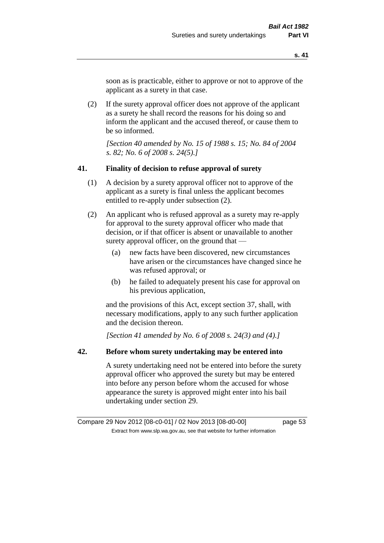soon as is practicable, either to approve or not to approve of the applicant as a surety in that case.

(2) If the surety approval officer does not approve of the applicant as a surety he shall record the reasons for his doing so and inform the applicant and the accused thereof, or cause them to be so informed.

*[Section 40 amended by No. 15 of 1988 s. 15; No. 84 of 2004 s. 82; No. 6 of 2008 s. 24(5).]* 

### **41. Finality of decision to refuse approval of surety**

- (1) A decision by a surety approval officer not to approve of the applicant as a surety is final unless the applicant becomes entitled to re-apply under subsection (2).
- (2) An applicant who is refused approval as a surety may re-apply for approval to the surety approval officer who made that decision, or if that officer is absent or unavailable to another surety approval officer, on the ground that —
	- (a) new facts have been discovered, new circumstances have arisen or the circumstances have changed since he was refused approval; or
	- (b) he failed to adequately present his case for approval on his previous application,

and the provisions of this Act, except section 37, shall, with necessary modifications, apply to any such further application and the decision thereon.

*[Section 41 amended by No. 6 of 2008 s. 24(3) and (4).]*

## **42. Before whom surety undertaking may be entered into**

A surety undertaking need not be entered into before the surety approval officer who approved the surety but may be entered into before any person before whom the accused for whose appearance the surety is approved might enter into his bail undertaking under section 29.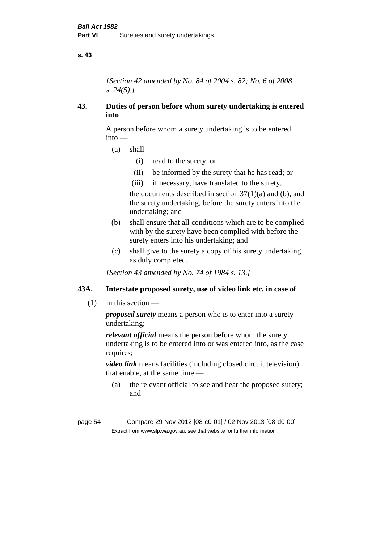*[Section 42 amended by No. 84 of 2004 s. 82; No. 6 of 2008 s. 24(5).]* 

## **43. Duties of person before whom surety undertaking is entered into**

A person before whom a surety undertaking is to be entered into —

- $(a)$  shall
	- (i) read to the surety; or
	- (ii) be informed by the surety that he has read; or
	- (iii) if necessary, have translated to the surety,

the documents described in section  $37(1)(a)$  and (b), and the surety undertaking, before the surety enters into the undertaking; and

- (b) shall ensure that all conditions which are to be complied with by the surety have been complied with before the surety enters into his undertaking; and
- (c) shall give to the surety a copy of his surety undertaking as duly completed.

*[Section 43 amended by No. 74 of 1984 s. 13.]* 

# **43A. Interstate proposed surety, use of video link etc. in case of**

(1) In this section —

*proposed surety* means a person who is to enter into a surety undertaking;

*relevant official* means the person before whom the surety undertaking is to be entered into or was entered into, as the case requires:

*video link* means facilities (including closed circuit television) that enable, at the same time —

(a) the relevant official to see and hear the proposed surety; and

page 54 Compare 29 Nov 2012 [08-c0-01] / 02 Nov 2013 [08-d0-00] Extract from www.slp.wa.gov.au, see that website for further information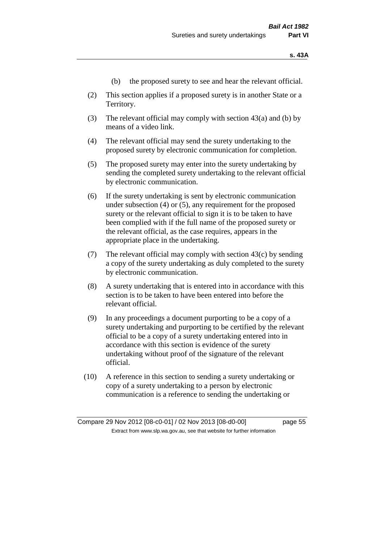- (b) the proposed surety to see and hear the relevant official.
- (2) This section applies if a proposed surety is in another State or a Territory.
- (3) The relevant official may comply with section 43(a) and (b) by means of a video link.
- (4) The relevant official may send the surety undertaking to the proposed surety by electronic communication for completion.
- (5) The proposed surety may enter into the surety undertaking by sending the completed surety undertaking to the relevant official by electronic communication.
- (6) If the surety undertaking is sent by electronic communication under subsection (4) or (5), any requirement for the proposed surety or the relevant official to sign it is to be taken to have been complied with if the full name of the proposed surety or the relevant official, as the case requires, appears in the appropriate place in the undertaking.
- (7) The relevant official may comply with section 43(c) by sending a copy of the surety undertaking as duly completed to the surety by electronic communication.
- (8) A surety undertaking that is entered into in accordance with this section is to be taken to have been entered into before the relevant official.
- (9) In any proceedings a document purporting to be a copy of a surety undertaking and purporting to be certified by the relevant official to be a copy of a surety undertaking entered into in accordance with this section is evidence of the surety undertaking without proof of the signature of the relevant official.
- (10) A reference in this section to sending a surety undertaking or copy of a surety undertaking to a person by electronic communication is a reference to sending the undertaking or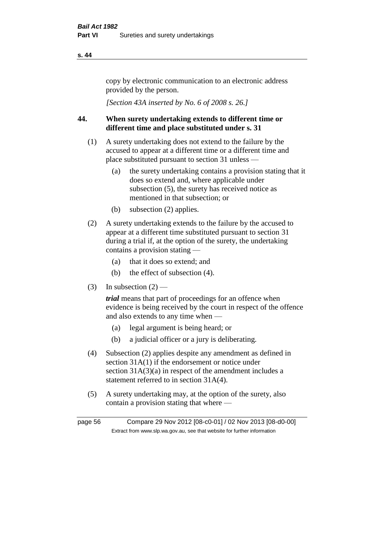copy by electronic communication to an electronic address provided by the person.

*[Section 43A inserted by No. 6 of 2008 s. 26.]*

# **44. When surety undertaking extends to different time or different time and place substituted under s. 31**

- (1) A surety undertaking does not extend to the failure by the accused to appear at a different time or a different time and place substituted pursuant to section 31 unless —
	- (a) the surety undertaking contains a provision stating that it does so extend and, where applicable under subsection (5), the surety has received notice as mentioned in that subsection; or
	- (b) subsection (2) applies.
- (2) A surety undertaking extends to the failure by the accused to appear at a different time substituted pursuant to section 31 during a trial if, at the option of the surety, the undertaking contains a provision stating —
	- (a) that it does so extend; and
	- (b) the effect of subsection (4).
- (3) In subsection  $(2)$  —

*trial* means that part of proceedings for an offence when evidence is being received by the court in respect of the offence and also extends to any time when —

- (a) legal argument is being heard; or
- (b) a judicial officer or a jury is deliberating.
- (4) Subsection (2) applies despite any amendment as defined in section 31A(1) if the endorsement or notice under section  $31A(3)(a)$  in respect of the amendment includes a statement referred to in section 31A(4).
- (5) A surety undertaking may, at the option of the surety, also contain a provision stating that where —

page 56 Compare 29 Nov 2012 [08-c0-01] / 02 Nov 2013 [08-d0-00] Extract from www.slp.wa.gov.au, see that website for further information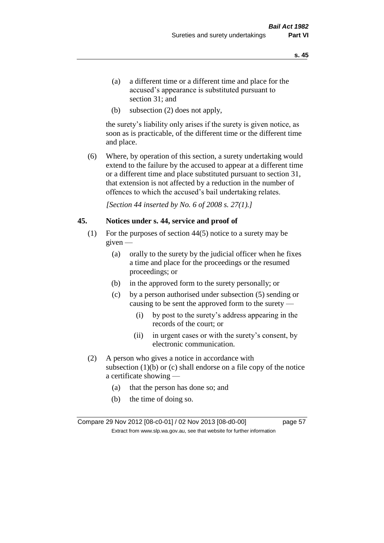- (a) a different time or a different time and place for the accused's appearance is substituted pursuant to section 31; and
- (b) subsection (2) does not apply,

the surety's liability only arises if the surety is given notice, as soon as is practicable, of the different time or the different time and place.

(6) Where, by operation of this section, a surety undertaking would extend to the failure by the accused to appear at a different time or a different time and place substituted pursuant to section 31, that extension is not affected by a reduction in the number of offences to which the accused's bail undertaking relates.

*[Section 44 inserted by No. 6 of 2008 s. 27(1).]*

#### **45. Notices under s. 44, service and proof of**

- (1) For the purposes of section 44(5) notice to a surety may be given —
	- (a) orally to the surety by the judicial officer when he fixes a time and place for the proceedings or the resumed proceedings; or
	- (b) in the approved form to the surety personally; or
	- (c) by a person authorised under subsection (5) sending or causing to be sent the approved form to the surety —
		- (i) by post to the surety's address appearing in the records of the court; or
		- (ii) in urgent cases or with the surety's consent, by electronic communication.
- (2) A person who gives a notice in accordance with subsection  $(1)(b)$  or  $(c)$  shall endorse on a file copy of the notice a certificate showing —
	- (a) that the person has done so; and
	- (b) the time of doing so.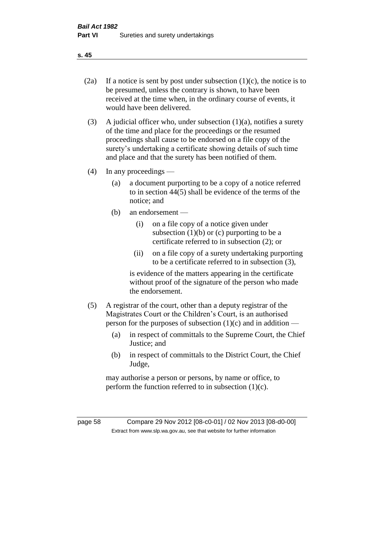- 
- (2a) If a notice is sent by post under subsection  $(1)(c)$ , the notice is to be presumed, unless the contrary is shown, to have been received at the time when, in the ordinary course of events, it would have been delivered.
- (3) A judicial officer who, under subsection  $(1)(a)$ , notifies a surety of the time and place for the proceedings or the resumed proceedings shall cause to be endorsed on a file copy of the surety's undertaking a certificate showing details of such time and place and that the surety has been notified of them.
- (4) In any proceedings
	- (a) a document purporting to be a copy of a notice referred to in section 44(5) shall be evidence of the terms of the notice; and
	- (b) an endorsement
		- (i) on a file copy of a notice given under subsection  $(1)(b)$  or  $(c)$  purporting to be a certificate referred to in subsection (2); or
		- (ii) on a file copy of a surety undertaking purporting to be a certificate referred to in subsection (3),

is evidence of the matters appearing in the certificate without proof of the signature of the person who made the endorsement.

- (5) A registrar of the court, other than a deputy registrar of the Magistrates Court or the Children's Court, is an authorised person for the purposes of subsection  $(1)(c)$  and in addition —
	- (a) in respect of committals to the Supreme Court, the Chief Justice; and
	- (b) in respect of committals to the District Court, the Chief Judge,

may authorise a person or persons, by name or office, to perform the function referred to in subsection  $(1)(c)$ .

page 58 Compare 29 Nov 2012 [08-c0-01] / 02 Nov 2013 [08-d0-00] Extract from www.slp.wa.gov.au, see that website for further information

**s. 45**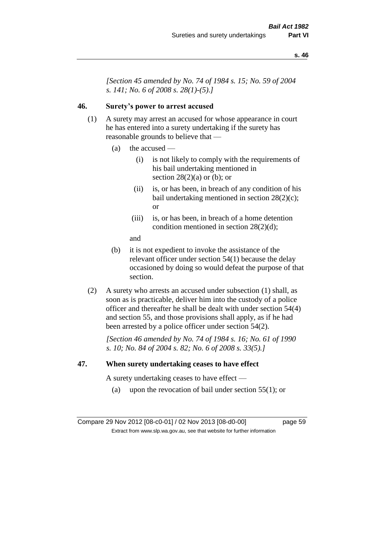*[Section 45 amended by No. 74 of 1984 s. 15; No. 59 of 2004 s. 141; No. 6 of 2008 s. 28(1)-(5).]* 

# **46. Surety's power to arrest accused**

- (1) A surety may arrest an accused for whose appearance in court he has entered into a surety undertaking if the surety has reasonable grounds to believe that —
	- (a) the accused
		- (i) is not likely to comply with the requirements of his bail undertaking mentioned in section  $28(2)(a)$  or (b); or
		- (ii) is, or has been, in breach of any condition of his bail undertaking mentioned in section 28(2)(c); or
		- (iii) is, or has been, in breach of a home detention condition mentioned in section 28(2)(d);
		- and
	- (b) it is not expedient to invoke the assistance of the relevant officer under section 54(1) because the delay occasioned by doing so would defeat the purpose of that section.
- (2) A surety who arrests an accused under subsection (1) shall, as soon as is practicable, deliver him into the custody of a police officer and thereafter he shall be dealt with under section 54(4) and section 55, and those provisions shall apply, as if he had been arrested by a police officer under section 54(2).

*[Section 46 amended by No. 74 of 1984 s. 16; No. 61 of 1990 s. 10; No. 84 of 2004 s. 82; No. 6 of 2008 s. 33(5).]* 

#### **47. When surety undertaking ceases to have effect**

A surety undertaking ceases to have effect —

(a) upon the revocation of bail under section  $55(1)$ ; or

Compare 29 Nov 2012 [08-c0-01] / 02 Nov 2013 [08-d0-00] page 59 Extract from www.slp.wa.gov.au, see that website for further information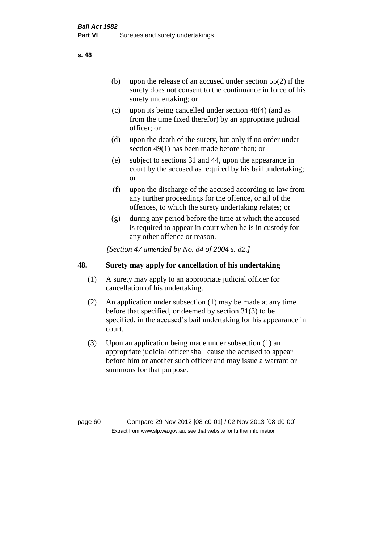(b) upon the release of an accused under section 55(2) if the surety does not consent to the continuance in force of his surety undertaking; or

- (c) upon its being cancelled under section 48(4) (and as from the time fixed therefor) by an appropriate judicial officer; or
- (d) upon the death of the surety, but only if no order under section 49(1) has been made before then; or
- (e) subject to sections 31 and 44, upon the appearance in court by the accused as required by his bail undertaking; or
- (f) upon the discharge of the accused according to law from any further proceedings for the offence, or all of the offences, to which the surety undertaking relates; or
- (g) during any period before the time at which the accused is required to appear in court when he is in custody for any other offence or reason.

*[Section 47 amended by No. 84 of 2004 s. 82.]* 

# **48. Surety may apply for cancellation of his undertaking**

- (1) A surety may apply to an appropriate judicial officer for cancellation of his undertaking.
- (2) An application under subsection (1) may be made at any time before that specified, or deemed by section 31(3) to be specified, in the accused's bail undertaking for his appearance in court.
- (3) Upon an application being made under subsection (1) an appropriate judicial officer shall cause the accused to appear before him or another such officer and may issue a warrant or summons for that purpose.

page 60 Compare 29 Nov 2012 [08-c0-01] / 02 Nov 2013 [08-d0-00] Extract from www.slp.wa.gov.au, see that website for further information

**s. 48**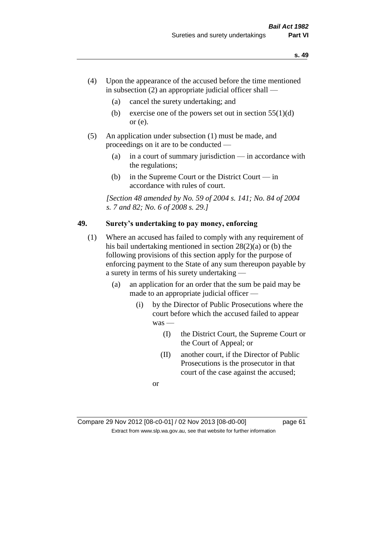- (4) Upon the appearance of the accused before the time mentioned in subsection  $(2)$  an appropriate judicial officer shall —
	- (a) cancel the surety undertaking; and
	- (b) exercise one of the powers set out in section  $55(1)(d)$ or (e).
- (5) An application under subsection (1) must be made, and proceedings on it are to be conducted —
	- (a) in a court of summary jurisdiction in accordance with the regulations;
	- (b) in the Supreme Court or the District Court in accordance with rules of court.

*[Section 48 amended by No. 59 of 2004 s. 141; No. 84 of 2004 s. 7 and 82; No. 6 of 2008 s. 29.]* 

# **49. Surety's undertaking to pay money, enforcing**

- (1) Where an accused has failed to comply with any requirement of his bail undertaking mentioned in section 28(2)(a) or (b) the following provisions of this section apply for the purpose of enforcing payment to the State of any sum thereupon payable by a surety in terms of his surety undertaking —
	- (a) an application for an order that the sum be paid may be made to an appropriate judicial officer —
		- (i) by the Director of Public Prosecutions where the court before which the accused failed to appear was —
			- (I) the District Court, the Supreme Court or the Court of Appeal; or
			- (II) another court, if the Director of Public Prosecutions is the prosecutor in that court of the case against the accused;

or

Compare 29 Nov 2012 [08-c0-01] / 02 Nov 2013 [08-d0-00] page 61 Extract from www.slp.wa.gov.au, see that website for further information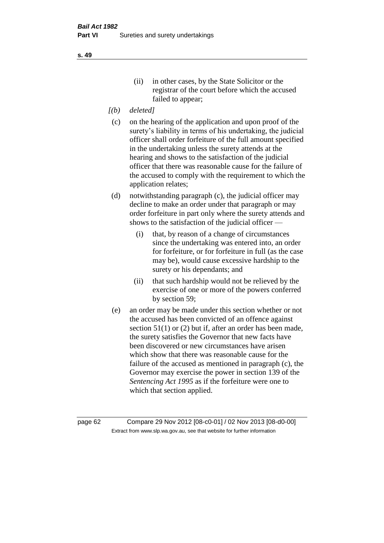- *[(b) deleted]*
- (c) on the hearing of the application and upon proof of the surety's liability in terms of his undertaking, the judicial officer shall order forfeiture of the full amount specified in the undertaking unless the surety attends at the hearing and shows to the satisfaction of the judicial officer that there was reasonable cause for the failure of the accused to comply with the requirement to which the application relates;
- (d) notwithstanding paragraph (c), the judicial officer may decline to make an order under that paragraph or may order forfeiture in part only where the surety attends and shows to the satisfaction of the judicial officer —
	- (i) that, by reason of a change of circumstances since the undertaking was entered into, an order for forfeiture, or for forfeiture in full (as the case may be), would cause excessive hardship to the surety or his dependants; and
	- (ii) that such hardship would not be relieved by the exercise of one or more of the powers conferred by section 59;
- (e) an order may be made under this section whether or not the accused has been convicted of an offence against section 51(1) or (2) but if, after an order has been made, the surety satisfies the Governor that new facts have been discovered or new circumstances have arisen which show that there was reasonable cause for the failure of the accused as mentioned in paragraph (c), the Governor may exercise the power in section 139 of the *Sentencing Act 1995* as if the forfeiture were one to which that section applied.

page 62 Compare 29 Nov 2012 [08-c0-01] / 02 Nov 2013 [08-d0-00] Extract from www.slp.wa.gov.au, see that website for further information

**s. 49**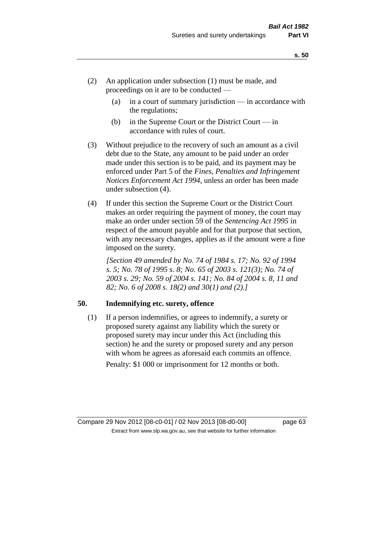- (2) An application under subsection (1) must be made, and proceedings on it are to be conducted —
	- (a) in a court of summary jurisdiction in accordance with the regulations;
	- (b) in the Supreme Court or the District Court  $-\text{in}$ accordance with rules of court.
- (3) Without prejudice to the recovery of such an amount as a civil debt due to the State, any amount to be paid under an order made under this section is to be paid, and its payment may be enforced under Part 5 of the *Fines, Penalties and Infringement Notices Enforcement Act 1994*, unless an order has been made under subsection (4).
- (4) If under this section the Supreme Court or the District Court makes an order requiring the payment of money, the court may make an order under section 59 of the *Sentencing Act 1995* in respect of the amount payable and for that purpose that section, with any necessary changes, applies as if the amount were a fine imposed on the surety.

*[Section 49 amended by No. 74 of 1984 s. 17; No. 92 of 1994 s. 5; No. 78 of 1995 s. 8; No. 65 of 2003 s. 121(3); No. 74 of 2003 s. 29; No. 59 of 2004 s. 141; No. 84 of 2004 s. 8, 11 and 82; No. 6 of 2008 s. 18(2) and 30(1) and (2).]* 

## **50. Indemnifying etc. surety, offence**

(1) If a person indemnifies, or agrees to indemnify, a surety or proposed surety against any liability which the surety or proposed surety may incur under this Act (including this section) he and the surety or proposed surety and any person with whom he agrees as aforesaid each commits an offence. Penalty: \$1 000 or imprisonment for 12 months or both.

Compare 29 Nov 2012 [08-c0-01] / 02 Nov 2013 [08-d0-00] page 63 Extract from www.slp.wa.gov.au, see that website for further information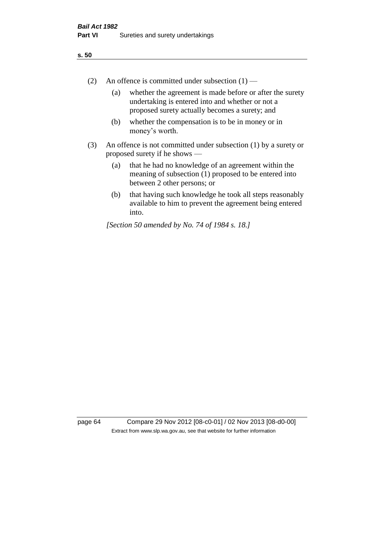- (2) An offence is committed under subsection  $(1)$ 
	- (a) whether the agreement is made before or after the surety undertaking is entered into and whether or not a proposed surety actually becomes a surety; and
	- (b) whether the compensation is to be in money or in money's worth.
- (3) An offence is not committed under subsection (1) by a surety or proposed surety if he shows —
	- (a) that he had no knowledge of an agreement within the meaning of subsection (1) proposed to be entered into between 2 other persons; or
	- (b) that having such knowledge he took all steps reasonably available to him to prevent the agreement being entered into.

*[Section 50 amended by No. 74 of 1984 s. 18.]* 

page 64 Compare 29 Nov 2012 [08-c0-01] / 02 Nov 2013 [08-d0-00] Extract from www.slp.wa.gov.au, see that website for further information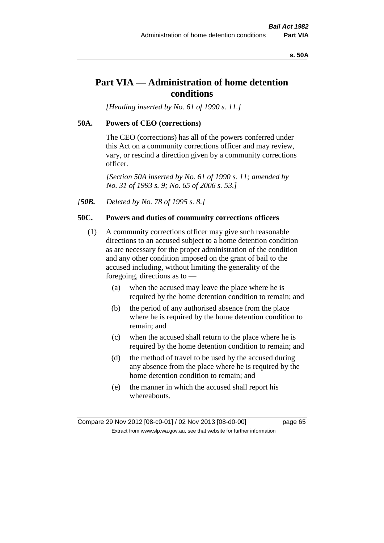#### **s. 50A**

# **Part VIA — Administration of home detention conditions**

*[Heading inserted by No. 61 of 1990 s. 11.]* 

### **50A. Powers of CEO (corrections)**

The CEO (corrections) has all of the powers conferred under this Act on a community corrections officer and may review, vary, or rescind a direction given by a community corrections officer.

*[Section 50A inserted by No. 61 of 1990 s. 11; amended by No. 31 of 1993 s. 9; No. 65 of 2006 s. 53.]* 

*[50B. Deleted by No. 78 of 1995 s. 8.]* 

# **50C. Powers and duties of community corrections officers**

- (1) A community corrections officer may give such reasonable directions to an accused subject to a home detention condition as are necessary for the proper administration of the condition and any other condition imposed on the grant of bail to the accused including, without limiting the generality of the foregoing, directions as to —
	- (a) when the accused may leave the place where he is required by the home detention condition to remain; and
	- (b) the period of any authorised absence from the place where he is required by the home detention condition to remain; and
	- (c) when the accused shall return to the place where he is required by the home detention condition to remain; and
	- (d) the method of travel to be used by the accused during any absence from the place where he is required by the home detention condition to remain; and
	- (e) the manner in which the accused shall report his whereabouts.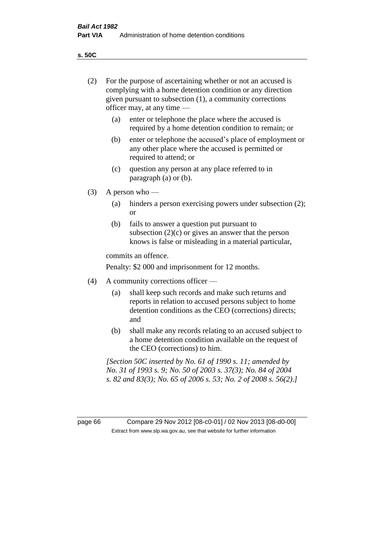**s. 50C**

| (2)     | For the purpose of ascertaining whether or not an accused is<br>complying with a home detention condition or any direction<br>given pursuant to subsection (1), a community corrections<br>officer may, at any time — |                                                                                                                                                                                              |  |
|---------|-----------------------------------------------------------------------------------------------------------------------------------------------------------------------------------------------------------------------|----------------------------------------------------------------------------------------------------------------------------------------------------------------------------------------------|--|
|         | (a)                                                                                                                                                                                                                   | enter or telephone the place where the accused is<br>required by a home detention condition to remain; or                                                                                    |  |
|         | (b)                                                                                                                                                                                                                   | enter or telephone the accused's place of employment or<br>any other place where the accused is permitted or<br>required to attend; or                                                       |  |
|         | (c)                                                                                                                                                                                                                   | question any person at any place referred to in<br>paragraph $(a)$ or $(b)$ .                                                                                                                |  |
| (3)     | A person who $-$                                                                                                                                                                                                      |                                                                                                                                                                                              |  |
|         | (a)                                                                                                                                                                                                                   | hinders a person exercising powers under subsection (2);<br><sub>or</sub>                                                                                                                    |  |
|         | (b)                                                                                                                                                                                                                   | fails to answer a question put pursuant to<br>subsection $(2)(c)$ or gives an answer that the person<br>knows is false or misleading in a material particular,                               |  |
|         |                                                                                                                                                                                                                       | commits an offence.                                                                                                                                                                          |  |
|         |                                                                                                                                                                                                                       | Penalty: \$2 000 and imprisonment for 12 months.                                                                                                                                             |  |
| (4)     | A community corrections officer —                                                                                                                                                                                     |                                                                                                                                                                                              |  |
|         | (a)                                                                                                                                                                                                                   | shall keep such records and make such returns and<br>reports in relation to accused persons subject to home<br>detention conditions as the CEO (corrections) directs;<br>and                 |  |
|         | (b)                                                                                                                                                                                                                   | shall make any records relating to an accused subject to<br>a home detention condition available on the request of<br>the CEO (corrections) to him.                                          |  |
|         |                                                                                                                                                                                                                       | [Section 50C inserted by No. 61 of 1990 s. 11; amended by<br>No. 31 of 1993 s. 9; No. 50 of 2003 s. 37(3); No. 84 of 2004<br>s. 82 and 83(3); No. 65 of 2006 s. 53; No. 2 of 2008 s. 56(2).] |  |
|         |                                                                                                                                                                                                                       |                                                                                                                                                                                              |  |
| page 66 |                                                                                                                                                                                                                       | Compare 29 Nov 2012 [08-c0-01] / 02 Nov 2013 [08-d0-00]<br>Extract from www.slp.wa.gov.au, see that website for further information                                                          |  |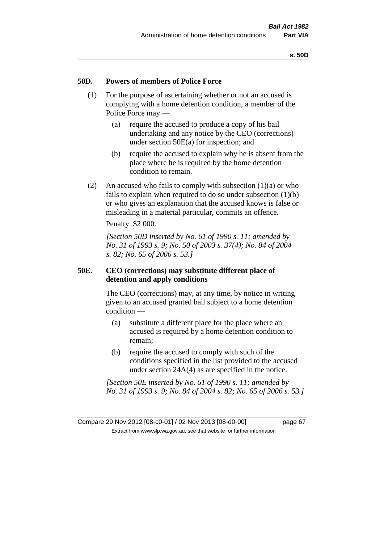### **50D. Powers of members of Police Force**

- (1) For the purpose of ascertaining whether or not an accused is complying with a home detention condition, a member of the Police Force may —
	- (a) require the accused to produce a copy of his bail undertaking and any notice by the CEO (corrections) under section 50E(a) for inspection; and
	- (b) require the accused to explain why he is absent from the place where he is required by the home detention condition to remain.
- (2) An accused who fails to comply with subsection  $(1)(a)$  or who fails to explain when required to do so under subsection (1)(b) or who gives an explanation that the accused knows is false or misleading in a material particular, commits an offence.

Penalty: \$2 000.

*[Section 50D inserted by No. 61 of 1990 s. 11; amended by No. 31 of 1993 s. 9; No. 50 of 2003 s. 37(4); No. 84 of 2004 s. 82; No. 65 of 2006 s. 53.]* 

## **50E. CEO (corrections) may substitute different place of detention and apply conditions**

The CEO (corrections) may, at any time, by notice in writing given to an accused granted bail subject to a home detention condition —

- (a) substitute a different place for the place where an accused is required by a home detention condition to remain;
- (b) require the accused to comply with such of the conditions specified in the list provided to the accused under section 24A(4) as are specified in the notice.

*[Section 50E inserted by No. 61 of 1990 s. 11; amended by No. 31 of 1993 s. 9; No. 84 of 2004 s. 82; No. 65 of 2006 s. 53.]*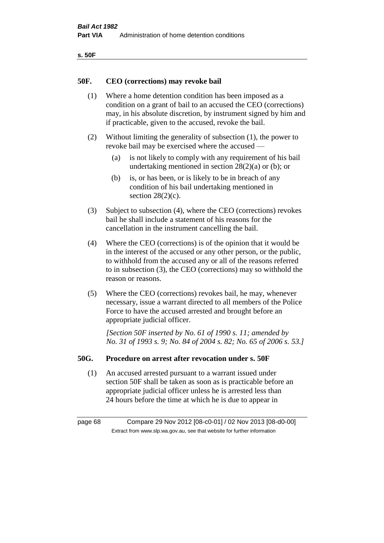| ۰.<br>×<br>-<br>۰.<br>× |  |
|-------------------------|--|
|-------------------------|--|

### **50F. CEO (corrections) may revoke bail**

- (1) Where a home detention condition has been imposed as a condition on a grant of bail to an accused the CEO (corrections) may, in his absolute discretion, by instrument signed by him and if practicable, given to the accused, revoke the bail.
- (2) Without limiting the generality of subsection (1), the power to revoke bail may be exercised where the accused —
	- (a) is not likely to comply with any requirement of his bail undertaking mentioned in section 28(2)(a) or (b); or
	- (b) is, or has been, or is likely to be in breach of any condition of his bail undertaking mentioned in section  $28(2)(c)$ .
- (3) Subject to subsection (4), where the CEO (corrections) revokes bail he shall include a statement of his reasons for the cancellation in the instrument cancelling the bail.
- (4) Where the CEO (corrections) is of the opinion that it would be in the interest of the accused or any other person, or the public, to withhold from the accused any or all of the reasons referred to in subsection (3), the CEO (corrections) may so withhold the reason or reasons.
- (5) Where the CEO (corrections) revokes bail, he may, whenever necessary, issue a warrant directed to all members of the Police Force to have the accused arrested and brought before an appropriate judicial officer.

*[Section 50F inserted by No. 61 of 1990 s. 11; amended by No. 31 of 1993 s. 9; No. 84 of 2004 s. 82; No. 65 of 2006 s. 53.]* 

### **50G. Procedure on arrest after revocation under s. 50F**

(1) An accused arrested pursuant to a warrant issued under section 50F shall be taken as soon as is practicable before an appropriate judicial officer unless he is arrested less than 24 hours before the time at which he is due to appear in

page 68 Compare 29 Nov 2012 [08-c0-01] / 02 Nov 2013 [08-d0-00] Extract from www.slp.wa.gov.au, see that website for further information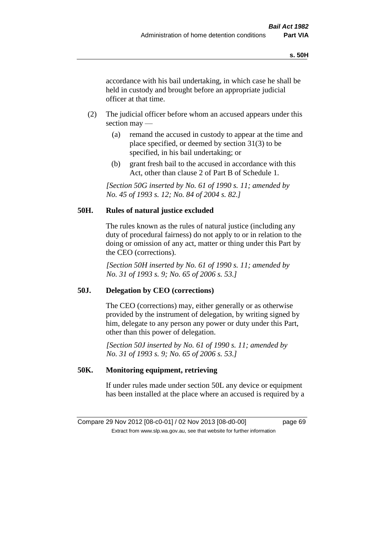accordance with his bail undertaking, in which case he shall be held in custody and brought before an appropriate judicial officer at that time.

- (2) The judicial officer before whom an accused appears under this section may —
	- (a) remand the accused in custody to appear at the time and place specified, or deemed by section 31(3) to be specified, in his bail undertaking; or
	- (b) grant fresh bail to the accused in accordance with this Act, other than clause 2 of Part B of Schedule 1.

*[Section 50G inserted by No. 61 of 1990 s. 11; amended by No. 45 of 1993 s. 12; No. 84 of 2004 s. 82.]* 

# **50H. Rules of natural justice excluded**

The rules known as the rules of natural justice (including any duty of procedural fairness) do not apply to or in relation to the doing or omission of any act, matter or thing under this Part by the CEO (corrections).

*[Section 50H inserted by No. 61 of 1990 s. 11; amended by No. 31 of 1993 s. 9; No. 65 of 2006 s. 53.]* 

## **50J. Delegation by CEO (corrections)**

The CEO (corrections) may, either generally or as otherwise provided by the instrument of delegation, by writing signed by him, delegate to any person any power or duty under this Part, other than this power of delegation.

*[Section 50J inserted by No. 61 of 1990 s. 11; amended by No. 31 of 1993 s. 9; No. 65 of 2006 s. 53.]* 

## **50K. Monitoring equipment, retrieving**

If under rules made under section 50L any device or equipment has been installed at the place where an accused is required by a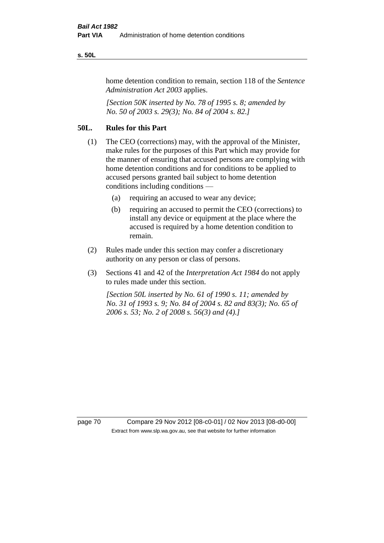#### **s. 50L**

home detention condition to remain, section 118 of the *Sentence Administration Act 2003* applies.

*[Section 50K inserted by No. 78 of 1995 s. 8; amended by No. 50 of 2003 s. 29(3); No. 84 of 2004 s. 82.]* 

# **50L. Rules for this Part**

- (1) The CEO (corrections) may, with the approval of the Minister, make rules for the purposes of this Part which may provide for the manner of ensuring that accused persons are complying with home detention conditions and for conditions to be applied to accused persons granted bail subject to home detention conditions including conditions —
	- (a) requiring an accused to wear any device;
	- (b) requiring an accused to permit the CEO (corrections) to install any device or equipment at the place where the accused is required by a home detention condition to remain.
- (2) Rules made under this section may confer a discretionary authority on any person or class of persons.
- (3) Sections 41 and 42 of the *Interpretation Act 1984* do not apply to rules made under this section.

*[Section 50L inserted by No. 61 of 1990 s. 11; amended by No. 31 of 1993 s. 9; No. 84 of 2004 s. 82 and 83(3); No. 65 of 2006 s. 53; No. 2 of 2008 s. 56(3) and (4).]* 

page 70 Compare 29 Nov 2012 [08-c0-01] / 02 Nov 2013 [08-d0-00] Extract from www.slp.wa.gov.au, see that website for further information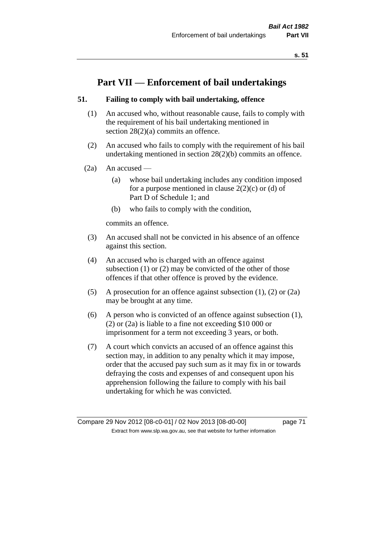# **Part VII — Enforcement of bail undertakings**

## **51. Failing to comply with bail undertaking, offence**

- (1) An accused who, without reasonable cause, fails to comply with the requirement of his bail undertaking mentioned in section 28(2)(a) commits an offence.
- (2) An accused who fails to comply with the requirement of his bail undertaking mentioned in section 28(2)(b) commits an offence.
- $(2a)$  An accused
	- (a) whose bail undertaking includes any condition imposed for a purpose mentioned in clause  $2(2)(c)$  or (d) of Part D of Schedule 1; and
	- (b) who fails to comply with the condition,

commits an offence.

- (3) An accused shall not be convicted in his absence of an offence against this section.
- (4) An accused who is charged with an offence against subsection (1) or (2) may be convicted of the other of those offences if that other offence is proved by the evidence.
- (5) A prosecution for an offence against subsection (1), (2) or (2a) may be brought at any time.
- (6) A person who is convicted of an offence against subsection (1), (2) or (2a) is liable to a fine not exceeding \$10 000 or imprisonment for a term not exceeding 3 years, or both.
- (7) A court which convicts an accused of an offence against this section may, in addition to any penalty which it may impose, order that the accused pay such sum as it may fix in or towards defraying the costs and expenses of and consequent upon his apprehension following the failure to comply with his bail undertaking for which he was convicted.

Compare 29 Nov 2012 [08-c0-01] / 02 Nov 2013 [08-d0-00] page 71 Extract from www.slp.wa.gov.au, see that website for further information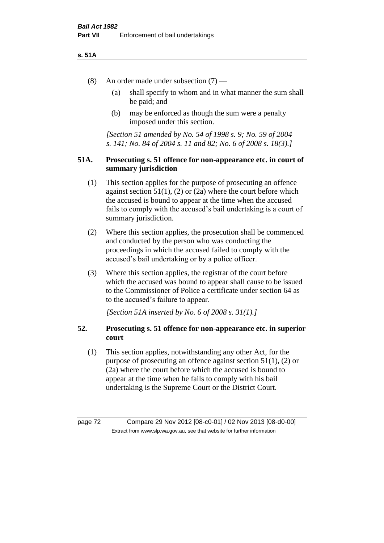### **s. 51A**

- (8) An order made under subsection (7)
	- (a) shall specify to whom and in what manner the sum shall be paid; and
	- (b) may be enforced as though the sum were a penalty imposed under this section.

*[Section 51 amended by No. 54 of 1998 s. 9; No. 59 of 2004 s. 141; No. 84 of 2004 s. 11 and 82; No. 6 of 2008 s. 18(3).]*

## **51A. Prosecuting s. 51 offence for non-appearance etc. in court of summary jurisdiction**

- (1) This section applies for the purpose of prosecuting an offence against section  $51(1)$ ,  $(2)$  or  $(2a)$  where the court before which the accused is bound to appear at the time when the accused fails to comply with the accused's bail undertaking is a court of summary jurisdiction.
- (2) Where this section applies, the prosecution shall be commenced and conducted by the person who was conducting the proceedings in which the accused failed to comply with the accused's bail undertaking or by a police officer.
- (3) Where this section applies, the registrar of the court before which the accused was bound to appear shall cause to be issued to the Commissioner of Police a certificate under section 64 as to the accused's failure to appear.

*[Section 51A inserted by No. 6 of 2008 s. 31(1).]*

# **52. Prosecuting s. 51 offence for non-appearance etc. in superior court**

(1) This section applies, notwithstanding any other Act, for the purpose of prosecuting an offence against section 51(1), (2) or (2a) where the court before which the accused is bound to appear at the time when he fails to comply with his bail undertaking is the Supreme Court or the District Court.

page 72 Compare 29 Nov 2012 [08-c0-01] / 02 Nov 2013 [08-d0-00] Extract from www.slp.wa.gov.au, see that website for further information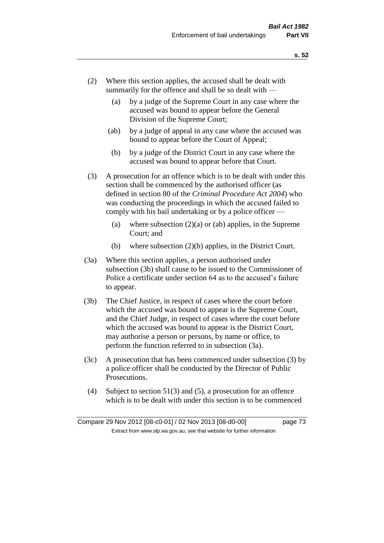- (2) Where this section applies, the accused shall be dealt with summarily for the offence and shall be so dealt with —
	- (a) by a judge of the Supreme Court in any case where the accused was bound to appear before the General Division of the Supreme Court;
	- (ab) by a judge of appeal in any case where the accused was bound to appear before the Court of Appeal;
	- (b) by a judge of the District Court in any case where the accused was bound to appear before that Court.
- (3) A prosecution for an offence which is to be dealt with under this section shall be commenced by the authorised officer (as defined in section 80 of the *Criminal Procedure Act 2004*) who was conducting the proceedings in which the accused failed to comply with his bail undertaking or by a police officer —
	- (a) where subsection  $(2)(a)$  or (ab) applies, in the Supreme Court; and
	- (b) where subsection (2)(b) applies, in the District Court.
- (3a) Where this section applies, a person authorised under subsection (3b) shall cause to be issued to the Commissioner of Police a certificate under section 64 as to the accused's failure to appear.
- (3b) The Chief Justice, in respect of cases where the court before which the accused was bound to appear is the Supreme Court, and the Chief Judge, in respect of cases where the court before which the accused was bound to appear is the District Court, may authorise a person or persons, by name or office, to perform the function referred to in subsection (3a).
- (3c) A prosecution that has been commenced under subsection (3) by a police officer shall be conducted by the Director of Public Prosecutions.
- (4) Subject to section 51(3) and (5), a prosecution for an offence which is to be dealt with under this section is to be commenced

Compare 29 Nov 2012 [08-c0-01] / 02 Nov 2013 [08-d0-00] page 73 Extract from www.slp.wa.gov.au, see that website for further information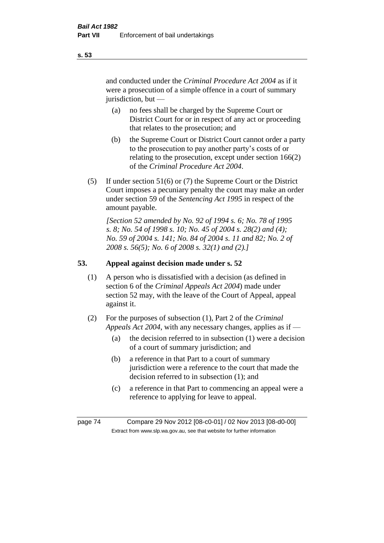and conducted under the *Criminal Procedure Act 2004* as if it were a prosecution of a simple offence in a court of summary jurisdiction, but —

- (a) no fees shall be charged by the Supreme Court or District Court for or in respect of any act or proceeding that relates to the prosecution; and
- (b) the Supreme Court or District Court cannot order a party to the prosecution to pay another party's costs of or relating to the prosecution, except under section 166(2) of the *Criminal Procedure Act 2004*.
- (5) If under section 51(6) or (7) the Supreme Court or the District Court imposes a pecuniary penalty the court may make an order under section 59 of the *Sentencing Act 1995* in respect of the amount payable.

*[Section 52 amended by No. 92 of 1994 s. 6; No. 78 of 1995 s. 8; No. 54 of 1998 s. 10; No. 45 of 2004 s. 28(2) and (4); No. 59 of 2004 s. 141; No. 84 of 2004 s. 11 and 82; No. 2 of 2008 s. 56(5); No. 6 of 2008 s. 32(1) and (2).]* 

# **53. Appeal against decision made under s. 52**

- (1) A person who is dissatisfied with a decision (as defined in section 6 of the *Criminal Appeals Act 2004*) made under section 52 may, with the leave of the Court of Appeal, appeal against it.
- (2) For the purposes of subsection (1), Part 2 of the *Criminal Appeals Act 2004*, with any necessary changes, applies as if —
	- (a) the decision referred to in subsection (1) were a decision of a court of summary jurisdiction; and
	- (b) a reference in that Part to a court of summary jurisdiction were a reference to the court that made the decision referred to in subsection (1); and
	- (c) a reference in that Part to commencing an appeal were a reference to applying for leave to appeal.

page 74 Compare 29 Nov 2012 [08-c0-01] / 02 Nov 2013 [08-d0-00] Extract from www.slp.wa.gov.au, see that website for further information

**s. 53**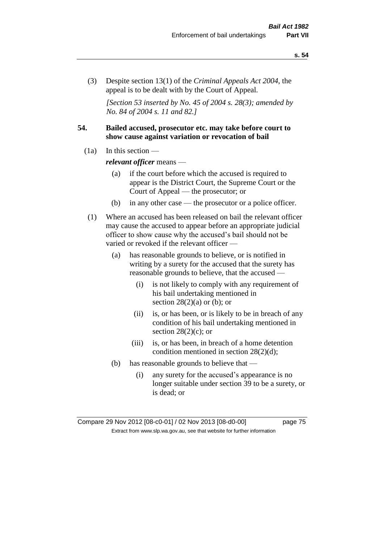(3) Despite section 13(1) of the *Criminal Appeals Act 2004*, the appeal is to be dealt with by the Court of Appeal.

*[Section 53 inserted by No. 45 of 2004 s. 28(3); amended by No. 84 of 2004 s. 11 and 82.]*

# **54. Bailed accused, prosecutor etc. may take before court to show cause against variation or revocation of bail**

 $(1a)$  In this section —

*relevant officer* means —

- (a) if the court before which the accused is required to appear is the District Court, the Supreme Court or the Court of Appeal — the prosecutor; or
- (b) in any other case the prosecutor or a police officer.
- (1) Where an accused has been released on bail the relevant officer may cause the accused to appear before an appropriate judicial officer to show cause why the accused's bail should not be varied or revoked if the relevant officer —
	- (a) has reasonable grounds to believe, or is notified in writing by a surety for the accused that the surety has reasonable grounds to believe, that the accused —
		- (i) is not likely to comply with any requirement of his bail undertaking mentioned in section  $28(2)(a)$  or (b); or
		- (ii) is, or has been, or is likely to be in breach of any condition of his bail undertaking mentioned in section  $28(2)(c)$ ; or
		- (iii) is, or has been, in breach of a home detention condition mentioned in section 28(2)(d);
	- (b) has reasonable grounds to believe that
		- (i) any surety for the accused's appearance is no longer suitable under section 39 to be a surety, or is dead; or

Compare 29 Nov 2012 [08-c0-01] / 02 Nov 2013 [08-d0-00] page 75 Extract from www.slp.wa.gov.au, see that website for further information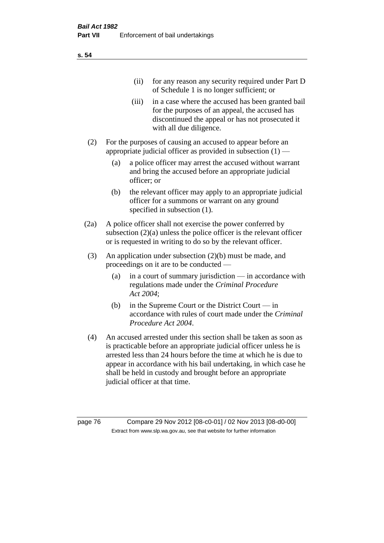| (11)  | for any reason any security required under Part D<br>of Schedule 1 is no longer sufficient; or                                                                                     |
|-------|------------------------------------------------------------------------------------------------------------------------------------------------------------------------------------|
| (iii) | in a case where the accused has been granted bail<br>for the purposes of an appeal, the accused has<br>discontinued the appeal or has not prosecuted it<br>with all due diligence. |

- (2) For the purposes of causing an accused to appear before an appropriate judicial officer as provided in subsection  $(1)$  —
	- (a) a police officer may arrest the accused without warrant and bring the accused before an appropriate judicial officer; or
	- (b) the relevant officer may apply to an appropriate judicial officer for a summons or warrant on any ground specified in subsection  $(1)$ .
- (2a) A police officer shall not exercise the power conferred by subsection (2)(a) unless the police officer is the relevant officer or is requested in writing to do so by the relevant officer.
- (3) An application under subsection (2)(b) must be made, and proceedings on it are to be conducted —
	- (a) in a court of summary jurisdiction in accordance with regulations made under the *Criminal Procedure Act 2004*;
	- (b) in the Supreme Court or the District Court in accordance with rules of court made under the *Criminal Procedure Act 2004*.
- (4) An accused arrested under this section shall be taken as soon as is practicable before an appropriate judicial officer unless he is arrested less than 24 hours before the time at which he is due to appear in accordance with his bail undertaking, in which case he shall be held in custody and brought before an appropriate judicial officer at that time.

page 76 Compare 29 Nov 2012 [08-c0-01] / 02 Nov 2013 [08-d0-00] Extract from www.slp.wa.gov.au, see that website for further information

**s. 54**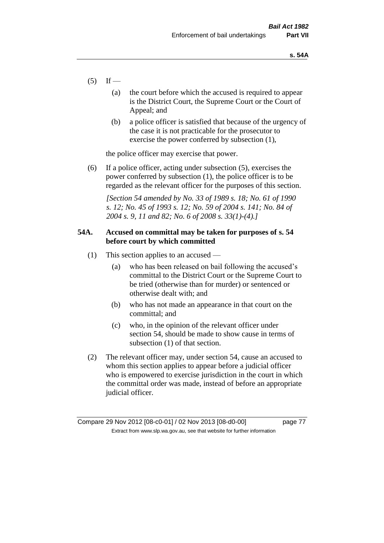- $(5)$  If
	- (a) the court before which the accused is required to appear is the District Court, the Supreme Court or the Court of Appeal; and
	- (b) a police officer is satisfied that because of the urgency of the case it is not practicable for the prosecutor to exercise the power conferred by subsection (1),

the police officer may exercise that power.

(6) If a police officer, acting under subsection (5), exercises the power conferred by subsection (1), the police officer is to be regarded as the relevant officer for the purposes of this section.

*[Section 54 amended by No. 33 of 1989 s. 18; No. 61 of 1990 s. 12; No. 45 of 1993 s. 12; No. 59 of 2004 s. 141; No. 84 of 2004 s. 9, 11 and 82; No. 6 of 2008 s. 33(1)-(4).]* 

# **54A. Accused on committal may be taken for purposes of s. 54 before court by which committed**

- (1) This section applies to an accused
	- (a) who has been released on bail following the accused's committal to the District Court or the Supreme Court to be tried (otherwise than for murder) or sentenced or otherwise dealt with; and
	- (b) who has not made an appearance in that court on the committal; and
	- (c) who, in the opinion of the relevant officer under section 54, should be made to show cause in terms of subsection (1) of that section.
- (2) The relevant officer may, under section 54, cause an accused to whom this section applies to appear before a judicial officer who is empowered to exercise jurisdiction in the court in which the committal order was made, instead of before an appropriate judicial officer.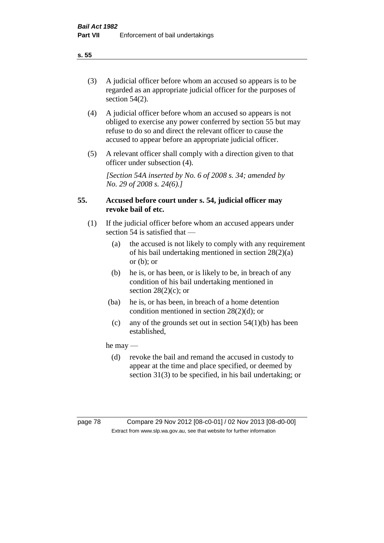(3) A judicial officer before whom an accused so appears is to be regarded as an appropriate judicial officer for the purposes of section 54(2).

- (4) A judicial officer before whom an accused so appears is not obliged to exercise any power conferred by section 55 but may refuse to do so and direct the relevant officer to cause the accused to appear before an appropriate judicial officer.
- (5) A relevant officer shall comply with a direction given to that officer under subsection (4).

*[Section 54A inserted by No. 6 of 2008 s. 34; amended by No. 29 of 2008 s. 24(6).]*

# **55. Accused before court under s. 54, judicial officer may revoke bail of etc.**

- (1) If the judicial officer before whom an accused appears under section 54 is satisfied that —
	- (a) the accused is not likely to comply with any requirement of his bail undertaking mentioned in section 28(2)(a) or  $(b)$ ; or
	- (b) he is, or has been, or is likely to be, in breach of any condition of his bail undertaking mentioned in section  $28(2)(c)$ ; or
	- (ba) he is, or has been, in breach of a home detention condition mentioned in section 28(2)(d); or
		- (c) any of the grounds set out in section  $54(1)(b)$  has been established,

he may —

(d) revoke the bail and remand the accused in custody to appear at the time and place specified, or deemed by section 31(3) to be specified, in his bail undertaking; or

**s. 55**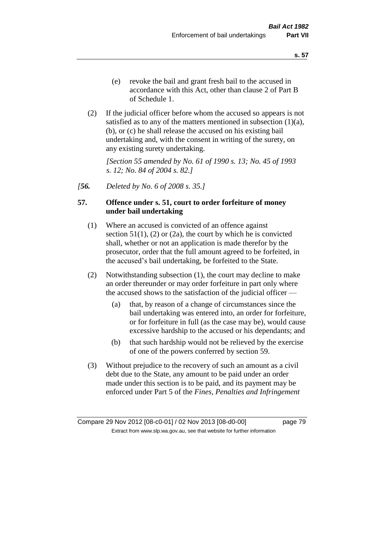(2) If the judicial officer before whom the accused so appears is not satisfied as to any of the matters mentioned in subsection  $(1)(a)$ , (b), or (c) he shall release the accused on his existing bail undertaking and, with the consent in writing of the surety, on any existing surety undertaking.

*[Section 55 amended by No. 61 of 1990 s. 13; No. 45 of 1993 s. 12; No. 84 of 2004 s. 82.]* 

*[56. Deleted by No. 6 of 2008 s. 35.]*

# **57. Offence under s. 51, court to order forfeiture of money under bail undertaking**

- (1) Where an accused is convicted of an offence against section  $51(1)$ ,  $(2)$  or  $(2a)$ , the court by which he is convicted shall, whether or not an application is made therefor by the prosecutor, order that the full amount agreed to be forfeited, in the accused's bail undertaking, be forfeited to the State.
- (2) Notwithstanding subsection (1), the court may decline to make an order thereunder or may order forfeiture in part only where the accused shows to the satisfaction of the judicial officer —
	- (a) that, by reason of a change of circumstances since the bail undertaking was entered into, an order for forfeiture, or for forfeiture in full (as the case may be), would cause excessive hardship to the accused or his dependants; and
	- (b) that such hardship would not be relieved by the exercise of one of the powers conferred by section 59.
- (3) Without prejudice to the recovery of such an amount as a civil debt due to the State, any amount to be paid under an order made under this section is to be paid, and its payment may be enforced under Part 5 of the *Fines, Penalties and Infringement*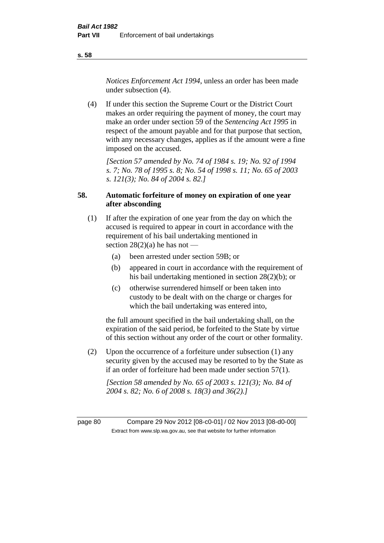*Notices Enforcement Act 1994*, unless an order has been made under subsection (4).

(4) If under this section the Supreme Court or the District Court makes an order requiring the payment of money, the court may make an order under section 59 of the *Sentencing Act 1995* in respect of the amount payable and for that purpose that section, with any necessary changes, applies as if the amount were a fine imposed on the accused.

*[Section 57 amended by No. 74 of 1984 s. 19; No. 92 of 1994 s. 7; No. 78 of 1995 s. 8; No. 54 of 1998 s. 11; No. 65 of 2003 s. 121(3); No. 84 of 2004 s. 82.]* 

# **58. Automatic forfeiture of money on expiration of one year after absconding**

- (1) If after the expiration of one year from the day on which the accused is required to appear in court in accordance with the requirement of his bail undertaking mentioned in section  $28(2)(a)$  he has not —
	- (a) been arrested under section 59B; or
	- (b) appeared in court in accordance with the requirement of his bail undertaking mentioned in section 28(2)(b); or
	- (c) otherwise surrendered himself or been taken into custody to be dealt with on the charge or charges for which the bail undertaking was entered into,

the full amount specified in the bail undertaking shall, on the expiration of the said period, be forfeited to the State by virtue of this section without any order of the court or other formality.

(2) Upon the occurrence of a forfeiture under subsection (1) any security given by the accused may be resorted to by the State as if an order of forfeiture had been made under section 57(1).

*[Section 58 amended by No. 65 of 2003 s. 121(3); No. 84 of 2004 s. 82; No. 6 of 2008 s. 18(3) and 36(2).]*

page 80 Compare 29 Nov 2012 [08-c0-01] / 02 Nov 2013 [08-d0-00] Extract from www.slp.wa.gov.au, see that website for further information

**s. 58**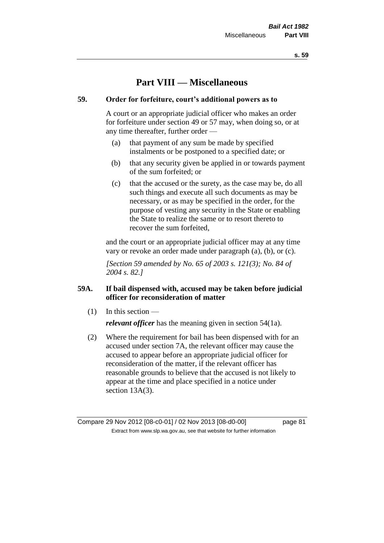# **Part VIII — Miscellaneous**

# **59. Order for forfeiture, court's additional powers as to**

A court or an appropriate judicial officer who makes an order for forfeiture under section 49 or 57 may, when doing so, or at any time thereafter, further order —

- (a) that payment of any sum be made by specified instalments or be postponed to a specified date; or
- (b) that any security given be applied in or towards payment of the sum forfeited; or
- (c) that the accused or the surety, as the case may be, do all such things and execute all such documents as may be necessary, or as may be specified in the order, for the purpose of vesting any security in the State or enabling the State to realize the same or to resort thereto to recover the sum forfeited,

and the court or an appropriate judicial officer may at any time vary or revoke an order made under paragraph (a), (b), or (c).

*[Section 59 amended by No. 65 of 2003 s. 121(3); No. 84 of 2004 s. 82.]*

# **59A. If bail dispensed with, accused may be taken before judicial officer for reconsideration of matter**

(1) In this section —

*relevant officer* has the meaning given in section 54(1a).

(2) Where the requirement for bail has been dispensed with for an accused under section 7A, the relevant officer may cause the accused to appear before an appropriate judicial officer for reconsideration of the matter, if the relevant officer has reasonable grounds to believe that the accused is not likely to appear at the time and place specified in a notice under section 13A(3).

Compare 29 Nov 2012 [08-c0-01] / 02 Nov 2013 [08-d0-00] page 81 Extract from www.slp.wa.gov.au, see that website for further information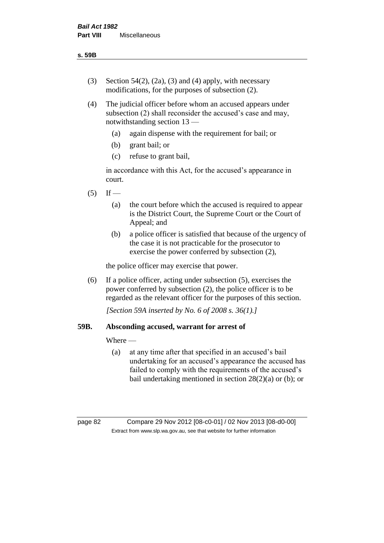- (3) Section 54(2), (2a), (3) and (4) apply, with necessary modifications, for the purposes of subsection (2).
- (4) The judicial officer before whom an accused appears under subsection (2) shall reconsider the accused's case and may, notwithstanding section 13 —
	- (a) again dispense with the requirement for bail; or
	- (b) grant bail; or
	- (c) refuse to grant bail,

in accordance with this Act, for the accused's appearance in court.

- $(5)$  If
	- (a) the court before which the accused is required to appear is the District Court, the Supreme Court or the Court of Appeal; and
	- (b) a police officer is satisfied that because of the urgency of the case it is not practicable for the prosecutor to exercise the power conferred by subsection (2),

the police officer may exercise that power.

(6) If a police officer, acting under subsection (5), exercises the power conferred by subsection (2), the police officer is to be regarded as the relevant officer for the purposes of this section.

*[Section 59A inserted by No. 6 of 2008 s. 36(1).]*

# **59B. Absconding accused, warrant for arrest of**

Where —

(a) at any time after that specified in an accused's bail undertaking for an accused's appearance the accused has failed to comply with the requirements of the accused's bail undertaking mentioned in section 28(2)(a) or (b); or

page 82 Compare 29 Nov 2012 [08-c0-01] / 02 Nov 2013 [08-d0-00] Extract from www.slp.wa.gov.au, see that website for further information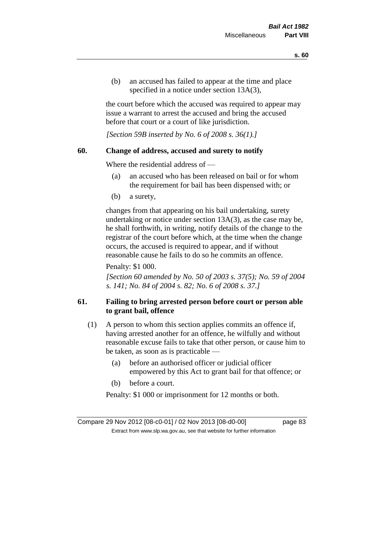(b) an accused has failed to appear at the time and place specified in a notice under section 13A(3).

the court before which the accused was required to appear may issue a warrant to arrest the accused and bring the accused before that court or a court of like jurisdiction.

*[Section 59B inserted by No. 6 of 2008 s. 36(1).]*

## **60. Change of address, accused and surety to notify**

Where the residential address of —

- (a) an accused who has been released on bail or for whom the requirement for bail has been dispensed with; or
- (b) a surety,

changes from that appearing on his bail undertaking, surety undertaking or notice under section 13A(3), as the case may be, he shall forthwith, in writing, notify details of the change to the registrar of the court before which, at the time when the change occurs, the accused is required to appear, and if without reasonable cause he fails to do so he commits an offence.

Penalty: \$1 000.

*[Section 60 amended by No. 50 of 2003 s. 37(5); No. 59 of 2004 s. 141; No. 84 of 2004 s. 82; No. 6 of 2008 s. 37.]*

# **61. Failing to bring arrested person before court or person able to grant bail, offence**

- (1) A person to whom this section applies commits an offence if, having arrested another for an offence, he wilfully and without reasonable excuse fails to take that other person, or cause him to be taken, as soon as is practicable —
	- (a) before an authorised officer or judicial officer empowered by this Act to grant bail for that offence; or
	- (b) before a court.

Penalty: \$1 000 or imprisonment for 12 months or both.

Compare 29 Nov 2012 [08-c0-01] / 02 Nov 2013 [08-d0-00] page 83 Extract from www.slp.wa.gov.au, see that website for further information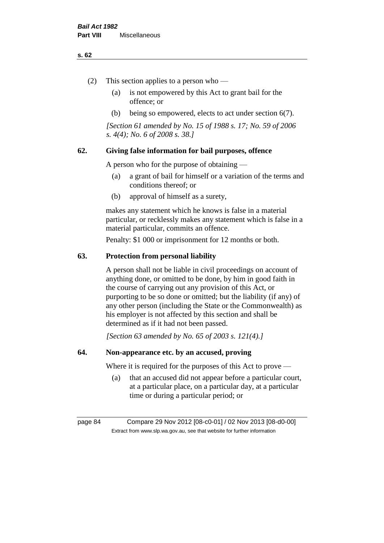#### **s. 62**

- (2) This section applies to a person who
	- (a) is not empowered by this Act to grant bail for the offence; or
	- (b) being so empowered, elects to act under section 6(7).

*[Section 61 amended by No. 15 of 1988 s. 17; No. 59 of 2006 s. 4(4); No. 6 of 2008 s. 38.]* 

# **62. Giving false information for bail purposes, offence**

A person who for the purpose of obtaining —

- (a) a grant of bail for himself or a variation of the terms and conditions thereof; or
- (b) approval of himself as a surety,

makes any statement which he knows is false in a material particular, or recklessly makes any statement which is false in a material particular, commits an offence.

Penalty: \$1 000 or imprisonment for 12 months or both.

#### **63. Protection from personal liability**

A person shall not be liable in civil proceedings on account of anything done, or omitted to be done, by him in good faith in the course of carrying out any provision of this Act, or purporting to be so done or omitted; but the liability (if any) of any other person (including the State or the Commonwealth) as his employer is not affected by this section and shall be determined as if it had not been passed.

*[Section 63 amended by No. 65 of 2003 s. 121(4).]*

# **64. Non-appearance etc. by an accused, proving**

Where it is required for the purposes of this Act to prove —

(a) that an accused did not appear before a particular court, at a particular place, on a particular day, at a particular time or during a particular period; or

page 84 Compare 29 Nov 2012 [08-c0-01] / 02 Nov 2013 [08-d0-00] Extract from www.slp.wa.gov.au, see that website for further information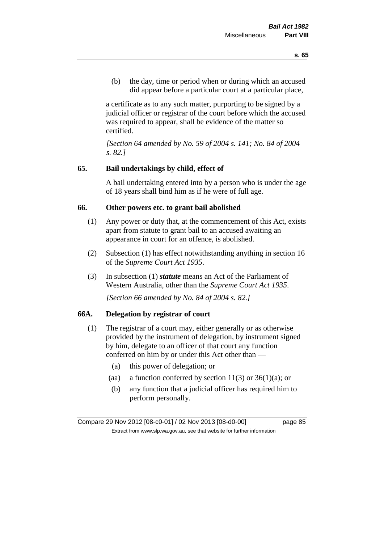(b) the day, time or period when or during which an accused did appear before a particular court at a particular place,

a certificate as to any such matter, purporting to be signed by a judicial officer or registrar of the court before which the accused was required to appear, shall be evidence of the matter so certified.

*[Section 64 amended by No. 59 of 2004 s. 141; No. 84 of 2004 s. 82.]* 

## **65. Bail undertakings by child, effect of**

A bail undertaking entered into by a person who is under the age of 18 years shall bind him as if he were of full age.

#### **66. Other powers etc. to grant bail abolished**

- (1) Any power or duty that, at the commencement of this Act, exists apart from statute to grant bail to an accused awaiting an appearance in court for an offence, is abolished.
- (2) Subsection (1) has effect notwithstanding anything in section 16 of the *Supreme Court Act 1935*.
- (3) In subsection (1) *statute* means an Act of the Parliament of Western Australia, other than the *Supreme Court Act 1935*.

*[Section 66 amended by No. 84 of 2004 s. 82.]*

## **66A. Delegation by registrar of court**

- (1) The registrar of a court may, either generally or as otherwise provided by the instrument of delegation, by instrument signed by him, delegate to an officer of that court any function conferred on him by or under this Act other than —
	- (a) this power of delegation; or
	- (aa) a function conferred by section  $11(3)$  or  $36(1)(a)$ ; or
	- (b) any function that a judicial officer has required him to perform personally.

Compare 29 Nov 2012 [08-c0-01] / 02 Nov 2013 [08-d0-00] page 85 Extract from www.slp.wa.gov.au, see that website for further information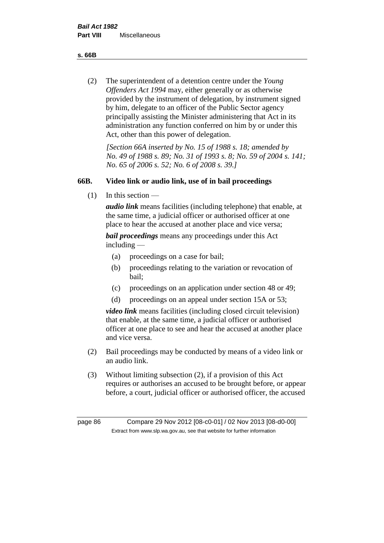**s. 66B**

(2) The superintendent of a detention centre under the *Young Offenders Act 1994* may, either generally or as otherwise provided by the instrument of delegation, by instrument signed by him, delegate to an officer of the Public Sector agency principally assisting the Minister administering that Act in its administration any function conferred on him by or under this Act, other than this power of delegation.

*[Section 66A inserted by No. 15 of 1988 s. 18; amended by No. 49 of 1988 s. 89; No. 31 of 1993 s. 8; No. 59 of 2004 s. 141; No. 65 of 2006 s. 52; No. 6 of 2008 s. 39.]* 

# **66B. Video link or audio link, use of in bail proceedings**

(1) In this section —

*audio link* means facilities (including telephone) that enable, at the same time, a judicial officer or authorised officer at one place to hear the accused at another place and vice versa;

*bail proceedings* means any proceedings under this Act including —

- (a) proceedings on a case for bail;
- (b) proceedings relating to the variation or revocation of bail;
- (c) proceedings on an application under section 48 or 49;
- (d) proceedings on an appeal under section 15A or 53;

*video link* means facilities (including closed circuit television) that enable, at the same time, a judicial officer or authorised officer at one place to see and hear the accused at another place and vice versa.

- (2) Bail proceedings may be conducted by means of a video link or an audio link.
- (3) Without limiting subsection (2), if a provision of this Act requires or authorises an accused to be brought before, or appear before, a court, judicial officer or authorised officer, the accused

page 86 Compare 29 Nov 2012 [08-c0-01] / 02 Nov 2013 [08-d0-00] Extract from www.slp.wa.gov.au, see that website for further information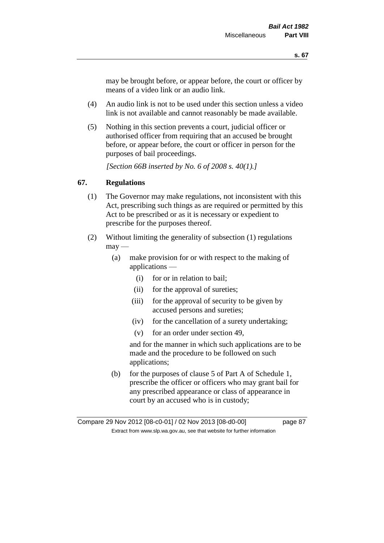may be brought before, or appear before, the court or officer by means of a video link or an audio link.

- (4) An audio link is not to be used under this section unless a video link is not available and cannot reasonably be made available.
- (5) Nothing in this section prevents a court, judicial officer or authorised officer from requiring that an accused be brought before, or appear before, the court or officer in person for the purposes of bail proceedings.

*[Section 66B inserted by No. 6 of 2008 s. 40(1).]*

# **67. Regulations**

- (1) The Governor may make regulations, not inconsistent with this Act, prescribing such things as are required or permitted by this Act to be prescribed or as it is necessary or expedient to prescribe for the purposes thereof.
- (2) Without limiting the generality of subsection (1) regulations  $\text{max}$  —
	- (a) make provision for or with respect to the making of applications —
		- (i) for or in relation to bail;
		- (ii) for the approval of sureties;
		- (iii) for the approval of security to be given by accused persons and sureties;
		- (iv) for the cancellation of a surety undertaking;
		- (v) for an order under section 49,

and for the manner in which such applications are to be made and the procedure to be followed on such applications;

(b) for the purposes of clause 5 of Part A of Schedule 1, prescribe the officer or officers who may grant bail for any prescribed appearance or class of appearance in court by an accused who is in custody;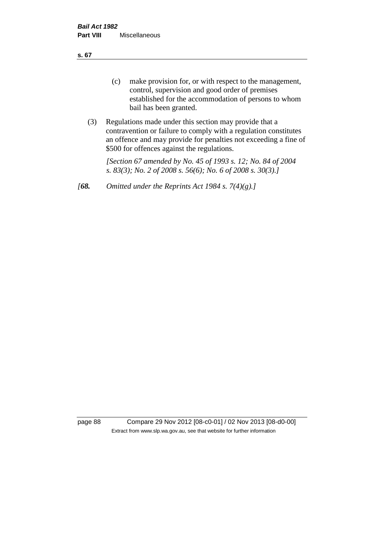**s. 67**

- (c) make provision for, or with respect to the management, control, supervision and good order of premises established for the accommodation of persons to whom bail has been granted.
- (3) Regulations made under this section may provide that a contravention or failure to comply with a regulation constitutes an offence and may provide for penalties not exceeding a fine of \$500 for offences against the regulations.

*[Section 67 amended by No. 45 of 1993 s. 12; No. 84 of 2004 s. 83(3); No. 2 of 2008 s. 56(6); No. 6 of 2008 s. 30(3).]* 

*[68. Omitted under the Reprints Act 1984 s. 7(4)(g).]*

page 88 Compare 29 Nov 2012 [08-c0-01] / 02 Nov 2013 [08-d0-00] Extract from www.slp.wa.gov.au, see that website for further information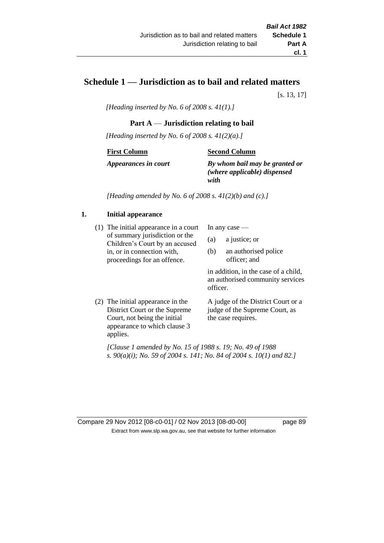# **Schedule 1 — Jurisdiction as to bail and related matters**

[s. 13, 17]

*[Heading inserted by No. 6 of 2008 s. 41(1).]*

# **Part A** — **Jurisdiction relating to bail**

*[Heading inserted by No. 6 of 2008 s. 41(2)(a).]*

#### **First Column**

## **Second Column**

*Appearances in court*

*By whom bail may be granted or (where applicable) dispensed with*

*[Heading amended by No. 6 of 2008 s. 41(2)(b) and (c).]*

# **1. Initial appearance**

(1) The initial appearance in a court of summary jurisdiction or the Children's Court by an accused in, or in connection with, proceedings for an offence.

In any case —

- (a) a justice; or
- (b) an authorised police officer; and

in addition, in the case of a child, an authorised community services officer.

(2) The initial appearance in the District Court or the Supreme Court, not being the initial appearance to which clause 3 applies.

A judge of the District Court or a judge of the Supreme Court, as the case requires.

*[Clause 1 amended by No. 15 of 1988 s. 19; No. 49 of 1988 s. 90(a)(i); No. 59 of 2004 s. 141; No. 84 of 2004 s. 10(1) and 82.]*

Compare 29 Nov 2012 [08-c0-01] / 02 Nov 2013 [08-d0-00] page 89 Extract from www.slp.wa.gov.au, see that website for further information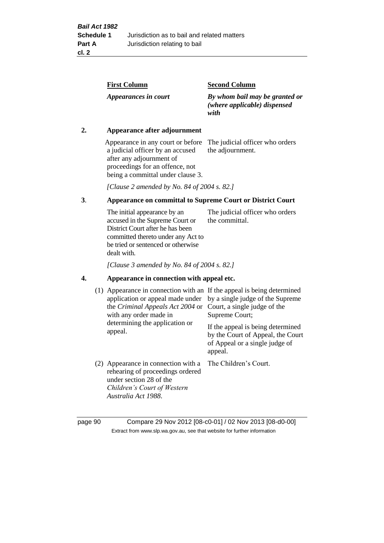| <b>First Column</b>  | <b>Second Column</b>                                                   |
|----------------------|------------------------------------------------------------------------|
| Appearances in court | By whom bail may be granted or<br>(where applicable) dispensed<br>with |

## **2. Appearance after adjournment**

Appearance in any court or before The judicial officer who orders a judicial officer by an accused after any adjournment of proceedings for an offence, not being a committal under clause 3.

the adjournment.

*[Clause 2 amended by No. 84 of 2004 s. 82.]*

# **3**. **Appearance on committal to Supreme Court or District Court**

The initial appearance by an accused in the Supreme Court or District Court after he has been committed thereto under any Act to be tried or sentenced or otherwise dealt with. The judicial officer who orders the committal.

*[Clause 3 amended by No. 84 of 2004 s. 82.]*

#### **4. Appearance in connection with appeal etc.**

| (1) Appearance in connection with an If the appeal is being determined<br>application or appeal made under<br>the <i>Criminal Appeals Act 2004</i> or Court, a single judge of the<br>with any order made in<br>determining the application or<br>appeal. | by a single judge of the Supreme<br>Supreme Court;<br>If the appeal is being determined<br>by the Court of Appeal, the Court<br>of Appeal or a single judge of<br>appeal. |
|-----------------------------------------------------------------------------------------------------------------------------------------------------------------------------------------------------------------------------------------------------------|---------------------------------------------------------------------------------------------------------------------------------------------------------------------------|
| (2) Appearance in connection with a<br>rehearing of proceedings ordered<br>under section 28 of the<br>Children's Court of Western<br>Australia Act 1988.                                                                                                  | The Children's Court.                                                                                                                                                     |

page 90 Compare 29 Nov 2012 [08-c0-01] / 02 Nov 2013 [08-d0-00] Extract from www.slp.wa.gov.au, see that website for further information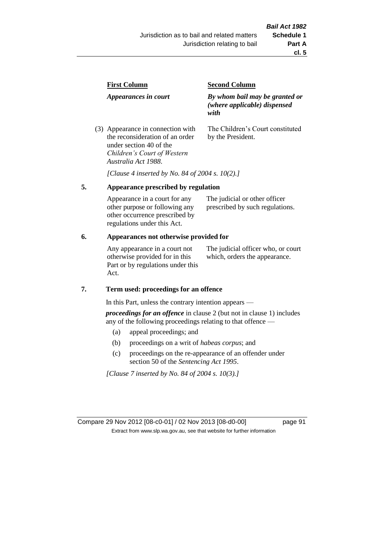| <b>First Column</b>                                                  | <b>Second Column</b>                                                   |  |
|----------------------------------------------------------------------|------------------------------------------------------------------------|--|
| Appearances in court                                                 | By whom bail may be granted or<br>(where applicable) dispensed<br>with |  |
| (3) Appearance in connection with<br>the reconsideration of an order | The Children's Court constituted<br>by the President.                  |  |

*Australia Act 1988*. *[Clause 4 inserted by No. 84 of 2004 s. 10(2).]*

## **5. Appearance prescribed by regulation**

under section 40 of the *Children's Court of Western* 

| Appearance in a court for any  | The judicial or other officer   |
|--------------------------------|---------------------------------|
| other purpose or following any | prescribed by such regulations. |
| other occurrence prescribed by |                                 |
| regulations under this Act.    |                                 |

### **6. Appearances not otherwise provided for**

Any appearance in a court not otherwise provided for in this Part or by regulations under this Act.

The judicial officer who, or court which, orders the appearance.

### **7. Term used: proceedings for an offence**

In this Part, unless the contrary intention appears —

*proceedings for an offence* in clause 2 (but not in clause 1) includes any of the following proceedings relating to that offence —

- (a) appeal proceedings; and
- (b) proceedings on a writ of *habeas corpus*; and
- (c) proceedings on the re-appearance of an offender under section 50 of the *Sentencing Act 1995*.

*[Clause 7 inserted by No. 84 of 2004 s. 10(3).]*

Compare 29 Nov 2012 [08-c0-01] / 02 Nov 2013 [08-d0-00] page 91 Extract from www.slp.wa.gov.au, see that website for further information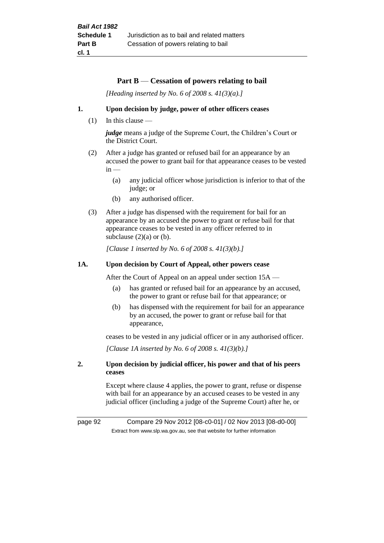#### **Part B** — **Cessation of powers relating to bail**

*[Heading inserted by No. 6 of 2008 s. 41(3)(a).]*

#### **1. Upon decision by judge, power of other officers ceases**

 $(1)$  In this clause —

*judge* means a judge of the Supreme Court, the Children's Court or the District Court.

- (2) After a judge has granted or refused bail for an appearance by an accused the power to grant bail for that appearance ceases to be vested  $in -$ 
	- (a) any judicial officer whose jurisdiction is inferior to that of the judge; or
	- (b) any authorised officer.
- (3) After a judge has dispensed with the requirement for bail for an appearance by an accused the power to grant or refuse bail for that appearance ceases to be vested in any officer referred to in subclause  $(2)(a)$  or  $(b)$ .

*[Clause 1 inserted by No. 6 of 2008 s. 41(3)(b).]*

#### **1A. Upon decision by Court of Appeal, other powers cease**

After the Court of Appeal on an appeal under section 15A —

- (a) has granted or refused bail for an appearance by an accused, the power to grant or refuse bail for that appearance; or
- (b) has dispensed with the requirement for bail for an appearance by an accused, the power to grant or refuse bail for that appearance,

ceases to be vested in any judicial officer or in any authorised officer.

*[Clause 1A inserted by No. 6 of 2008 s. 41(3)(b).]*

#### **2. Upon decision by judicial officer, his power and that of his peers ceases**

Except where clause 4 applies, the power to grant, refuse or dispense with bail for an appearance by an accused ceases to be vested in any judicial officer (including a judge of the Supreme Court) after he, or

page 92 Compare 29 Nov 2012 [08-c0-01] / 02 Nov 2013 [08-d0-00] Extract from www.slp.wa.gov.au, see that website for further information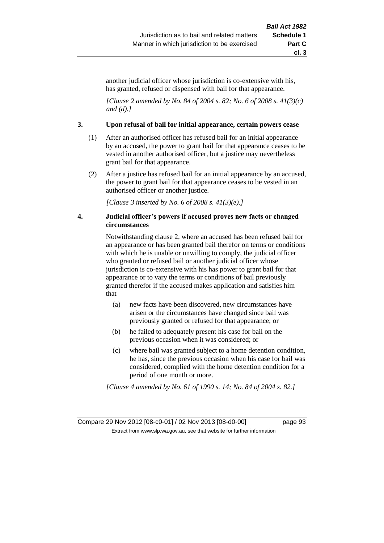another judicial officer whose jurisdiction is co-extensive with his, has granted, refused or dispensed with bail for that appearance.

*[Clause 2 amended by No. 84 of 2004 s. 82; No. 6 of 2008 s. 41(3)(c) and (d).]*

#### **3. Upon refusal of bail for initial appearance, certain powers cease**

- (1) After an authorised officer has refused bail for an initial appearance by an accused, the power to grant bail for that appearance ceases to be vested in another authorised officer, but a justice may nevertheless grant bail for that appearance.
- (2) After a justice has refused bail for an initial appearance by an accused, the power to grant bail for that appearance ceases to be vested in an authorised officer or another justice.

*[Clause 3 inserted by No. 6 of 2008 s. 41(3)(e).]*

### **4. Judicial officer's powers if accused proves new facts or changed circumstances**

Notwithstanding clause 2, where an accused has been refused bail for an appearance or has been granted bail therefor on terms or conditions with which he is unable or unwilling to comply, the judicial officer who granted or refused bail or another judicial officer whose jurisdiction is co-extensive with his has power to grant bail for that appearance or to vary the terms or conditions of bail previously granted therefor if the accused makes application and satisfies him that —

- (a) new facts have been discovered, new circumstances have arisen or the circumstances have changed since bail was previously granted or refused for that appearance; or
- (b) he failed to adequately present his case for bail on the previous occasion when it was considered; or
- (c) where bail was granted subject to a home detention condition, he has, since the previous occasion when his case for bail was considered, complied with the home detention condition for a period of one month or more.

*[Clause 4 amended by No. 61 of 1990 s. 14; No. 84 of 2004 s. 82.]*

Compare 29 Nov 2012 [08-c0-01] / 02 Nov 2013 [08-d0-00] page 93 Extract from www.slp.wa.gov.au, see that website for further information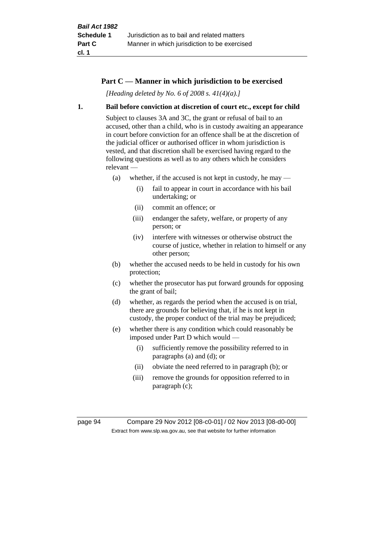## **Part C — Manner in which jurisdiction to be exercised**

*[Heading deleted by No. 6 of 2008 s. 41(4)(a).]*

#### **1. Bail before conviction at discretion of court etc., except for child**

Subject to clauses 3A and 3C, the grant or refusal of bail to an accused, other than a child, who is in custody awaiting an appearance in court before conviction for an offence shall be at the discretion of the judicial officer or authorised officer in whom jurisdiction is vested, and that discretion shall be exercised having regard to the following questions as well as to any others which he considers relevant —

- (a) whether, if the accused is not kept in custody, he may
	- (i) fail to appear in court in accordance with his bail undertaking; or
	- (ii) commit an offence; or
	- (iii) endanger the safety, welfare, or property of any person; or
	- (iv) interfere with witnesses or otherwise obstruct the course of justice, whether in relation to himself or any other person;
- (b) whether the accused needs to be held in custody for his own protection;
- (c) whether the prosecutor has put forward grounds for opposing the grant of bail;
- (d) whether, as regards the period when the accused is on trial, there are grounds for believing that, if he is not kept in custody, the proper conduct of the trial may be prejudiced;
- (e) whether there is any condition which could reasonably be imposed under Part D which would —
	- (i) sufficiently remove the possibility referred to in paragraphs (a) and (d); or
	- (ii) obviate the need referred to in paragraph (b); or
	- (iii) remove the grounds for opposition referred to in paragraph (c);

page 94 Compare 29 Nov 2012 [08-c0-01] / 02 Nov 2013 [08-d0-00] Extract from www.slp.wa.gov.au, see that website for further information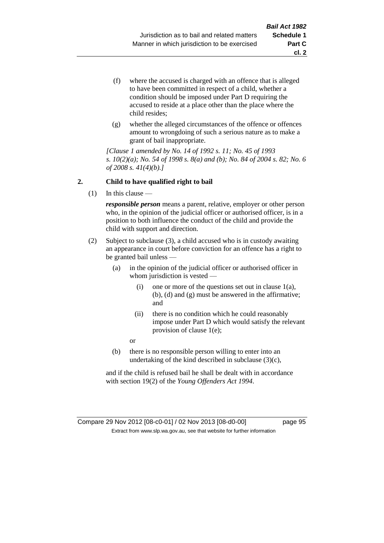- (f) where the accused is charged with an offence that is alleged to have been committed in respect of a child, whether a condition should be imposed under Part D requiring the accused to reside at a place other than the place where the child resides;
- (g) whether the alleged circumstances of the offence or offences amount to wrongdoing of such a serious nature as to make a grant of bail inappropriate.

*[Clause 1 amended by No. 14 of 1992 s. 11; No. 45 of 1993 s. 10(2)(a); No. 54 of 1998 s. 8(a) and (b); No. 84 of 2004 s. 82; No. 6 of 2008 s. 41(4)(b).]*

## **2. Child to have qualified right to bail**

(1) In this clause —

*responsible person* means a parent, relative, employer or other person who, in the opinion of the judicial officer or authorised officer, is in a position to both influence the conduct of the child and provide the child with support and direction.

- (2) Subject to subclause (3), a child accused who is in custody awaiting an appearance in court before conviction for an offence has a right to be granted bail unless —
	- (a) in the opinion of the judicial officer or authorised officer in whom jurisdiction is vested —
		- (i) one or more of the questions set out in clause 1(a), (b), (d) and (g) must be answered in the affirmative; and
		- (ii) there is no condition which he could reasonably impose under Part D which would satisfy the relevant provision of clause 1(e);
		- or
	- (b) there is no responsible person willing to enter into an undertaking of the kind described in subclause (3)(c),

and if the child is refused bail he shall be dealt with in accordance with section 19(2) of the *Young Offenders Act 1994*.

## Compare 29 Nov 2012 [08-c0-01] / 02 Nov 2013 [08-d0-00] page 95 Extract from www.slp.wa.gov.au, see that website for further information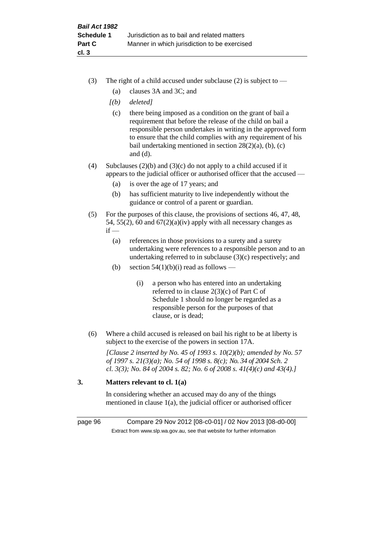- (3) The right of a child accused under subclause (2) is subject to  $-$ 
	- (a) clauses 3A and 3C; and
	- *[(b) deleted]*
	- (c) there being imposed as a condition on the grant of bail a requirement that before the release of the child on bail a responsible person undertakes in writing in the approved form to ensure that the child complies with any requirement of his bail undertaking mentioned in section 28(2)(a), (b), (c) and (d).
- (4) Subclauses (2)(b) and (3)(c) do not apply to a child accused if it appears to the judicial officer or authorised officer that the accused —
	- (a) is over the age of 17 years; and
	- (b) has sufficient maturity to live independently without the guidance or control of a parent or guardian.
- (5) For the purposes of this clause, the provisions of sections 46, 47, 48, 54, 55(2), 60 and  $67(2)(a)(iv)$  apply with all necessary changes as  $if -$ 
	- (a) references in those provisions to a surety and a surety undertaking were references to a responsible person and to an undertaking referred to in subclause (3)(c) respectively; and
	- (b) section  $54(1)(b)(i)$  read as follows
		- (i) a person who has entered into an undertaking referred to in clause 2(3)(c) of Part C of Schedule 1 should no longer be regarded as a responsible person for the purposes of that clause, or is dead;
- (6) Where a child accused is released on bail his right to be at liberty is subject to the exercise of the powers in section 17A.

*[Clause 2 inserted by No. 45 of 1993 s. 10(2)(b); amended by No. 57 of 1997 s. 21(3)(a); No. 54 of 1998 s. 8(c); No. 34 of 2004 Sch. 2 cl. 3(3); No. 84 of 2004 s. 82; No. 6 of 2008 s. 41(4)(c) and 43(4).]*

# **3. Matters relevant to cl. 1(a)**

In considering whether an accused may do any of the things mentioned in clause 1(a), the judicial officer or authorised officer

page 96 Compare 29 Nov 2012 [08-c0-01] / 02 Nov 2013 [08-d0-00] Extract from www.slp.wa.gov.au, see that website for further information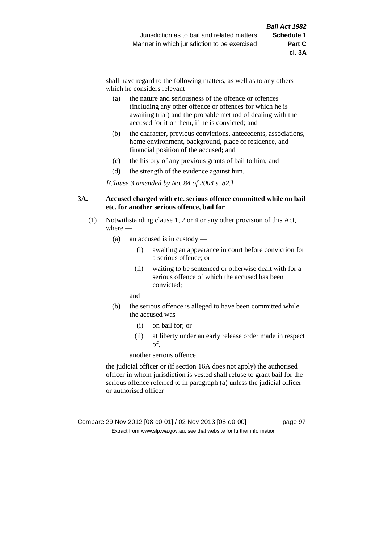shall have regard to the following matters, as well as to any others which he considers relevant —

- (a) the nature and seriousness of the offence or offences (including any other offence or offences for which he is awaiting trial) and the probable method of dealing with the accused for it or them, if he is convicted; and
- (b) the character, previous convictions, antecedents, associations, home environment, background, place of residence, and financial position of the accused; and
- (c) the history of any previous grants of bail to him; and
- (d) the strength of the evidence against him.

*[Clause 3 amended by No. 84 of 2004 s. 82.]*

#### **3A. Accused charged with etc. serious offence committed while on bail etc. for another serious offence, bail for**

- (1) Notwithstanding clause 1, 2 or 4 or any other provision of this Act, where —
	- (a) an accused is in custody
		- (i) awaiting an appearance in court before conviction for a serious offence; or
		- (ii) waiting to be sentenced or otherwise dealt with for a serious offence of which the accused has been convicted;

and

- (b) the serious offence is alleged to have been committed while the accused was —
	- (i) on bail for; or
	- (ii) at liberty under an early release order made in respect of,

another serious offence,

the judicial officer or (if section 16A does not apply) the authorised officer in whom jurisdiction is vested shall refuse to grant bail for the serious offence referred to in paragraph (a) unless the judicial officer or authorised officer —

#### Compare 29 Nov 2012 [08-c0-01] / 02 Nov 2013 [08-d0-00] page 97 Extract from www.slp.wa.gov.au, see that website for further information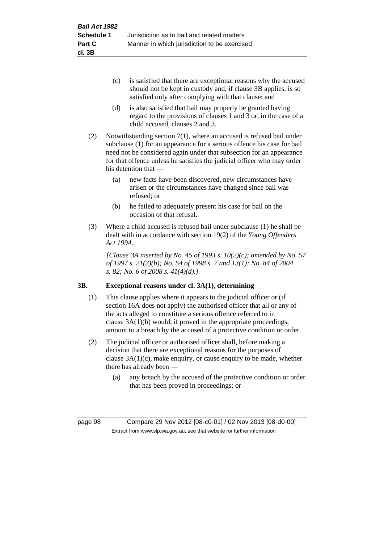- (c) is satisfied that there are exceptional reasons why the accused should not be kept in custody and, if clause 3B applies, is so satisfied only after complying with that clause; and
- (d) is also satisfied that bail may properly be granted having regard to the provisions of clauses 1 and 3 or, in the case of a child accused, clauses 2 and 3.
- (2) Notwithstanding section 7(1), where an accused is refused bail under subclause (1) for an appearance for a serious offence his case for bail need not be considered again under that subsection for an appearance for that offence unless he satisfies the judicial officer who may order his detention that —
	- (a) new facts have been discovered, new circumstances have arisen or the circumstances have changed since bail was refused; or
	- (b) he failed to adequately present his case for bail on the occasion of that refusal.
- (3) Where a child accused is refused bail under subclause (1) he shall be dealt with in accordance with section 19(2) of the *Young Offenders Act 1994*.

*[Clause 3A inserted by No. 45 of 1993 s. 10(2)(c); amended by No. 57 of 1997 s. 21(3)(b); No. 54 of 1998 s. 7 and 13(1); No. 84 of 2004 s. 82; No. 6 of 2008 s. 41(4)(d).]*

# **3B. Exceptional reasons under cl. 3A(1), determining**

- (1) This clause applies where it appears to the judicial officer or (if section 16A does not apply) the authorised officer that all or any of the acts alleged to constitute a serious offence referred to in clause 3A(1)(b) would, if proved in the appropriate proceedings, amount to a breach by the accused of a protective condition or order.
- (2) The judicial officer or authorised officer shall, before making a decision that there are exceptional reasons for the purposes of clause  $3A(1)(c)$ , make enquiry, or cause enquiry to be made, whether there has already been —
	- (a) any breach by the accused of the protective condition or order that has been proved in proceedings; or

page 98 Compare 29 Nov 2012 [08-c0-01] / 02 Nov 2013 [08-d0-00] Extract from www.slp.wa.gov.au, see that website for further information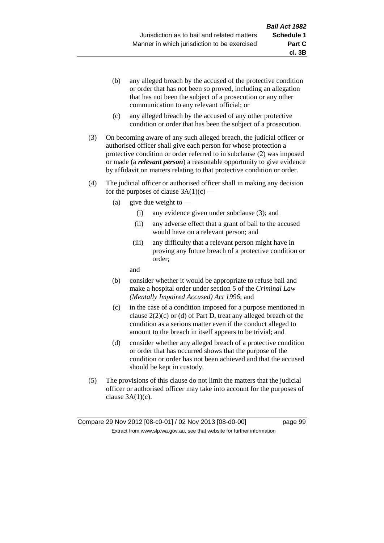- (b) any alleged breach by the accused of the protective condition or order that has not been so proved, including an allegation that has not been the subject of a prosecution or any other communication to any relevant official; or
- (c) any alleged breach by the accused of any other protective condition or order that has been the subject of a prosecution.
- (3) On becoming aware of any such alleged breach, the judicial officer or authorised officer shall give each person for whose protection a protective condition or order referred to in subclause (2) was imposed or made (a *relevant person*) a reasonable opportunity to give evidence by affidavit on matters relating to that protective condition or order.
- (4) The judicial officer or authorised officer shall in making any decision for the purposes of clause  $3A(1)(c)$  —
	- (a) give due weight to  $-$ 
		- (i) any evidence given under subclause (3); and
		- (ii) any adverse effect that a grant of bail to the accused would have on a relevant person; and
		- (iii) any difficulty that a relevant person might have in proving any future breach of a protective condition or order;

and

- (b) consider whether it would be appropriate to refuse bail and make a hospital order under section 5 of the *Criminal Law (Mentally Impaired Accused) Act 1996*; and
- (c) in the case of a condition imposed for a purpose mentioned in clause 2(2)(c) or (d) of Part D, treat any alleged breach of the condition as a serious matter even if the conduct alleged to amount to the breach in itself appears to be trivial; and
- (d) consider whether any alleged breach of a protective condition or order that has occurred shows that the purpose of the condition or order has not been achieved and that the accused should be kept in custody.
- (5) The provisions of this clause do not limit the matters that the judicial officer or authorised officer may take into account for the purposes of clause  $3A(1)(c)$ .

**cl. 3B**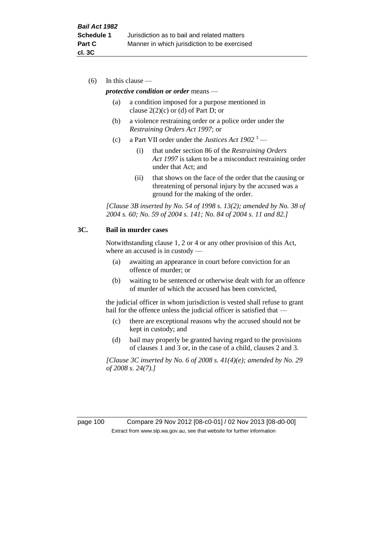(6) In this clause —

#### *protective condition or order* means —

- (a) a condition imposed for a purpose mentioned in clause  $2(2)(c)$  or (d) of Part D; or
- (b) a violence restraining order or a police order under the *Restraining Orders Act 1997*; or
- (c) a Part VII order under the *Justices Act 1902* <sup>3</sup>
	- (i) that under section 86 of the *Restraining Orders Act 1997* is taken to be a misconduct restraining order under that Act; and
	- (ii) that shows on the face of the order that the causing or threatening of personal injury by the accused was a ground for the making of the order.

*[Clause 3B inserted by No. 54 of 1998 s. 13(2); amended by No. 38 of 2004 s. 60; No. 59 of 2004 s. 141; No. 84 of 2004 s. 11 and 82.]*

### **3C. Bail in murder cases**

Notwithstanding clause 1, 2 or 4 or any other provision of this Act, where an accused is in custody —

- (a) awaiting an appearance in court before conviction for an offence of murder; or
- (b) waiting to be sentenced or otherwise dealt with for an offence of murder of which the accused has been convicted,

the judicial officer in whom jurisdiction is vested shall refuse to grant bail for the offence unless the judicial officer is satisfied that -

- (c) there are exceptional reasons why the accused should not be kept in custody; and
- (d) bail may properly be granted having regard to the provisions of clauses 1 and 3 or, in the case of a child, clauses 2 and 3.

*[Clause 3C inserted by No. 6 of 2008 s. 41(4)(e); amended by No. 29 of 2008 s. 24(7).]*

page 100 Compare 29 Nov 2012 [08-c0-01] / 02 Nov 2013 [08-d0-00] Extract from www.slp.wa.gov.au, see that website for further information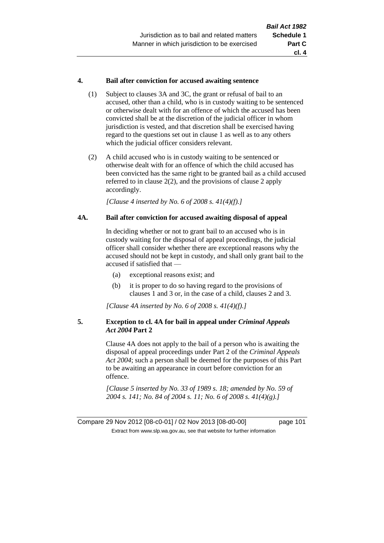### **4. Bail after conviction for accused awaiting sentence**

- (1) Subject to clauses 3A and 3C, the grant or refusal of bail to an accused, other than a child, who is in custody waiting to be sentenced or otherwise dealt with for an offence of which the accused has been convicted shall be at the discretion of the judicial officer in whom jurisdiction is vested, and that discretion shall be exercised having regard to the questions set out in clause 1 as well as to any others which the judicial officer considers relevant.
- (2) A child accused who is in custody waiting to be sentenced or otherwise dealt with for an offence of which the child accused has been convicted has the same right to be granted bail as a child accused referred to in clause 2(2), and the provisions of clause 2 apply accordingly.

*[Clause 4 inserted by No. 6 of 2008 s. 41(4)(f).]*

## **4A. Bail after conviction for accused awaiting disposal of appeal**

In deciding whether or not to grant bail to an accused who is in custody waiting for the disposal of appeal proceedings, the judicial officer shall consider whether there are exceptional reasons why the accused should not be kept in custody, and shall only grant bail to the accused if satisfied that —

- (a) exceptional reasons exist; and
- (b) it is proper to do so having regard to the provisions of clauses 1 and 3 or, in the case of a child, clauses 2 and 3.

*[Clause 4A inserted by No. 6 of 2008 s. 41(4)(f).]*

## **5. Exception to cl. 4A for bail in appeal under** *Criminal Appeals Act 2004* **Part 2**

Clause 4A does not apply to the bail of a person who is awaiting the disposal of appeal proceedings under Part 2 of the *Criminal Appeals Act 2004*; such a person shall be deemed for the purposes of this Part to be awaiting an appearance in court before conviction for an offence.

*[Clause 5 inserted by No. 33 of 1989 s. 18; amended by No. 59 of 2004 s. 141; No. 84 of 2004 s. 11; No. 6 of 2008 s. 41(4)(g).]*

Compare 29 Nov 2012 [08-c0-01] / 02 Nov 2013 [08-d0-00] page 101 Extract from www.slp.wa.gov.au, see that website for further information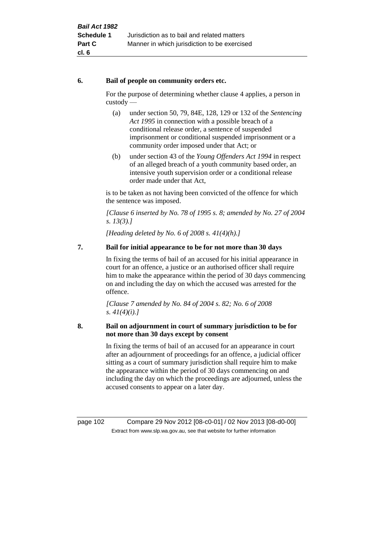## **6. Bail of people on community orders etc.**

For the purpose of determining whether clause 4 applies, a person in custody —

- (a) under section 50, 79, 84E, 128, 129 or 132 of the *Sentencing Act 1995* in connection with a possible breach of a conditional release order, a sentence of suspended imprisonment or conditional suspended imprisonment or a community order imposed under that Act; or
- (b) under section 43 of the *Young Offenders Act 1994* in respect of an alleged breach of a youth community based order, an intensive youth supervision order or a conditional release order made under that Act,

is to be taken as not having been convicted of the offence for which the sentence was imposed.

*[Clause 6 inserted by No. 78 of 1995 s. 8; amended by No. 27 of 2004 s. 13(3).]*

*[Heading deleted by No. 6 of 2008 s. 41(4)(h).]*

# **7. Bail for initial appearance to be for not more than 30 days**

In fixing the terms of bail of an accused for his initial appearance in court for an offence, a justice or an authorised officer shall require him to make the appearance within the period of 30 days commencing on and including the day on which the accused was arrested for the offence.

*[Clause 7 amended by No. 84 of 2004 s. 82; No. 6 of 2008 s. 41(4)(i).]*

## **8. Bail on adjournment in court of summary jurisdiction to be for not more than 30 days except by consent**

In fixing the terms of bail of an accused for an appearance in court after an adjournment of proceedings for an offence, a judicial officer sitting as a court of summary jurisdiction shall require him to make the appearance within the period of 30 days commencing on and including the day on which the proceedings are adjourned, unless the accused consents to appear on a later day.

page 102 Compare 29 Nov 2012 [08-c0-01] / 02 Nov 2013 [08-d0-00] Extract from www.slp.wa.gov.au, see that website for further information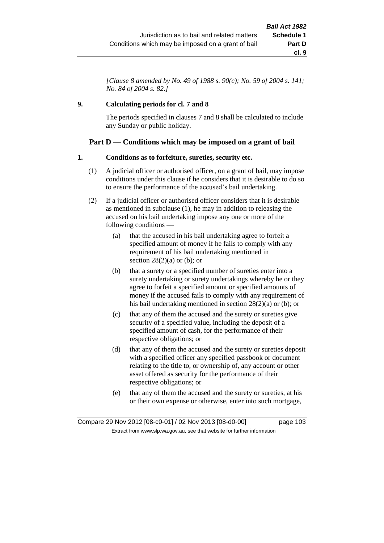*[Clause 8 amended by No. 49 of 1988 s. 90(c); No. 59 of 2004 s. 141; No. 84 of 2004 s. 82.]*

## **9. Calculating periods for cl. 7 and 8**

The periods specified in clauses 7 and 8 shall be calculated to include any Sunday or public holiday.

# **Part D — Conditions which may be imposed on a grant of bail**

## **1. Conditions as to forfeiture, sureties, security etc.**

- (1) A judicial officer or authorised officer, on a grant of bail, may impose conditions under this clause if he considers that it is desirable to do so to ensure the performance of the accused's bail undertaking.
- (2) If a judicial officer or authorised officer considers that it is desirable as mentioned in subclause (1), he may in addition to releasing the accused on his bail undertaking impose any one or more of the following conditions —
	- (a) that the accused in his bail undertaking agree to forfeit a specified amount of money if he fails to comply with any requirement of his bail undertaking mentioned in section  $28(2)(a)$  or (b); or
	- (b) that a surety or a specified number of sureties enter into a surety undertaking or surety undertakings whereby he or they agree to forfeit a specified amount or specified amounts of money if the accused fails to comply with any requirement of his bail undertaking mentioned in section 28(2)(a) or (b); or
	- (c) that any of them the accused and the surety or sureties give security of a specified value, including the deposit of a specified amount of cash, for the performance of their respective obligations; or
	- (d) that any of them the accused and the surety or sureties deposit with a specified officer any specified passbook or document relating to the title to, or ownership of, any account or other asset offered as security for the performance of their respective obligations; or
	- (e) that any of them the accused and the surety or sureties, at his or their own expense or otherwise, enter into such mortgage,

Compare 29 Nov 2012 [08-c0-01] / 02 Nov 2013 [08-d0-00] page 103 Extract from www.slp.wa.gov.au, see that website for further information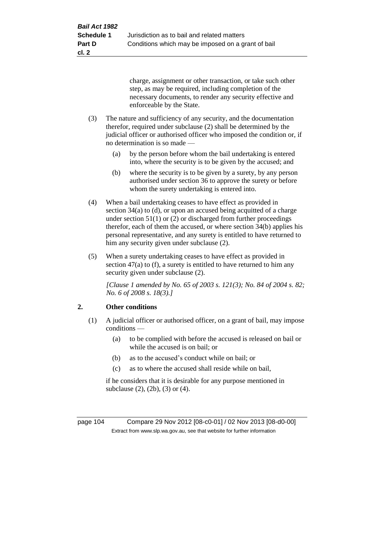charge, assignment or other transaction, or take such other step, as may be required, including completion of the necessary documents, to render any security effective and enforceable by the State.

- (3) The nature and sufficiency of any security, and the documentation therefor, required under subclause (2) shall be determined by the judicial officer or authorised officer who imposed the condition or, if no determination is so made —
	- (a) by the person before whom the bail undertaking is entered into, where the security is to be given by the accused; and
	- (b) where the security is to be given by a surety, by any person authorised under section 36 to approve the surety or before whom the surety undertaking is entered into.
- (4) When a bail undertaking ceases to have effect as provided in section 34(a) to (d), or upon an accused being acquitted of a charge under section  $51(1)$  or (2) or discharged from further proceedings therefor, each of them the accused, or where section 34(b) applies his personal representative, and any surety is entitled to have returned to him any security given under subclause (2).
- (5) When a surety undertaking ceases to have effect as provided in section 47(a) to (f), a surety is entitled to have returned to him any security given under subclause (2).

*[Clause 1 amended by No. 65 of 2003 s. 121(3); No. 84 of 2004 s. 82; No. 6 of 2008 s. 18(3).]*

# **2. Other conditions**

- (1) A judicial officer or authorised officer, on a grant of bail, may impose conditions —
	- (a) to be complied with before the accused is released on bail or while the accused is on bail; or
	- (b) as to the accused's conduct while on bail; or
	- (c) as to where the accused shall reside while on bail,

if he considers that it is desirable for any purpose mentioned in subclause (2), (2b), (3) or (4).

page 104 Compare 29 Nov 2012 [08-c0-01] / 02 Nov 2013 [08-d0-00] Extract from www.slp.wa.gov.au, see that website for further information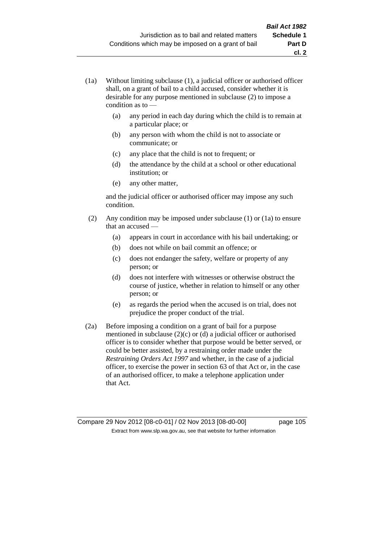- (1a) Without limiting subclause (1), a judicial officer or authorised officer shall, on a grant of bail to a child accused, consider whether it is desirable for any purpose mentioned in subclause (2) to impose a condition as to —
	- (a) any period in each day during which the child is to remain at a particular place; or
	- (b) any person with whom the child is not to associate or communicate; or
	- (c) any place that the child is not to frequent; or
	- (d) the attendance by the child at a school or other educational institution; or
	- (e) any other matter,

and the judicial officer or authorised officer may impose any such condition.

- (2) Any condition may be imposed under subclause (1) or (1a) to ensure that an accused —
	- (a) appears in court in accordance with his bail undertaking; or
	- (b) does not while on bail commit an offence; or
	- (c) does not endanger the safety, welfare or property of any person; or
	- (d) does not interfere with witnesses or otherwise obstruct the course of justice, whether in relation to himself or any other person; or
	- (e) as regards the period when the accused is on trial, does not prejudice the proper conduct of the trial.
- (2a) Before imposing a condition on a grant of bail for a purpose mentioned in subclause (2)(c) or (d) a judicial officer or authorised officer is to consider whether that purpose would be better served, or could be better assisted, by a restraining order made under the *Restraining Orders Act 1997* and whether, in the case of a judicial officer, to exercise the power in section 63 of that Act or, in the case of an authorised officer, to make a telephone application under that Act.

Compare 29 Nov 2012 [08-c0-01] / 02 Nov 2013 [08-d0-00] page 105 Extract from www.slp.wa.gov.au, see that website for further information

**cl. 2**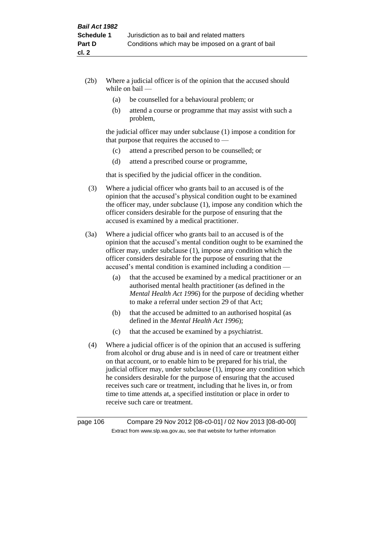- (2b) Where a judicial officer is of the opinion that the accused should while on bail —
	- (a) be counselled for a behavioural problem; or
	- (b) attend a course or programme that may assist with such a problem,

the judicial officer may under subclause (1) impose a condition for that purpose that requires the accused to —

- (c) attend a prescribed person to be counselled; or
- (d) attend a prescribed course or programme,

that is specified by the judicial officer in the condition.

- (3) Where a judicial officer who grants bail to an accused is of the opinion that the accused's physical condition ought to be examined the officer may, under subclause (1), impose any condition which the officer considers desirable for the purpose of ensuring that the accused is examined by a medical practitioner.
- (3a) Where a judicial officer who grants bail to an accused is of the opinion that the accused's mental condition ought to be examined the officer may, under subclause (1), impose any condition which the officer considers desirable for the purpose of ensuring that the accused's mental condition is examined including a condition —
	- (a) that the accused be examined by a medical practitioner or an authorised mental health practitioner (as defined in the *Mental Health Act 1996*) for the purpose of deciding whether to make a referral under section 29 of that Act;
	- (b) that the accused be admitted to an authorised hospital (as defined in the *Mental Health Act 1996*);
	- (c) that the accused be examined by a psychiatrist.
- (4) Where a judicial officer is of the opinion that an accused is suffering from alcohol or drug abuse and is in need of care or treatment either on that account, or to enable him to be prepared for his trial, the judicial officer may, under subclause (1), impose any condition which he considers desirable for the purpose of ensuring that the accused receives such care or treatment, including that he lives in, or from time to time attends at, a specified institution or place in order to receive such care or treatment.

page 106 Compare 29 Nov 2012 [08-c0-01] / 02 Nov 2013 [08-d0-00] Extract from www.slp.wa.gov.au, see that website for further information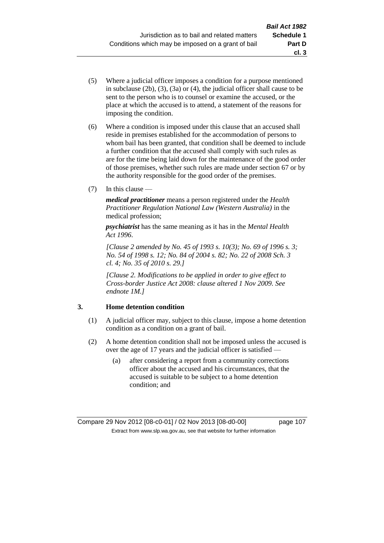- (5) Where a judicial officer imposes a condition for a purpose mentioned in subclause (2b), (3), (3a) or (4), the judicial officer shall cause to be sent to the person who is to counsel or examine the accused, or the place at which the accused is to attend, a statement of the reasons for imposing the condition.
- (6) Where a condition is imposed under this clause that an accused shall reside in premises established for the accommodation of persons to whom bail has been granted, that condition shall be deemed to include a further condition that the accused shall comply with such rules as are for the time being laid down for the maintenance of the good order of those premises, whether such rules are made under section 67 or by the authority responsible for the good order of the premises.
- (7) In this clause —

*medical practitioner* means a person registered under the *Health Practitioner Regulation National Law (Western Australia)* in the medical profession;

*psychiatrist* has the same meaning as it has in the *Mental Health Act 1996*.

*[Clause 2 amended by No. 45 of 1993 s. 10(3); No. 69 of 1996 s. 3; No. 54 of 1998 s. 12; No. 84 of 2004 s. 82; No. 22 of 2008 Sch. 3 cl. 4; No. 35 of 2010 s. 29.]*

*[Clause 2. Modifications to be applied in order to give effect to Cross-border Justice Act 2008: clause altered 1 Nov 2009. See endnote 1M.]*

### **3. Home detention condition**

- (1) A judicial officer may, subject to this clause, impose a home detention condition as a condition on a grant of bail.
- (2) A home detention condition shall not be imposed unless the accused is over the age of 17 years and the judicial officer is satisfied —
	- (a) after considering a report from a community corrections officer about the accused and his circumstances, that the accused is suitable to be subject to a home detention condition; and

**cl. 3**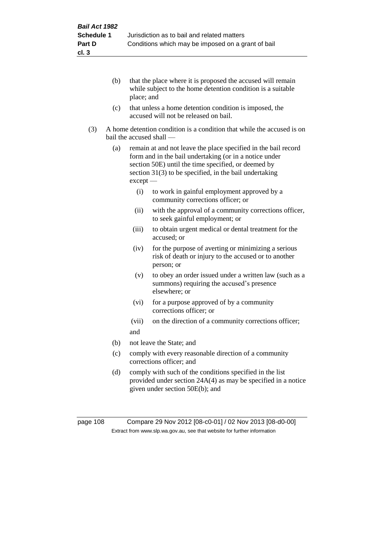- (b) that the place where it is proposed the accused will remain while subject to the home detention condition is a suitable place; and
- (c) that unless a home detention condition is imposed, the accused will not be released on bail.
- (3) A home detention condition is a condition that while the accused is on bail the accused shall —
	- (a) remain at and not leave the place specified in the bail record form and in the bail undertaking (or in a notice under section 50E) until the time specified, or deemed by section 31(3) to be specified, in the bail undertaking except —
		- (i) to work in gainful employment approved by a community corrections officer; or
		- (ii) with the approval of a community corrections officer, to seek gainful employment; or
		- (iii) to obtain urgent medical or dental treatment for the accused; or
		- (iv) for the purpose of averting or minimizing a serious risk of death or injury to the accused or to another person; or
		- (v) to obey an order issued under a written law (such as a summons) requiring the accused's presence elsewhere; or
		- (vi) for a purpose approved of by a community corrections officer; or
		- (vii) on the direction of a community corrections officer; and
	- (b) not leave the State; and
	- (c) comply with every reasonable direction of a community corrections officer; and
	- (d) comply with such of the conditions specified in the list provided under section 24A(4) as may be specified in a notice given under section 50E(b); and

page 108 Compare 29 Nov 2012 [08-c0-01] / 02 Nov 2013 [08-d0-00] Extract from www.slp.wa.gov.au, see that website for further information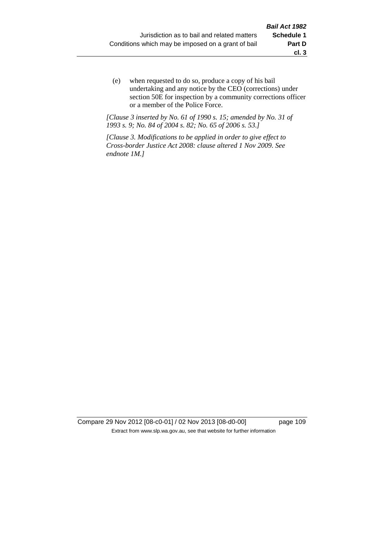(e) when requested to do so, produce a copy of his bail undertaking and any notice by the CEO (corrections) under section 50E for inspection by a community corrections officer or a member of the Police Force.

*[Clause 3 inserted by No. 61 of 1990 s. 15; amended by No. 31 of 1993 s. 9; No. 84 of 2004 s. 82; No. 65 of 2006 s. 53.]*

*[Clause 3. Modifications to be applied in order to give effect to Cross-border Justice Act 2008: clause altered 1 Nov 2009. See endnote 1M.]*

Compare 29 Nov 2012 [08-c0-01] / 02 Nov 2013 [08-d0-00] page 109 Extract from www.slp.wa.gov.au, see that website for further information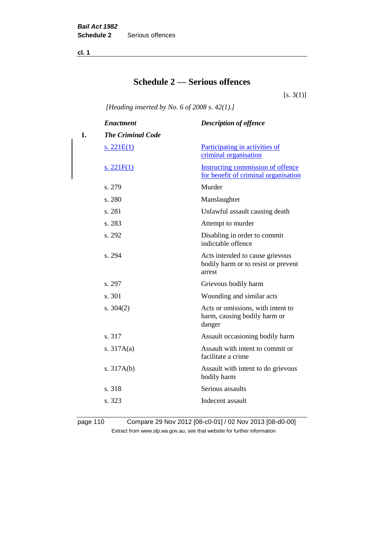**cl. 1**

# **Schedule 2 — Serious offences**

 $[s. 3(1)]$ 

*[Heading inserted by No. 6 of 2008 s. 42(1).]*

|    | <b>Enactment</b>         | <b>Description of offence</b>                                                    |
|----|--------------------------|----------------------------------------------------------------------------------|
| 1. | <b>The Criminal Code</b> |                                                                                  |
|    | <u>s. 221E(1)</u>        | <b>Participating in activities of</b><br>criminal organisation                   |
|    | s. $221F(1)$             | Instructing commission of offence<br>for benefit of criminal organisation        |
|    | s. 279                   | Murder                                                                           |
|    | s. 280                   | Manslaughter                                                                     |
|    | s. 281                   | Unlawful assault causing death                                                   |
|    | s. 283                   | Attempt to murder                                                                |
|    | s. 292                   | Disabling in order to commit<br>indictable offence                               |
|    | s. 294                   | Acts intended to cause grievous<br>bodily harm or to resist or prevent<br>arrest |
|    | s. 297                   | Grievous bodily harm                                                             |
|    | s. 301                   | Wounding and similar acts                                                        |
|    | s. $304(2)$              | Acts or omissions, with intent to<br>harm, causing bodily harm or<br>danger      |
|    | s. 317                   | Assault occasioning bodily harm                                                  |
|    | s. $317A(a)$             | Assault with intent to commit or<br>facilitate a crime                           |
|    | s. $317A(b)$             | Assault with intent to do grievous<br>bodily harm                                |
|    | s. 318                   | Serious assaults                                                                 |
|    | s. 323                   | Indecent assault                                                                 |

page 110 Compare 29 Nov 2012 [08-c0-01] / 02 Nov 2013 [08-d0-00] Extract from www.slp.wa.gov.au, see that website for further information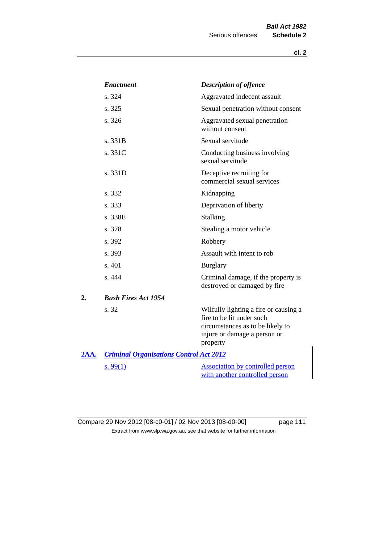|             | <b>Enactment</b>                               | <b>Description of offence</b>                                                                                                                      |
|-------------|------------------------------------------------|----------------------------------------------------------------------------------------------------------------------------------------------------|
|             | s. 324                                         | Aggravated indecent assault                                                                                                                        |
|             | s. 325                                         | Sexual penetration without consent                                                                                                                 |
|             | s. 326                                         | Aggravated sexual penetration<br>without consent                                                                                                   |
|             | s. 331B                                        | Sexual servitude                                                                                                                                   |
|             | s. 331C                                        | Conducting business involving<br>sexual servitude                                                                                                  |
|             | s. 331D                                        | Deceptive recruiting for<br>commercial sexual services                                                                                             |
|             | s. 332                                         | Kidnapping                                                                                                                                         |
|             | s. 333                                         | Deprivation of liberty                                                                                                                             |
|             | s. 338E                                        | Stalking                                                                                                                                           |
|             | s. 378                                         | Stealing a motor vehicle                                                                                                                           |
|             | s. 392                                         | Robbery                                                                                                                                            |
|             | s. 393                                         | Assault with intent to rob                                                                                                                         |
|             | s. 401                                         | <b>Burglary</b>                                                                                                                                    |
|             | s. 444                                         | Criminal damage, if the property is<br>destroyed or damaged by fire                                                                                |
| 2.          | <b>Bush Fires Act 1954</b>                     |                                                                                                                                                    |
|             | s. 32                                          | Wilfully lighting a fire or causing a<br>fire to be lit under such<br>circumstances as to be likely to<br>injure or damage a person or<br>property |
| <u>2AA.</u> | <b>Criminal Organisations Control Act 2012</b> |                                                                                                                                                    |
|             | s. $99(1)$                                     | <b>Association by controlled person</b><br>with another controlled person                                                                          |

Compare 29 Nov 2012 [08-c0-01] / 02 Nov 2013 [08-d0-00] page 111 Extract from www.slp.wa.gov.au, see that website for further information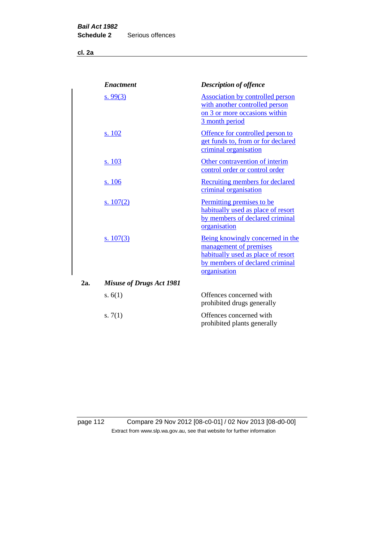**cl. 2a**

|     | <b>Enactment</b>                | <b>Description of offence</b>                                                                                                                       |
|-----|---------------------------------|-----------------------------------------------------------------------------------------------------------------------------------------------------|
|     | s. 99 $(3)$                     | <b>Association by controlled person</b><br>with another controlled person<br>on 3 or more occasions within<br>3 month period                        |
|     | s. 102                          | Offence for controlled person to<br>get funds to, from or for declared<br>criminal organisation                                                     |
|     | s. 103                          | Other contravention of interim<br>control order or control order                                                                                    |
|     | s. 106                          | Recruiting members for declared<br>criminal organisation                                                                                            |
|     | s. $107(2)$                     | Permitting premises to be<br>habitually used as place of resort<br>by members of declared criminal<br>organisation                                  |
|     | s. $107(3)$                     | Being knowingly concerned in the<br>management of premises<br>habitually used as place of resort<br>by members of declared criminal<br>organisation |
| 2a. | <b>Misuse of Drugs Act 1981</b> |                                                                                                                                                     |
|     | s. $6(1)$                       | Offences concerned with<br>prohibited drugs generally                                                                                               |
|     | s. $7(1)$                       | Offences concerned with<br>prohibited plants generally                                                                                              |

page 112 Compare 29 Nov 2012 [08-c0-01] / 02 Nov 2013 [08-d0-00] Extract from www.slp.wa.gov.au, see that website for further information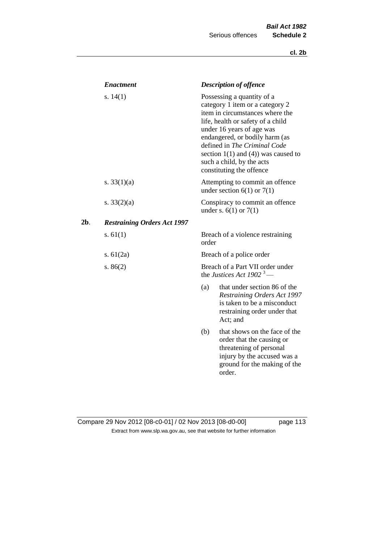|     | <b>Enactment</b>                   |       | <b>Description of offence</b>                                                                                                                                                                                                                                                                                                             |
|-----|------------------------------------|-------|-------------------------------------------------------------------------------------------------------------------------------------------------------------------------------------------------------------------------------------------------------------------------------------------------------------------------------------------|
|     | s. $14(1)$                         |       | Possessing a quantity of a<br>category 1 item or a category 2<br>item in circumstances where the<br>life, health or safety of a child<br>under 16 years of age was<br>endangered, or bodily harm (as<br>defined in The Criminal Code<br>section $1(1)$ and $(4)$ ) was caused to<br>such a child, by the acts<br>constituting the offence |
|     | s. $33(1)(a)$                      |       | Attempting to commit an offence<br>under section $6(1)$ or $7(1)$                                                                                                                                                                                                                                                                         |
|     | s. $33(2)(a)$                      |       | Conspiracy to commit an offence<br>under s. $6(1)$ or $7(1)$                                                                                                                                                                                                                                                                              |
| 2b. | <b>Restraining Orders Act 1997</b> |       |                                                                                                                                                                                                                                                                                                                                           |
|     | s. $61(1)$                         | order | Breach of a violence restraining                                                                                                                                                                                                                                                                                                          |
|     | s. $61(2a)$                        |       | Breach of a police order                                                                                                                                                                                                                                                                                                                  |
|     | s. $86(2)$                         |       | Breach of a Part VII order under<br>the Justices Act 1902 <sup>3</sup> —                                                                                                                                                                                                                                                                  |
|     |                                    | (a)   | that under section 86 of the<br>Restraining Orders Act 1997<br>is taken to be a misconduct<br>restraining order under that<br>Act; and                                                                                                                                                                                                    |
|     |                                    | (b)   | that shows on the face of the<br>order that the causing or<br>threatening of personal<br>injury by the accused was a<br>ground for the making of the<br>order.                                                                                                                                                                            |

## Compare 29 Nov 2012 [08-c0-01] / 02 Nov 2013 [08-d0-00] page 113 Extract from www.slp.wa.gov.au, see that website for further information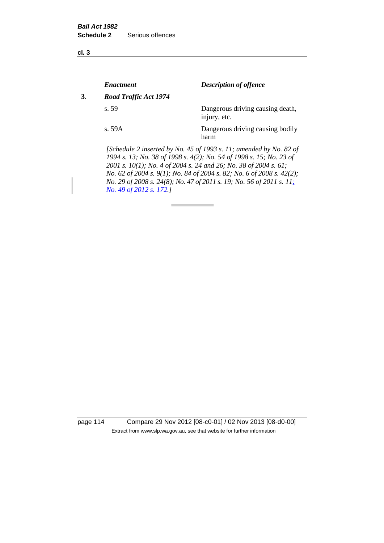**cl. 3**

|    | <b>Enactment</b>      | <b>Description of offence</b>                                                                                                                                                                                 |
|----|-----------------------|---------------------------------------------------------------------------------------------------------------------------------------------------------------------------------------------------------------|
| 3. | Road Traffic Act 1974 |                                                                                                                                                                                                               |
|    | s.59                  | Dangerous driving causing death,<br>injury, etc.                                                                                                                                                              |
|    | s. 59A                | Dangerous driving causing bodily<br>harm                                                                                                                                                                      |
|    |                       | [Schedule 2 inserted by No. 45 of 1993 s. 11; amended by No. 82 of<br>1994 s. 13; No. 38 of 1998 s. 4(2); No. 54 of 1998 s. 15; No. 23 of<br>2001 s. 10(1); No. 4 of 2004 s. 24 and 26; No. 38 of 2004 s. 61; |

*No. 62 of 2004 s. 9(1); No. 84 of 2004 s. 82; No. 6 of 2008 s. 42(2); No. 29 of 2008 s. 24(8); No. 47 of 2011 s. 19; No. 56 of 2011 s. 11; No. 49 of 2012 s. 172.]* 

page 114 Compare 29 Nov 2012 [08-c0-01] / 02 Nov 2013 [08-d0-00] Extract from www.slp.wa.gov.au, see that website for further information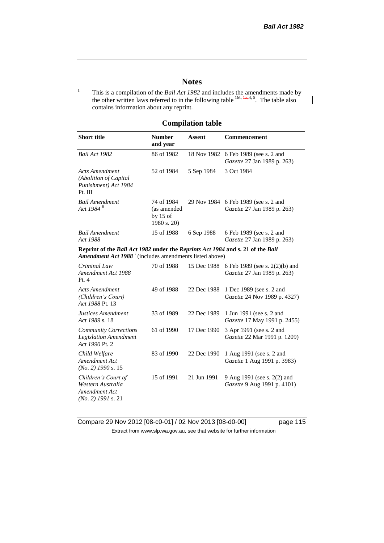$\mathsf{l}$ 

#### **Notes**

<sup>1</sup> This is a compilation of the *Bail Act 1982* and includes the amendments made by the other written laws referred to in the following table  $^{1M, \frac{1}{4a}, 4, 5}$ . The table also contains information about any reprint.

### **Compilation table**

| <b>Short title</b>                                                                                                                                          | <b>Number</b><br>and year                              | Assent      | Commencement                                                        |  |  |  |
|-------------------------------------------------------------------------------------------------------------------------------------------------------------|--------------------------------------------------------|-------------|---------------------------------------------------------------------|--|--|--|
| Bail Act 1982                                                                                                                                               | 86 of 1982                                             | 18 Nov 1982 | 6 Feb 1989 (see s. 2 and<br>Gazette 27 Jan 1989 p. 263)             |  |  |  |
| <b>Acts Amendment</b><br>(Abolition of Capital<br>Punishment) Act 1984<br>Pt. III                                                                           | 52 of 1984                                             | 5 Sep 1984  | 3 Oct 1984                                                          |  |  |  |
| <b>Bail Amendment</b><br>Act 1984 <sup>6</sup>                                                                                                              | 74 of 1984<br>(as amended<br>by $15$ of<br>1980 s. 20) |             | 29 Nov 1984 6 Feb 1989 (see s. 2 and<br>Gazette 27 Jan 1989 p. 263) |  |  |  |
| <b>Bail Amendment</b><br>Act 1988                                                                                                                           | 15 of 1988                                             | 6 Sep 1988  | 6 Feb 1989 (see s. 2 and<br>Gazette 27 Jan 1989 p. 263)             |  |  |  |
| Reprint of the Bail Act 1982 under the Reprints Act 1984 and s. 21 of the Bail<br><b>Amendment Act 1988</b> <sup>7</sup> (includes amendments listed above) |                                                        |             |                                                                     |  |  |  |
| Criminal Law<br>Amendment Act 1988<br>Pt.4                                                                                                                  | 70 of 1988                                             | 15 Dec 1988 | 6 Feb 1989 (see s. 2(2)(b) and<br>Gazette 27 Jan 1989 p. 263)       |  |  |  |
| <b>Acts Amendment</b><br>(Children's Court)<br>Act 1988 Pt. 13                                                                                              | 49 of 1988                                             | 22 Dec 1988 | 1 Dec 1989 (see s. 2 and<br>Gazette 24 Nov 1989 p. 4327)            |  |  |  |
| Justices Amendment<br>Act 1989 s. 18                                                                                                                        | 33 of 1989                                             | 22 Dec 1989 | 1 Jun 1991 (see s. 2 and<br>Gazette 17 May 1991 p. 2455)            |  |  |  |
| <b>Community Corrections</b><br><b>Legislation Amendment</b><br>Act 1990 Pt. 2                                                                              | 61 of 1990                                             | 17 Dec 1990 | 3 Apr 1991 (see s. 2 and<br>Gazette 22 Mar 1991 p. 1209)            |  |  |  |
| Child Welfare<br>Amendment Act<br>$(No. 2)$ 1990 s. 15                                                                                                      | 83 of 1990                                             | 22 Dec 1990 | 1 Aug 1991 (see s. 2 and<br>Gazette 1 Aug 1991 p. 3983)             |  |  |  |
| Children's Court of<br>Western Australia<br>Amendment Act<br>$(No. 2)$ 1991 s. 21                                                                           | 15 of 1991                                             | 21 Jun 1991 | 9 Aug 1991 (see s. 2(2) and<br>Gazette 9 Aug 1991 p. 4101)          |  |  |  |

Compare 29 Nov 2012 [08-c0-01] / 02 Nov 2013 [08-d0-00] page 115 Extract from www.slp.wa.gov.au, see that website for further information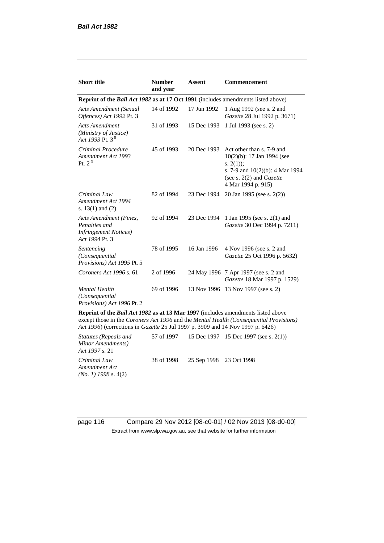| <b>Short title</b>                                                                         | <b>Number</b><br>and year | <b>Assent</b> | <b>Commencement</b>                                                                                                                                                        |
|--------------------------------------------------------------------------------------------|---------------------------|---------------|----------------------------------------------------------------------------------------------------------------------------------------------------------------------------|
| Reprint of the <i>Bail Act 1982</i> as at 17 Oct 1991 (includes amendments listed above)   |                           |               |                                                                                                                                                                            |
| Acts Amendment (Sexual<br>Offences) Act 1992 Pt. 3                                         | 14 of 1992                | 17 Jun 1992   | 1 Aug 1992 (see s. 2 and<br>Gazette 28 Jul 1992 p. 3671)                                                                                                                   |
| <b>Acts Amendment</b><br>(Ministry of Justice)<br>Act 1993 Pt. 3 <sup>8</sup>              | 31 of 1993                | 15 Dec 1993   | 1 Jul 1993 (see s. 2)                                                                                                                                                      |
| Criminal Procedure<br>Amendment Act 1993<br>Pt. $2^9$                                      | 45 of 1993                | 20 Dec 1993   | Act other than s. 7-9 and<br>$10(2)(b)$ : 17 Jan 1994 (see<br>s. $2(1)$ ;<br>s. 7-9 and $10(2)(b)$ : 4 Mar 1994<br>(see s. $2(2)$ and <i>Gazette</i><br>4 Mar 1994 p. 915) |
| Criminal Law<br>Amendment Act 1994<br>s. $13(1)$ and $(2)$                                 | 82 of 1994                | 23 Dec 1994   | 20 Jan 1995 (see s. 2(2))                                                                                                                                                  |
| Acts Amendment (Fines,<br>Penalties and<br><b>Infringement Notices</b> )<br>Act 1994 Pt. 3 | 92 of 1994                | 23 Dec 1994   | 1 Jan 1995 (see s. 2(1) and<br>Gazette 30 Dec 1994 p. 7211)                                                                                                                |
| Sentencing<br>(Consequential<br>Provisions) Act 1995 Pt. 5                                 | 78 of 1995                | 16 Jan 1996   | 4 Nov 1996 (see s. 2 and<br>Gazette 25 Oct 1996 p. 5632)                                                                                                                   |
| Coroners Act 1996 s. 61                                                                    | 2 of 1996                 |               | 24 May 1996 7 Apr 1997 (see s. 2 and<br>Gazette 18 Mar 1997 p. 1529)                                                                                                       |
| <b>Mental Health</b><br>(Consequential<br>Provisions) Act 1996 Pt. 2                       | 69 of 1996                |               | 13 Nov 1996 13 Nov 1997 (see s. 2)                                                                                                                                         |

**Reprint of the** *Bail Act 1982* **as at 13 Mar 1997** (includes amendments listed above except those in the *Coroners Act 1996* and the *Mental Health (Consequential Provisions) Act 1996*) (corrections in *Gazette* 25 Jul 1997 p. 3909 and 14 Nov 1997 p. 6426)

*Statutes (Repeals and Minor Amendments) Act 1997* s. 21 57 of 1997 15 Dec 1997 15 Dec 1997 (see s. 2(1)) *Criminal Law Amendment Act (No. 1) 1998* s. 4(2) 38 of 1998 25 Sep 1998 23 Oct 1998

page 116 Compare 29 Nov 2012 [08-c0-01] / 02 Nov 2013 [08-d0-00] Extract from www.slp.wa.gov.au, see that website for further information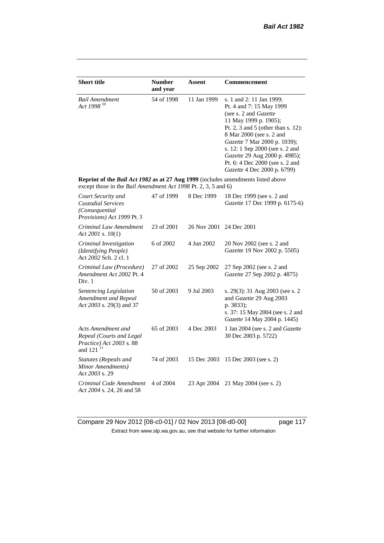| <b>Short title</b>                                                                                                                                 | <b>Number</b><br>and year | <b>Assent</b> | Commencement                                                                                                                                                                                                                                                                                                                                            |
|----------------------------------------------------------------------------------------------------------------------------------------------------|---------------------------|---------------|---------------------------------------------------------------------------------------------------------------------------------------------------------------------------------------------------------------------------------------------------------------------------------------------------------------------------------------------------------|
| <b>Bail Amendment</b><br>Act 1998 <sup>10</sup>                                                                                                    | 54 of 1998                | 11 Jan 1999   | s. 1 and 2: 11 Jan 1999;<br>Pt. 4 and 7: 15 May 1999<br>(see s. 2 and <i>Gazette</i> )<br>11 May 1999 p. 1905);<br>Pt. 2, 3 and 5 (other than s. 12):<br>8 Mar 2000 (see s. 2 and<br>Gazette 7 Mar 2000 p. 1039);<br>s. 12: 1 Sep 2000 (see s. 2 and<br>Gazette 29 Aug 2000 p. 4985);<br>Pt. 6: 4 Dec 2000 (see s. 2 and<br>Gazette 4 Dec 2000 p. 6799) |
| Reprint of the Bail Act 1982 as at 27 Aug 1999 (includes amendments listed above<br>except those in the Bail Amendment Act 1998 Pt. 2, 3, 5 and 6) |                           |               |                                                                                                                                                                                                                                                                                                                                                         |
| Court Security and<br><b>Custodial Services</b><br>(Consequential<br>Provisions) Act 1999 Pt. 3                                                    | 47 of 1999                | 8 Dec 1999    | 18 Dec 1999 (see s. 2 and<br>Gazette 17 Dec 1999 p. 6175-6)                                                                                                                                                                                                                                                                                             |
| Criminal Law Amendment<br>Act 2001 s. $10(1)$                                                                                                      | 23 of 2001                | 26 Nov 2001   | 24 Dec 2001                                                                                                                                                                                                                                                                                                                                             |
| Criminal Investigation<br>(Identifying People)<br>Act 2002 Sch. 2 cl. 1                                                                            | 6 of 2002                 | 4 Jun 2002    | 20 Nov 2002 (see s. 2 and<br>Gazette 19 Nov 2002 p. 5505)                                                                                                                                                                                                                                                                                               |
| Criminal Law (Procedure)<br>Amendment Act 2002 Pt. 4<br>Div. 1                                                                                     | 27 of 2002                | 25 Sep 2002   | 27 Sep 2002 (see s. 2 and<br>Gazette 27 Sep 2002 p. 4875)                                                                                                                                                                                                                                                                                               |
| Sentencing Legislation<br>Amendment and Repeal<br>Act 2003 s. 29(3) and 37                                                                         | 50 of 2003                | 9 Jul 2003    | s. 29(3): 31 Aug 2003 (see s. 2<br>and Gazette 29 Aug 2003<br>p. 3833);<br>s. 37: 15 May 2004 (see s. 2 and<br>Gazette 14 May 2004 p. 1445)                                                                                                                                                                                                             |
| Acts Amendment and<br>Repeal (Courts and Legal<br>Practice) Act 2003 s. 88<br>and 121 <sup>11</sup>                                                | 65 of 2003                | 4 Dec 2003    | 1 Jan 2004 (see s. 2 and <i>Gazette</i><br>30 Dec 2003 p. 5722)                                                                                                                                                                                                                                                                                         |
| Statutes (Repeals and<br>Minor Amendments)<br>Act 2003 s. 29                                                                                       | 74 of 2003                | 15 Dec 2003   | 15 Dec 2003 (see s. 2)                                                                                                                                                                                                                                                                                                                                  |
| Criminal Code Amendment<br>Act 2004 s. 24, 26 and 58                                                                                               | 4 of 2004                 | 23 Apr 2004   | 21 May 2004 (see s. 2)                                                                                                                                                                                                                                                                                                                                  |

Compare 29 Nov 2012 [08-c0-01] / 02 Nov 2013 [08-d0-00] page 117 Extract from www.slp.wa.gov.au, see that website for further information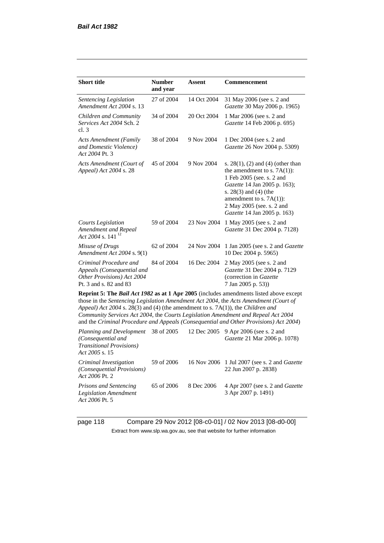| <b>Short title</b>                                                                                                                                                                                                                                                                                                                                                                                                                              | <b>Number</b><br>and year | Assent      | Commencement                                                                                                                                                                                                                                             |  |
|-------------------------------------------------------------------------------------------------------------------------------------------------------------------------------------------------------------------------------------------------------------------------------------------------------------------------------------------------------------------------------------------------------------------------------------------------|---------------------------|-------------|----------------------------------------------------------------------------------------------------------------------------------------------------------------------------------------------------------------------------------------------------------|--|
| Sentencing Legislation<br>Amendment Act 2004 s. 13                                                                                                                                                                                                                                                                                                                                                                                              | 27 of 2004                | 14 Oct 2004 | 31 May 2006 (see s. 2 and<br>Gazette 30 May 2006 p. 1965)                                                                                                                                                                                                |  |
| Children and Community<br>Services Act 2004 Sch. 2<br>cl.3                                                                                                                                                                                                                                                                                                                                                                                      | 34 of 2004                | 20 Oct 2004 | 1 Mar 2006 (see s. 2 and<br>Gazette 14 Feb 2006 p. 695)                                                                                                                                                                                                  |  |
| <b>Acts Amendment (Family</b><br>and Domestic Violence)<br>Act 2004 Pt. 3                                                                                                                                                                                                                                                                                                                                                                       | 38 of 2004                | 9 Nov 2004  | 1 Dec 2004 (see s. 2 and<br>Gazette 26 Nov 2004 p. 5309)                                                                                                                                                                                                 |  |
| Acts Amendment (Court of<br>Appeal) Act 2004 s. 28                                                                                                                                                                                                                                                                                                                                                                                              | 45 of 2004                | 9 Nov 2004  | s. $28(1)$ , (2) and (4) (other than<br>the amendment to s. $7A(1)$ :<br>1 Feb 2005 (see. s. 2 and<br>Gazette 14 Jan 2005 p. 163);<br>s. $28(3)$ and $(4)$ (the<br>amendment to s. $7A(1)$ :<br>2 May 2005 (see. s. 2 and<br>Gazette 14 Jan 2005 p. 163) |  |
| Courts Legislation<br>Amendment and Repeal<br>Act 2004 s. 141 $^{12}$                                                                                                                                                                                                                                                                                                                                                                           | 59 of 2004                | 23 Nov 2004 | 1 May 2005 (see s. 2 and<br>Gazette 31 Dec 2004 p. 7128)                                                                                                                                                                                                 |  |
| Misuse of Drugs<br>Amendment Act 2004 s. 9(1)                                                                                                                                                                                                                                                                                                                                                                                                   | 62 of 2004                | 24 Nov 2004 | 1 Jan 2005 (see s. 2 and <i>Gazette</i><br>10 Dec 2004 p. 5965)                                                                                                                                                                                          |  |
| Criminal Procedure and<br>Appeals (Consequential and<br>Other Provisions) Act 2004<br>Pt. 3 and s. 82 and 83                                                                                                                                                                                                                                                                                                                                    | 84 of 2004                | 16 Dec 2004 | 2 May 2005 (see s. 2 and<br>Gazette 31 Dec 2004 p. 7129<br>(correction in Gazette<br>7 Jan 2005 p. 53))                                                                                                                                                  |  |
| Reprint 5: The Bail Act 1982 as at 1 Apr 2005 (includes amendments listed above except<br>those in the Sentencing Legislation Amendment Act 2004, the Acts Amendment (Court of<br>Appeal) Act 2004 s. 28(3) and (4) (the amendment to s. 7A(1)), the Children and<br>Community Services Act 2004, the Courts Legislation Amendment and Repeal Act 2004<br>and the Criminal Procedure and Appeals (Consequential and Other Provisions) Act 2004) |                           |             |                                                                                                                                                                                                                                                          |  |
| Planning and Development<br>(Consequential and<br><b>Transitional Provisions)</b><br>Act 2005 s. 15                                                                                                                                                                                                                                                                                                                                             | 38 of 2005                | 12 Dec 2005 | 9 Apr 2006 (see s. 2 and<br>Gazette 21 Mar 2006 p. 1078)                                                                                                                                                                                                 |  |
| $C_{\text{min}}$ is a set $L$ and a set $\mathcal{L}$ and $\mathcal{L}$                                                                                                                                                                                                                                                                                                                                                                         | $50 \text{ s}$ $0006$     |             | $16$ Nev 2006 $1$ Interactional case and $C$ and $t$                                                                                                                                                                                                     |  |

*Criminal Investigation (Consequential Provisions) Act 2006* Pt. 2 59 of 2006 16 Nov 2006 1 Jul 2007 (see s. 2 and *Gazette* 22 Jun 2007 p. 2838) *Prisons and Sentencing*  65 of 2006 8 Dec 2006 4 Apr 2007 (see s. 2 and *Gazette*

*Legislation Amendment Act 2006* Pt. 5 3 Apr 2007 p. 1491)

page 118 Compare 29 Nov 2012 [08-c0-01] / 02 Nov 2013 [08-d0-00] Extract from www.slp.wa.gov.au, see that website for further information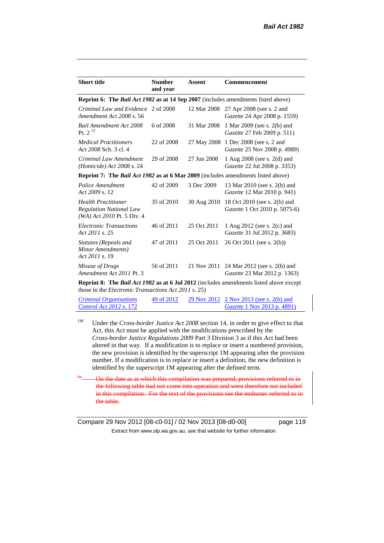| <b>Number</b><br>and year | Assent                              | Commencement                                                                                                                                                                        |
|---------------------------|-------------------------------------|-------------------------------------------------------------------------------------------------------------------------------------------------------------------------------------|
|                           |                                     |                                                                                                                                                                                     |
|                           | 12 Mar 2008                         | 27 Apr 2008 (see s. 2 and<br>Gazette 24 Apr 2008 p. 1559)                                                                                                                           |
| 6 of 2008                 | 31 Mar 2008                         | 1 Mar 2009 (see s. 2(b) and<br>Gazette 27 Feb 2009 p. 511)                                                                                                                          |
| 22 of 2008                |                                     | 27 May 2008 1 Dec 2008 (see s. 2 and<br><i>Gazette</i> 25 Nov 2008 p. 4989)                                                                                                         |
| 29 of 2008                | 27 Jun 2008                         | 1 Aug 2008 (see s. 2(d) and<br>Gazette 22 Jul 2008 p. 3353)                                                                                                                         |
|                           |                                     |                                                                                                                                                                                     |
| 42 of 2009                | 3 Dec 2009                          | 13 Mar 2010 (see s. 2(b) and<br>Gazette 12 Mar 2010 p. 941)                                                                                                                         |
| 35 of 2010                | 30 Aug 2010                         | 18 Oct 2010 (see s. 2(b) and<br><i>Gazette</i> 1 Oct 2010 p. 5075-6)                                                                                                                |
| 46 of 2011                | 25 Oct 2011                         | 1 Aug 2012 (see s. 2(c) and<br>Gazette 31 Jul 2012 p. 3683)                                                                                                                         |
| 47 of 2011                | 25 Oct 2011                         | 26 Oct 2011 (see s. 2(b))                                                                                                                                                           |
| 56 of 2011                | 21 Nov 2011                         | 24 Mar 2012 (see s. 2(b) and<br><i>Gazette</i> 23 Mar 2012 p. 1363)                                                                                                                 |
|                           | Criminal Law and Evidence 2 of 2008 | <b>Reprint 6: The Bail Act 1982 as at 14 Sep 2007</b> (includes amendments listed above)<br><b>Reprint 7: The Bail Act 1982 as at 6 Mar 2009</b> (includes amendments listed above) |

**Reprint 8: The** *Bail Act 1982* **as at 6 Jul 2012** (includes amendments listed above except those in the *Electronic Transactions Act 2011* s. 25)

| <i>Criminal Organisations</i>  | 49 of 2012 | 29 Nov 2012 2 Nov 2013 (see s. 2(b) and |
|--------------------------------|------------|-----------------------------------------|
| <i>Control Act 2012 s.</i> 172 |            | <i>Gazette</i> 1 Nov 2013 p. 4891)      |

<sup>1M</sup> Under the *Cross-border Justice Act 2008* section 14, in order to give effect to that Act, this Act must be applied with the modifications prescribed by the *Cross-border Justice Regulations 2009* Part 3 Division 3 as if this Act had been altered in that way. If a modification is to replace or insert a numbered provision, the new provision is identified by the superscript 1M appearing after the provision number. If a modification is to replace or insert a definition, the new definition is identified by the superscript 1M appearing after the defined term.

On the date as at which this compilation was prepared, provisions referred to in the following table had not come into operation and were therefore not included in this compilation. For the text of the provisions see the endnotes referred to in the table.

Compare 29 Nov 2012 [08-c0-01] / 02 Nov 2013 [08-d0-00] page 119 Extract from www.slp.wa.gov.au, see that website for further information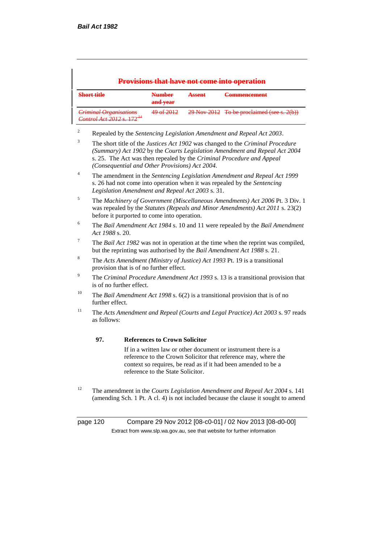| <b>Provisions that have not come into operation</b>            |                                  |                                      |                                              |  |  |
|----------------------------------------------------------------|----------------------------------|--------------------------------------|----------------------------------------------|--|--|
| Short title                                                    | <b>Number</b><br>and year        | A ceant<br>$T = T \times T \times T$ | Commongomont<br>$\frac{1}{2}$                |  |  |
| Criminal Organisations<br>Control Act 2012 s 172 <sup>44</sup> | <u> 40 of 2012</u><br>42 UI 2012 |                                      | $29$ Nov 2012 To be proclaimed (see s. 2(b)) |  |  |

- <sup>2</sup> Repealed by the *Sentencing Legislation Amendment and Repeal Act 2003*.
- <sup>3</sup> The short title of the *Justices Act 1902* was changed to the *Criminal Procedure (Summary) Act 1902* by the *Courts Legislation Amendment and Repeal Act 2004*  s. 25. The Act was then repealed by the *Criminal Procedure and Appeal (Consequential and Other Provisions) Act 2004.*
- <sup>4</sup> The amendment in the *Sentencing Legislation Amendment and Repeal Act 1999* s. 26 had not come into operation when it was repealed by the *Sentencing Legislation Amendment and Repeal Act 2003* s. 31.
- <sup>5</sup> The *Machinery of Government (Miscellaneous Amendments) Act 2006* Pt. 3 Div. 1 was repealed by the *Statutes (Repeals and Minor Amendments) Act 2011* s. 23(2) before it purported to come into operation.
- <sup>6</sup> The *Bail Amendment Act 1984* s. 10 and 11 were repealed by the *Bail Amendment Act 1988* s. 20.
- <sup>7</sup> The *Bail Act 1982* was not in operation at the time when the reprint was compiled, but the reprinting was authorised by the *Bail Amendment Act 1988* s. 21.
- <sup>8</sup> The *Acts Amendment (Ministry of Justice) Act 1993* Pt. 19 is a transitional provision that is of no further effect.
- <sup>9</sup> The *Criminal Procedure Amendment Act 1993* s. 13 is a transitional provision that is of no further effect.
- <sup>10</sup> The *Bail Amendment Act 1998* s. 6(2) is a transitional provision that is of no further effect.
- <sup>11</sup> The *Acts Amendment and Repeal (Courts and Legal Practice) Act 2003* s. 97 reads as follows:

#### **97. References to Crown Solicitor**

If in a written law or other document or instrument there is a reference to the Crown Solicitor that reference may, where the context so requires, be read as if it had been amended to be a reference to the State Solicitor.

<sup>12</sup> The amendment in the *Courts Legislation Amendment and Repeal Act 2004* s. 141 (amending Sch. 1 Pt. A cl. 4) is not included because the clause it sought to amend

page 120 Compare 29 Nov 2012 [08-c0-01] / 02 Nov 2013 [08-d0-00] Extract from www.slp.wa.gov.au, see that website for further information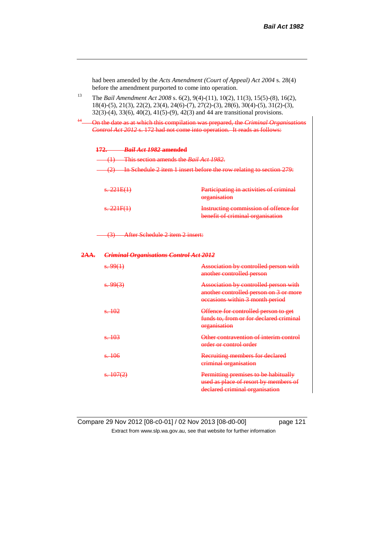|                                                                                                                                                                                         | had been amended by the Acts Amendment (Court of Appeal) Act 2004 s. 28(4)<br>before the amendment purported to come into operation.                                                                                                                                                            |                                            |                                                                                                                    |
|-----------------------------------------------------------------------------------------------------------------------------------------------------------------------------------------|-------------------------------------------------------------------------------------------------------------------------------------------------------------------------------------------------------------------------------------------------------------------------------------------------|--------------------------------------------|--------------------------------------------------------------------------------------------------------------------|
| 13                                                                                                                                                                                      | The Bail Amendment Act 2008 s. 6(2), 9(4)-(11), 10(2), 11(3), 15(5)-(8), 16(2),<br>$18(4)-(5)$ , $21(3)$ , $22(2)$ , $23(4)$ , $24(6)-(7)$ , $27(2)-(3)$ , $28(6)$ , $30(4)-(5)$ , $31(2)-(3)$ ,<br>$32(3)-(4)$ , $33(6)$ , $40(2)$ , $41(5)-(9)$ , $42(3)$ and 44 are transitional provisions. |                                            |                                                                                                                    |
| $\frac{14}{\sqrt{2}}$<br>On the date as at which this compilation was prepared, the Criminal Organisations<br>Control Act 2012 s. 172 had not come into operation. It reads as follows: |                                                                                                                                                                                                                                                                                                 |                                            |                                                                                                                    |
|                                                                                                                                                                                         |                                                                                                                                                                                                                                                                                                 | 172. Bail Act 1982 amended                 |                                                                                                                    |
|                                                                                                                                                                                         |                                                                                                                                                                                                                                                                                                 | (1) This section amends the Bail Act 1982. |                                                                                                                    |
|                                                                                                                                                                                         | $(2)$ In Schedule 2 item 1 insert before the row relating to section 279:                                                                                                                                                                                                                       |                                            |                                                                                                                    |
|                                                                                                                                                                                         | s.221E(1)                                                                                                                                                                                                                                                                                       |                                            | Participating in activities of criminal<br>organisation                                                            |
|                                                                                                                                                                                         | s.221F(1)                                                                                                                                                                                                                                                                                       |                                            | Instructing commission of offence for<br>benefit of criminal organisation                                          |
| (3) After Schedule 2 item 2 insert:                                                                                                                                                     |                                                                                                                                                                                                                                                                                                 |                                            |                                                                                                                    |
| <b>Criminal Organisations Control Act 2012</b><br>2AA.                                                                                                                                  |                                                                                                                                                                                                                                                                                                 |                                            |                                                                                                                    |
|                                                                                                                                                                                         | s.99(1)                                                                                                                                                                                                                                                                                         |                                            | Association by controlled person with<br>another controlled person                                                 |
|                                                                                                                                                                                         | $\frac{1}{2}$ . 99(3)                                                                                                                                                                                                                                                                           |                                            | Association by controlled person with<br>another controlled person on 3 or more<br>occasions within 3 month period |
|                                                                                                                                                                                         | s. 102                                                                                                                                                                                                                                                                                          |                                            | Offence for controlled person to get<br>funds to, from or for declared criminal<br>organisation                    |
|                                                                                                                                                                                         | s. 103                                                                                                                                                                                                                                                                                          |                                            | Other contravention of interim control<br>order or control order                                                   |
|                                                                                                                                                                                         | s. 106                                                                                                                                                                                                                                                                                          |                                            | Recruiting members for declared<br>criminal organisation                                                           |
|                                                                                                                                                                                         | s.407(2)                                                                                                                                                                                                                                                                                        |                                            | Permitting premises to be habitually<br>used as place of resort by members of<br>declared criminal organisation    |

Compare 29 Nov 2012 [08-c0-01] / 02 Nov 2013 [08-d0-00] page 121 Extract from www.slp.wa.gov.au, see that website for further information